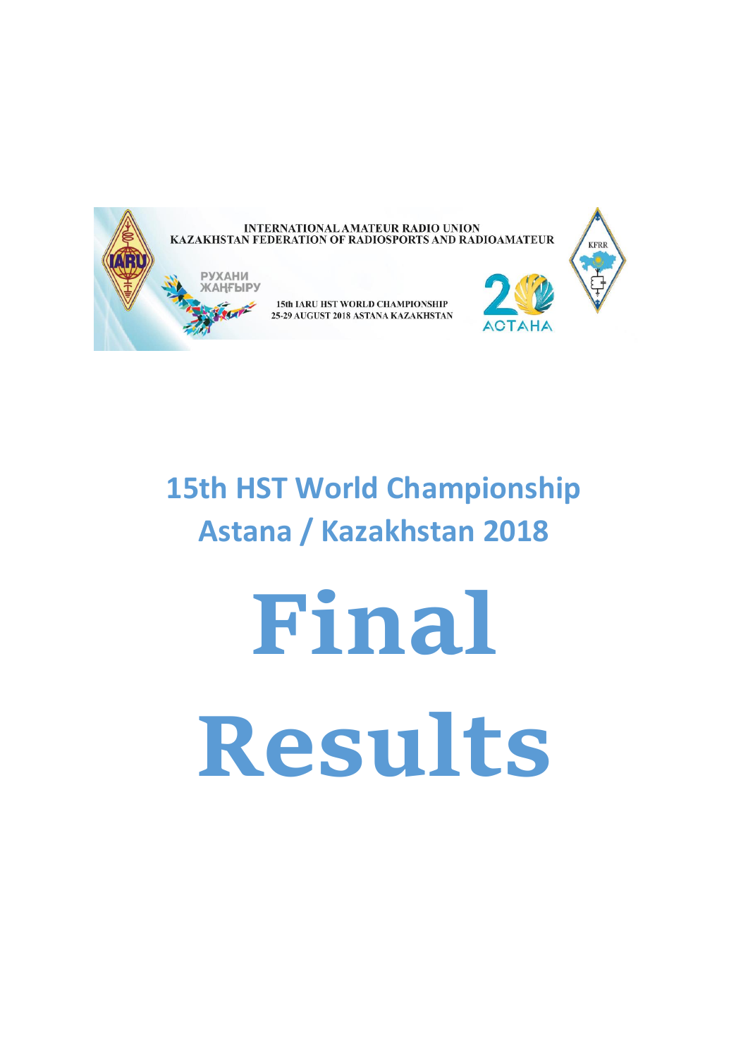

# **15th HST World Championship Astana / Kazakhstan 2018**

**Final Results**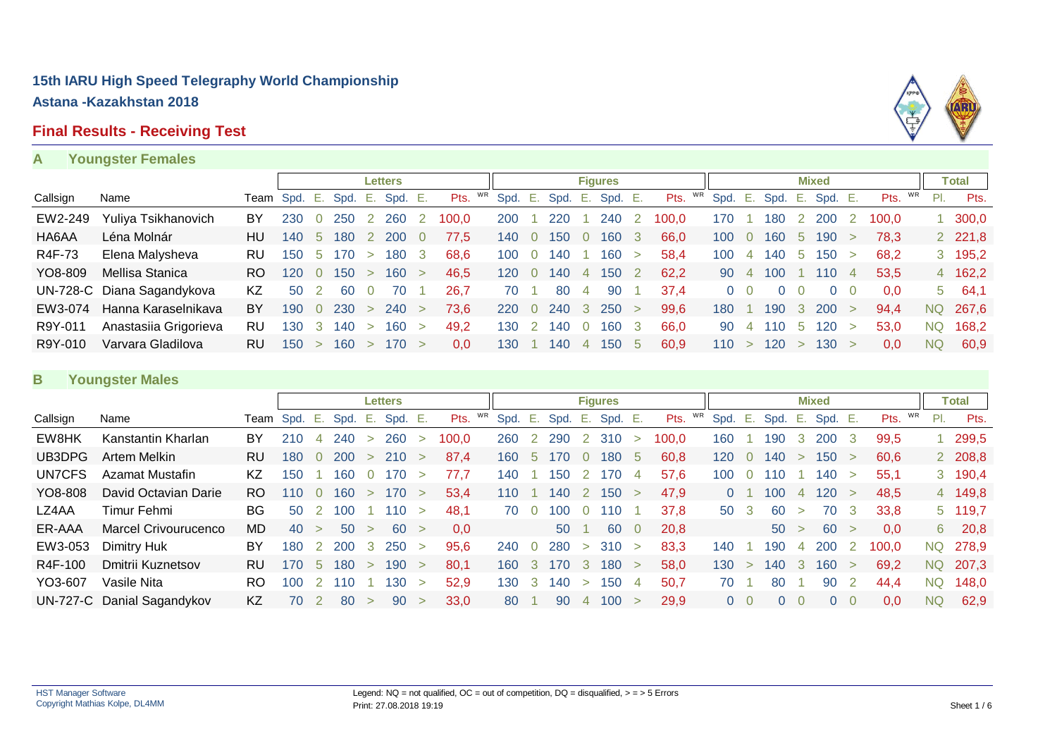# **Final Results - Receiving Test**

#### **A Youngster Females**



|          |                            |           |              |          |         |        | <b>Letters</b> |                |            |         |                 |         |                | <b>Figures</b> |              |            |         |                |     |             | <b>Mixed</b>    |                |         |     | Total         |
|----------|----------------------------|-----------|--------------|----------|---------|--------|----------------|----------------|------------|---------|-----------------|---------|----------------|----------------|--------------|------------|---------|----------------|-----|-------------|-----------------|----------------|---------|-----|---------------|
| Callsign | Name                       |           | Team Spd. E. |          | Spd. E. |        | Spd. E.        |                | WR<br>Pts. | Spd. E. |                 | Spd. E. |                | Spd. E.        |              | WR<br>Pts. | Spd. E. |                |     |             | Spd. E. Spd. E. |                | Pts. WR | PI. | Pts.          |
| EW2-249  | Yuliya Tsikhanovich        | BY        | 230          |          | 250     |        | 260            |                | 100.0      | 200     |                 | 220     |                | 240            |              | 100.0      | 170     |                | 180 |             | 200             |                | 100.0   |     | $1\,300,0$    |
| HA6AA    | Léna Molnár                | HU        | 140          | -5       | 180     |        | 200            | $\overline{0}$ | 77.5       | 140     |                 | 150     |                | 160            | 3            | 66,0       | 100     |                | 160 | $5^{\circ}$ | 190             |                | 78.3    |     | 2 2 2 1,8     |
| R4F-73   | Elena Malysheva            | <b>RU</b> | 150          | -5.      | 170.    | $\geq$ | 180            | -3             | 68.6       | 100     |                 | 140     |                | 160            | $\geq$       | 58.4       | 100     | $\overline{4}$ | 140 | 5           | 150             |                | 68.2    |     | 3 195,2       |
| YO8-809  | Mellisa Stanica            | RO.       | 120          | $\Omega$ | 150     | $\geq$ | 160            | $\rightarrow$  | 46.5       | 120     | $\overline{0}$  | 140     | $\overline{4}$ | 150            | $\mathbf{2}$ | 62,2       | 90 4    |                | 100 |             | 110             | $\overline{4}$ | 53.5    |     | 4 162,2       |
|          | UN-728-C Diana Sagandykova | KZ        | 50           |          | -60     |        | 70             |                | 26.7       | 70.     |                 | 80      | 4              | 90             |              | 37.4       | 0       |                |     |             | $\Omega$        |                | 0.0     |     | $5\quad 64,1$ |
| EW3-074  | Hanna Karaselnikava        | BY        | 190          | $\Omega$ | 230     | $\geq$ | 240            | $\geq$         | 73.6       | 220     | $\sim$ 0 $\sim$ | 240     | $\mathbf{3}$   | 250            | $\geq$       | 99.6       | 180     |                | 190 |             | <b>200</b>      |                | 94.4    |     | NQ 267,6      |
| R9Y-011  | Anastasiia Grigorieva      | RU        | 130          | -3       | 140     | $\geq$ | 160            | $\geq$         | 49.2       | 130     | $\overline{2}$  | 140     |                | 160            | 3            | 66.0       | 90      | 4              | 10  | $\mathbf b$ | 120             |                | 53.0    | NQ. | 168,2         |
| R9Y-010  | Varvara Gladilova          | RU.       | 150          |          | 160     |        | 170            | $\rightarrow$  | 0.0        | 30      |                 | 140     | $\overline{4}$ | 150            | -5           | 60.9       | 110     | $\geq$         | 120 |             | 130             |                | 0.0     | NQ. | 60.9          |

#### **B Youngster Males**

|          |                             |           |      |               |      |        | <b>Letters</b> |        |       |    |      |             |      |        | <b>Figures</b> |             |            |                |                  |                |        | <b>Mixed</b>  |               |       |    |           | <b>Total</b> |
|----------|-----------------------------|-----------|------|---------------|------|--------|----------------|--------|-------|----|------|-------------|------|--------|----------------|-------------|------------|----------------|------------------|----------------|--------|---------------|---------------|-------|----|-----------|--------------|
| Callsign | Name                        | Team      | Spd. | Е.            | Spd. | - E.   | Spd.           | - E.   | Pts.  | WR | Spd. | - E.        | Spd. | - E.   | Spd. E.        |             | WR<br>Pts. | Spd.           | Е.               | Spd.           | Е.     | Spd. E.       |               | Pts.  | WR | PI.       | Pts.         |
| EW8HK    | Kanstantin Kharlan          | BY        | 210  |               | 240  | $\geq$ | 260            | $\geq$ | 100,0 |    | 260  |             | 290  | 2      | 310            | $\geq$      | 100.0      | 160            |                  | 190            |        | 200           |               | 99,5  |    |           | 299,5        |
| UB3DPG   | Artem Melkin                | RU        | 180  | $\Omega$      | 200  | $\geq$ | <b>210</b>     | $\geq$ | 87,4  |    | 160  | $\mathbf b$ | 170  |        | 180            | $\mathbf b$ | 60,8       | 120            | $\left( \right)$ | 140            | $\geq$ | 150           | $\geq$        | 60,6  |    |           | 2 208,8      |
| UN7CFS   | Azamat Mustafin             | KZ        | 150  |               | 160  |        | 170            | $\geq$ | 77.7  |    | 140  |             | 150  |        | 70             |             | 57,6       | 100            | <sup>()</sup>    | 110            |        | 140           |               | 55,1  |    |           | 3 190,4      |
| YO8-808  | David Octavian Darie        | RO        | 110  | $\Omega$      | 160  | $\geq$ | 170            | $\geq$ | 53,4  |    | 110  |             | 140  |        | 150            |             | 47,9       | $\overline{0}$ |                  | 100            | 4      | 120           | $\geq$        | 48,5  |    |           | 4 149,8      |
| LZ4AA    | Timur Fehmi                 | BG.       | 50   |               | 100  |        | 110            | $\geq$ | 48.1  |    | 70   | $\Omega$    | 100  |        | 110            |             | 37,8       | 50 3           |                  | 60             | $\geq$ | 70            | -3            | 33,8  |    |           | 5 119,7      |
| ER-AAA   | <b>Marcel Crivourucenco</b> | <b>MD</b> | 40   | $\geq$        | 50   | $\geq$ | 60             | $\geq$ | 0.0   |    |      |             | 50   |        | 60             | $\Omega$    | 20,8       |                |                  | 50 >           |        | <sup>60</sup> | $\rightarrow$ | 0.0   |    | 6         | 20,8         |
| EW3-053  | Dimitry Huk                 | BY        | 180  | 2             | 200  | -3-    | 250            | $\geq$ | 95,6  |    | 240  | $\Omega$    | 280  | $\geq$ | 310            | ->          | 83,3       | 140            |                  | 190            | 4      | 200           |               | 100.0 |    | NQ.       | 278,9        |
| R4F-100  | Dmitrii Kuznetsov           | <b>RU</b> | 170  | -5            | 180  | $\geq$ | 190            | $\geq$ | 80.1  |    | 160  | -3          | 170  | -3     | 180            | $\geq$      | 58,0       | 130            | $\geq$           | 140            | 3      | 160           | $\geq$        | 69,2  |    | NQ.       | 207,3        |
| YO3-607  | Vasile Nita                 | RO        | 100  | $\mathcal{D}$ | 110  |        | 130            | $\geq$ | 52.9  |    | 130  | -3          | 140  | $\geq$ | 150            | 4           | 50,7       | 70             |                  | 80             |        | 90            |               | 44.4  |    | NQ.       | 148,0        |
|          | UN-727-C Danial Sagandykov  | KZ        | 70   |               | 80   | $\geq$ | 90             | $\geq$ | 33.0  |    | 80   |             | 90   | 4      | 100            |             | 29.9       | $\overline{0}$ |                  | $\overline{0}$ | - 0    | $\Omega$      |               | 0.0   |    | <b>NQ</b> | 62.9         |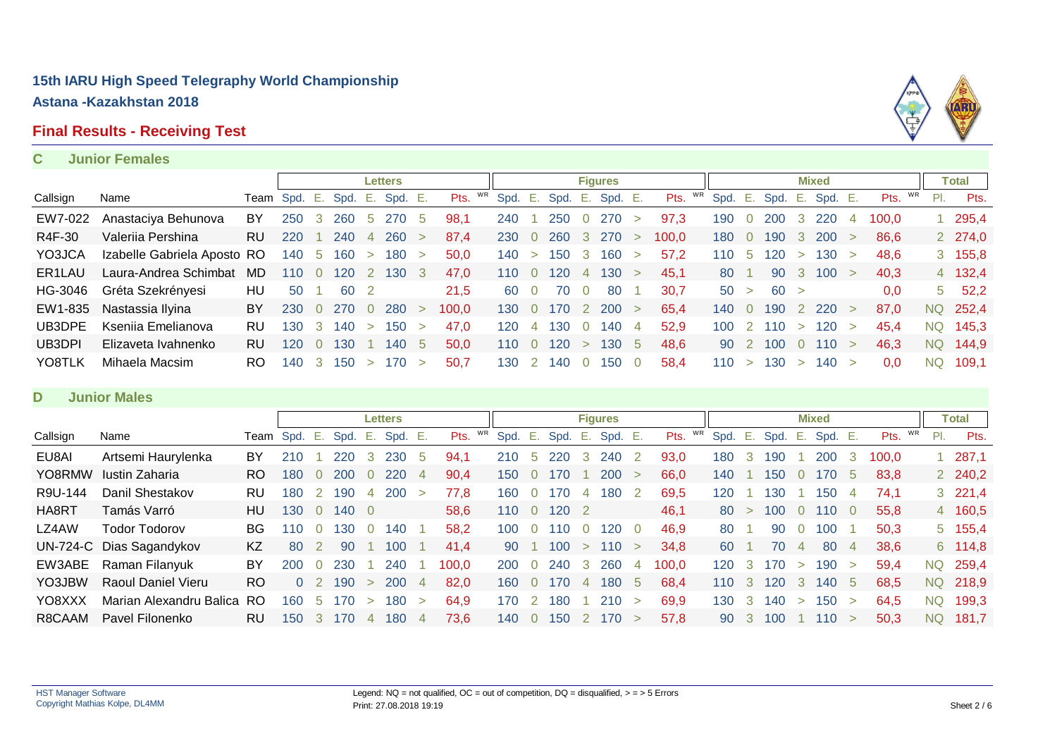# **Final Results - Receiving Test**

# MRD

#### **C Junior Females**

|          |                             |      |               |     |       |                | <b>Letters</b> |        |            |         |                |      |              | <b>Figures</b> |          |            |      |                |      |        | <b>Mixed</b> |   |         |     | Total          |
|----------|-----------------------------|------|---------------|-----|-------|----------------|----------------|--------|------------|---------|----------------|------|--------------|----------------|----------|------------|------|----------------|------|--------|--------------|---|---------|-----|----------------|
| Callsign | Name                        | Team | Spd. E.       |     | Spd.  | Ε.             | Spd. E.        |        | WR<br>Pts. | Spd. E. |                | Spd. | E.,          | Spd. E.        |          | WR<br>Pts. | Spd. | -Ε.            | Spd. | Е.     | Spd. E.      |   | Pts. WR | PI. | Pts.           |
| EW7-022  | Anastaciya Behunova         | BY   | 250           | 3   | 260   | -5             | 270            | 5      | 98.1       | 240     |                | 250  | $\Omega$     | 270            | $\geq$   | 97.3       | 190  |                | 200  | 3      | 220          | 4 | 100.0   |     | 295,4          |
| R4F-30   | Valeriia Pershina           | RU.  | 220           |     | 240   |                | 260            | $\geq$ | 87.4       | 230     | $\overline{0}$ | 260  | 3            | 270            |          | 100.0      | 180  | $\Omega$       | 190  |        | <b>200</b>   |   | 86.6    |     | 2 274,0        |
| YO3JCA   | Izabelle Gabriela Aposto RO |      | 140           | -5  | 160   | $\geq$         | 180            | $\geq$ | 50.0       | 140     | $\geq$         | 150  | - 3          | 160            | $\geq$   | 57.2       | 110  | -5             | 120  | $\geq$ | 130          |   | 48.6    |     | $3\quad 155,8$ |
| ER1LAU   | Laura-Andrea Schimbat       | MD   | $110^{\circ}$ |     | 20    | 2              | 130            | 3      | 47.0       | 110     | $\Omega$       | 120  | 4            | 130            |          | 45,1       | 80   |                | 90   | -3     | 100          |   | 40,3    |     | 4 132,4        |
| HG-3046  | Gréta Szekrényesi           | HU   | 50            |     | 60    | $\overline{2}$ |                |        | 21,5       | -60     | $\Omega$       | 70   | $\Omega$     | 80             |          | 30.7       | 50 > |                | 60 > |        |              |   | 0,0     |     | $5\quad 52,2$  |
| EW1-835  | Nastassia Ilyina            | BY.  | 230           |     | - 270 | $\overline{0}$ | 280            |        | 100.0      | 130     | $\overline{0}$ | 170  | <sup>2</sup> | <b>200</b>     |          | 65.4       | 140  | $\overline{0}$ | 190  |        | -220         |   | 87.0    |     | NQ 252,4       |
| UB3DPE   | Kseniia Emelianova          | RU   | 130           | 3   | 140   | $\geq$         | 150            | $\geq$ | 47,0       | 120     | 4              | 130  | $\Omega$     | 140            | 4        | 52,9       | 100  | $\degree$ 2    | 110  | $\geq$ | 120          |   | 45.4    |     | NQ 145,3       |
| UB3DPI   | Elizaveta Ivahnenko         | RU.  | 120           |     | 30    |                | 140            | -5     | 50,0       | 110     | $\Omega$       | 120  | $\geq$       | 130            | 5        | 48.6       | 90   |                | 100  |        | 110          |   | 46.3    |     | NQ 144,9       |
| YO8TLK   | Mihaela Macsim              | RO.  | 140           | -3- | 150   | $\geq$         | 170            | $\geq$ | 50.7       | 130     |                | 140. | - 0          | 150            | $\Omega$ | 58.4       | 110  | $\geq$         | 130  | $\geq$ | 140 >        |   | 0.0     | NQ. | 109.1          |

#### **D Junior Males**

|          |                           |           |            |                |            |        | Letters |                |            |      |             |           |        | <b>Figures</b> |        |            |      |        |      |                | <b>Mixed</b> |              |       |    |           | Total          |
|----------|---------------------------|-----------|------------|----------------|------------|--------|---------|----------------|------------|------|-------------|-----------|--------|----------------|--------|------------|------|--------|------|----------------|--------------|--------------|-------|----|-----------|----------------|
| Callsign | Name                      | Team Spd. |            | . E.           | Spd.       | Е.     | Spd.    | Ε.             | WR<br>Pts. | Spd. | - E.        | Spd.      | Ε.     | Spd. E.        |        | WR<br>Pts. | Spd. | Έ.     | Spd. | - E.           | Spd. E.      |              | Pts.  | WR | PI.       | Pts.           |
| EU8AI    | Artsemi Haurylenka        | BY        | 210        |                | 220        | 3      | 230     | 5              | 94,1       | 210  | $\mathbf b$ | 220       | 3      | 240            |        | 93,0       | 180  | -3-    | 190  |                | 200          | 3            | 100,0 |    |           | 287,1          |
| YO8RMW   | Iustin Zaharia            | RO.       | 180        | $\Omega$       | <b>200</b> | 0      | 220     | $\overline{4}$ | 90,4       | 150  | $\Omega$    | 70        |        | 200            |        | 66,0       | 140  |        | 150  |                | 170          | $\mathbf{b}$ | 83,8  |    |           | 2 240,2        |
| R9U-144  | Danil Shestakov           | RU.       | 180        | 2              | 190        | 4      | 200     | $\geq$         | 77.8       | 160  | $\Omega$    | 70        |        | 180            |        | 69,5       | 120  |        | 130  |                | 150          | 4            | 74.1  |    |           | $3\quad 221,4$ |
| HA8RT    | Tamás Varró               | HU        | 130        | $\overline{0}$ | 140 0      |        |         |                | 58,6       | 110  | $\Omega$    | 120       |        |                |        | 46,1       | 80   | $\geq$ | 100  | 0              | 110          |              | 55,8  |    |           | 4 160,5        |
| LZ4AW    | Todor Todorov             | BG.       | 110        | 0              | 130        | 0      | 140     |                | 58,2       | 100  | $\Omega$    | <b>10</b> | $\cup$ | 20             |        | 46,9       | 80   |        | 90   |                | 100          |              | 50,3  |    |           | 5 155,4        |
|          | UN-724-C Dias Sagandykov  | KZ        | 80         | 2              | 90         |        | 100     |                | 41.4       | 90   |             | 100       | $\geq$ | 110            | $\geq$ | 34.8       | 60   |        | 70   | $\overline{4}$ | 80           | $\sqrt{4}$   | 38,6  |    |           | 6 114,8        |
| EW3ABE   | Raman Filanyuk            | BY        | <b>200</b> | 0              | 230        |        | 240     |                | 100,0      | 200  | $\Omega$    | 240       | -3     | 260            | 4      | 100.0      | 120  | -3     | 170  | $\geq$         | 190          |              | 59.4  |    | <b>NQ</b> | 259,4          |
| YO3JBW   | <b>Raoul Daniel Vieru</b> | <b>RO</b> | $\Omega$   |                | 190        | $\geq$ | 200     | $\overline{4}$ | 82.0       | 160. | $\Omega$    | 170       | 4      | 180            | 5      | 68,4       | 110  | -3     | 120  | 3              | 140          | - 5          | 68.5  |    |           | NQ 218,9       |
| YO8XXX   | Marian Alexandru Balica   | RO        | 160        | -5             | 170        | $\geq$ | 180     | $\geq$         | 64.9       | 170. |             | 180       |        | 210            |        | 69.9       | 130  | -3     | 140  | $\geq$         | 150          | $\geq$       | 64.5  |    | <b>NQ</b> | 199,3          |
| R8CAAM   | Pavel Filonenko           | <b>RU</b> | 150        | -3             | 170        | 4      | 180     | $\overline{4}$ | 73.6       | 140. | $\Omega$    | 150       |        | 170            |        | 57.8       | 90   | -3     | 100  |                | 110          | $\geq$       | 50.3  |    | <b>NQ</b> | 181.7          |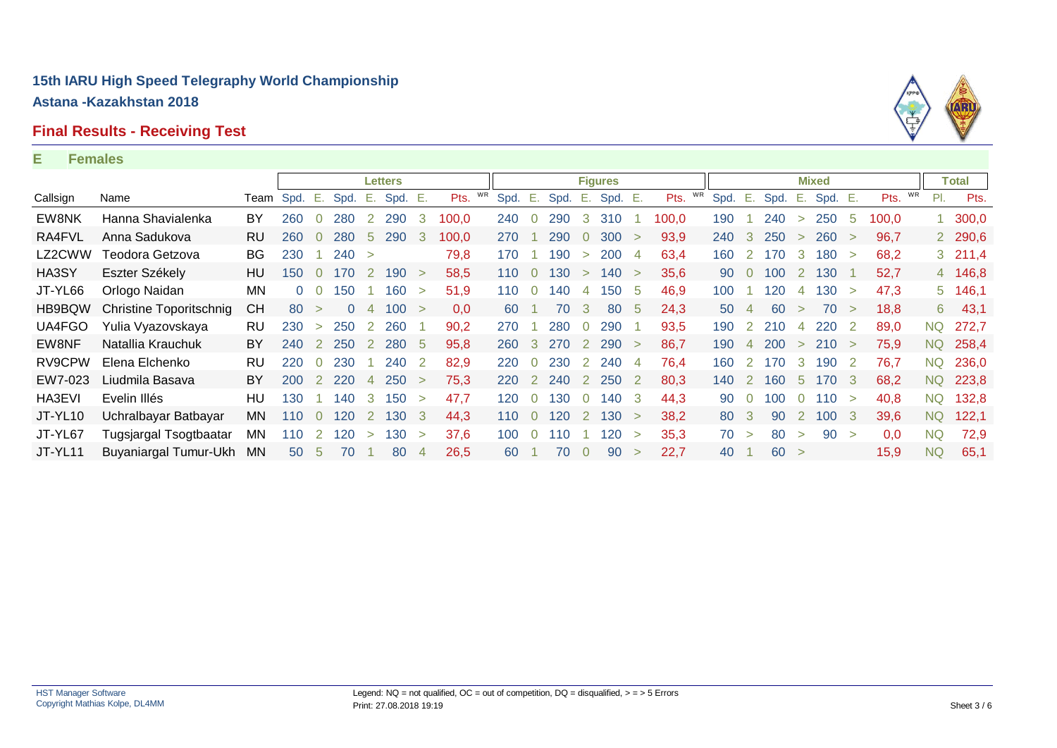#### **Final Results - Receiving Test**

#### **E Females**



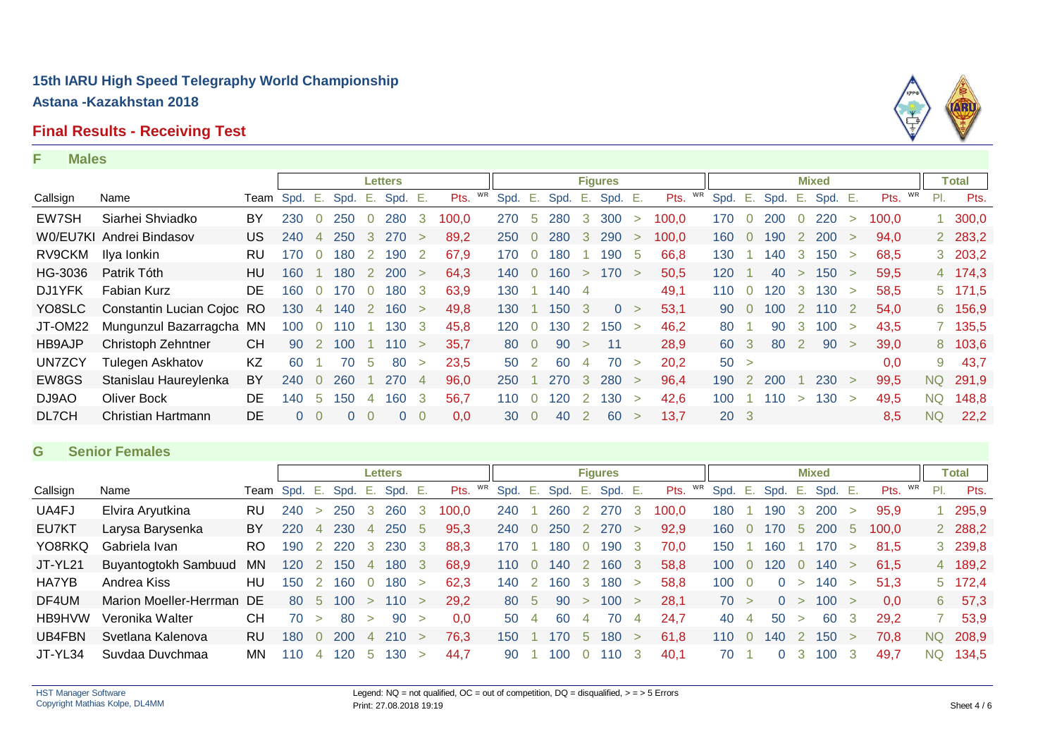#### **Final Results - Receiving Test**

#### **F Males**



#### **G Senior Females**

|          |                           |              |     |                |      |                | Letters    |        |            |      |                |      |              | <b>Figures</b> |        |            |      |                |                |                | <b>Mixed</b> |        |                  |           | Total          |
|----------|---------------------------|--------------|-----|----------------|------|----------------|------------|--------|------------|------|----------------|------|--------------|----------------|--------|------------|------|----------------|----------------|----------------|--------------|--------|------------------|-----------|----------------|
| Callsign | Name                      | Team Spd. E. |     |                | Spd. | Е.             | Spd. E.    |        | WR<br>Pts. | Spd. | Ε.             | Spd. | Е.           | Spd. E.        |        | WR<br>Pts. | Spd. | Е.             | Spd.           | E.             | Spd. E.      |        | Pts. WR          | PI.       | Pts.           |
| UA4FJ    | Elvira Aryutkina          | <b>RU</b>    | 240 | $\geq$         | 250  | -3             | <b>260</b> | 3      | 100.0      | 240  |                | 260  | 2            | 270            | 3      | 100.0      | 180  |                | 190            | -3             | 200          | $\geq$ | 95.9             |           | 295,9          |
| EU7KT    | Larysa Barysenka          | BY           | 220 | $\overline{4}$ | 230  | 4              | 250        | 5      | 95,3       | 240  | $\Omega$       | 250  | <sup>2</sup> | 270            |        | 92,9       | 160  | $\bullet$ 0    | 170            | $5^{\circ}$    | <b>200</b>   | -5     | 100.0            |           | 2 288,2        |
| YO8RKQ   | Gabriela Ivan             | RO.          | 190 | 2              | 220  | $\mathbf{3}$   | 230        | -3     | 88,3       | 170  |                | 180  | $\Omega$     | 190            | -3     | 70.0       | 150  |                | 160            |                | 170          | $\geq$ | 81.5             |           | 3 239,8        |
| JT-YL21  | Buyantogtokh Sambuud      | ΜN           | 120 | $\overline{2}$ | 150  | $\overline{4}$ | 180        | -3     | 68.9       | 110. | $\Omega$       | 140  |              | 160            | 3      | 58,8       | 100  | $\Omega$       | 120            | $\overline{0}$ | 140          | $\geq$ | 61.5             |           | 4 189,2        |
| HA7YB    | Andrea Kiss               | HU           | 150 | $\overline{2}$ | 160  | $\overline{0}$ | 180        | $\geq$ | 62.3       | 140  | $\overline{2}$ | 160  | 3            | 180            | $\geq$ | 58.8       | 100  | $\overline{0}$ | $\overline{0}$ | $\geq$         | 140          |        | 51.3             |           | $5\quad 172,4$ |
| DF4UM    | Marion Moeller-Herrman DE |              | -80 | -5             | 100  | $\geq$         | 110 >      |        | 29.2       |      | 80 5           | 90   | $\geq$       | 100            | $\geq$ | 28.1       | 70 > |                | $\overline{0}$ | $\geq$         | 100 >        |        | 0.0 <sub>1</sub> | 6         | 57,3           |
| HB9HVW   | Veronika Walter           | CН           | 70  | $\geq$         | 80   | $\geq$         | 90         | $\geq$ | 0.0        | 50   | 4              | 60   | 4            | 70             | 4      | 24.7       | 40   | $\overline{a}$ | 50             | $\geq$         | 60           | -3     | 29.2             |           | 53,9           |
| UB4FBN   | Svetlana Kalenova         | <b>RU</b>    | 180 | $\overline{0}$ | 200  | $\overline{4}$ | 210        | $\geq$ | 76,3       | 150  |                | 170  | 5            | 180            | $\geq$ | 61,8       | 110  | $\overline{0}$ | 140            | <sup>2</sup>   | 150          |        | 70,8             | <b>NQ</b> | 208,9          |
| JT-YL34  | Suvdaa Duvchmaa           | MN.          | 110 | 4              | 120  | $\mathbf b$    | 130        | $\geq$ | 44.7       | 90   |                | 100  | $\Omega$     | 110            | 3      | 40.1       | 70   |                | 0              | -3             | 100          |        | 49.7             | <b>NQ</b> | 134,5          |

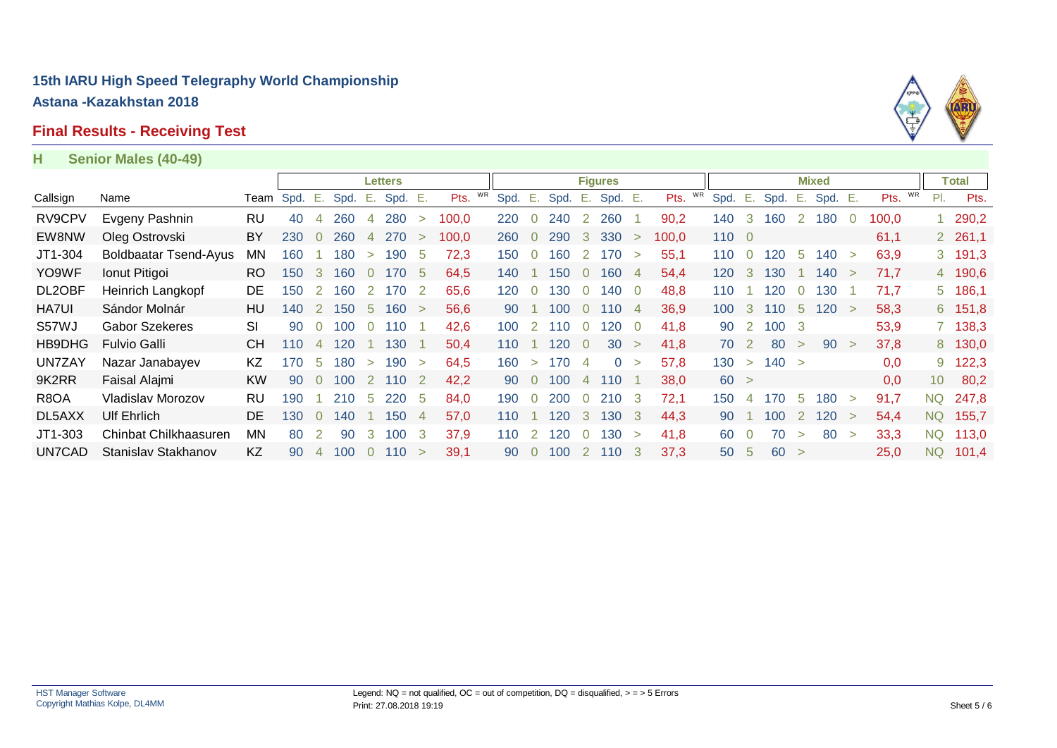# **Final Results - Receiving Test**



#### **H Senior Males (40-49)**

|              |                              |           |      |                |       |                | <b>Letters</b> |        |            |      |                            |      |                  | <b>Figures</b> |                |       |      |                |           |              | <b>Mixed</b> |                  |         |                 | Total     |
|--------------|------------------------------|-----------|------|----------------|-------|----------------|----------------|--------|------------|------|----------------------------|------|------------------|----------------|----------------|-------|------|----------------|-----------|--------------|--------------|------------------|---------|-----------------|-----------|
| Callsign     | Name                         | Team      | Spd. | $E_{\rm{eff}}$ | Spd.  | Ε.             | Spd. E.        |        | WR<br>Pts. | Spd. | $^{\circ}$ . E, $^{\circ}$ | Spd. | $\sim$ E. $\sim$ | Spd. E.        |                | Pts.  | Spd. | - E.           | Spd.      | - E.         | Spd. E.      |                  | Pts. WR | PI.             | Pts.      |
| RV9CPV       | Evgeny Pashnin               | RU        | 40   | 4              | 260   | 4              | 280            | $\geq$ | 100,0      | 220  | $\Omega$                   | 240  | 2                | 260            |                | 90,2  | 140  | 3              | 160       | $\mathbf{2}$ | 180          | $\left( \right)$ | 100,0   |                 | 290,2     |
| EW8NW        | Oleg Ostrovski               | BY        | 230  | $\overline{0}$ | 260   | $\overline{4}$ | 270            | $\geq$ | 100,0      | 260  | $\overline{0}$             | 290  | $\mathbf{3}$     | 330            | $\geq$         | 100.0 | 1100 |                |           |              |              |                  | 61,1    |                 | 2, 261, 1 |
| JT1-304      | <b>Boldbaatar Tsend-Ayus</b> | <b>MN</b> | 160  |                | 180   | $\geq$         | 190            | -5     | 72,3       | 150  | $\Omega$                   | 160  | 2                | 170            | $\geq$         | 55,1  | 110  | $\overline{0}$ | 120       | - 5          | 140          | $\geq$           | 63,9    |                 | 3, 191, 3 |
| YO9WF        | Ionut Pitigoi                | RO.       | 150  | 3              | 160   | $\Omega$       | 170            | -5     | 64,5       | 140  |                            | 150  | $\overline{0}$   | 160            | 4              | 54,4  | 120  | 3              | 130       |              | 140          |                  | 71,7    |                 | 4 190,6   |
| DL2OBF       | Heinrich Langkopf            | DE.       | 150  | 2              | 160   | 2              | 170            | -2     | 65,6       | 120  | $\Omega$                   | 130  | $\overline{0}$   | 140            | $\overline{0}$ | 48,8  | 110  |                | 120       | $\Omega$     | 130          |                  | 71,7    |                 | 5 186,1   |
| <b>HA7UI</b> | Sándor Molnár                | HU        | 140  |                | 2 150 | 5 <sup>5</sup> | 160 >          |        | 56,6       | 90   |                            | 100  | $\overline{0}$   | 110            | 4              | 36,9  | 100  | $\mathbf{3}$   | 110       | $-5$         | 120 >        |                  | 58,3    |                 | 6 151,8   |
| S57WJ        | <b>Gabor Szekeres</b>        | SI        | 90   | $\overline{0}$ | 100   | $\Omega$       | 110            |        | 42,6       | 100  | 2                          | 110  | $\Omega$         | 120            | 0              | 41.8  | 90   | <sup>2</sup>   | $100 \t3$ |              |              |                  | 53,9    |                 | 7 138,3   |
| HB9DHG       | <b>Fulvio Galli</b>          | <b>CH</b> | 110  | $\overline{4}$ | 120   |                | 130            |        | 50,4       | 110  |                            | 120  | $\Omega$         | 30             | $\geq$         | 41,8  | 70   | -2             | -80       | $\geq$       | 90           | $\rightarrow$    | 37,8    |                 | 8 130,0   |
| UN7ZAY       | Nazar Janabayev              | KZ        | 170  | 5              | 180   | $\geq$         | 190            | $\geq$ | 64,5       | 160  | $\geq$                     | 170  | 4                | $\overline{0}$ | $\geq$         | 57,8  | 130  | $\geq$         | 140 >     |              |              |                  | 0,0     |                 | 9 122,3   |
| 9K2RR        | Faisal Alajmi                | <b>KW</b> | 90   | $\Omega$       | 100   | 2              | 110            | 2      | 42,2       | 90   | $\Omega$                   | 100  | 4                | 110            |                | 38.0  | 60 > |                |           |              |              |                  | 0,0     | 10 <sup>1</sup> | 80,2      |
| R8OA         | Vladislav Morozov            | RU        | 190  |                | 210   | 5              | 220            | -5     | 84,0       | 190  | $\Omega$                   | 200  | $\Omega$         | 210            | 3              | 72,1  | 150  | 4              | 170       | 5            | 180          | $\geq$           | 91,7    | <b>NQ</b>       | 247,8     |
| DL5AXX       | <b>Ulf Ehrlich</b>           | DE.       | 130  | $\Omega$       | 140   |                | 150            | 4      | 57,0       | 110  |                            | 120  | 3                | 130            | 3              | 44,3  | 90   |                | 100       | <sup>2</sup> | 120          |                  | 54,4    | <b>NQ</b>       | 155,7     |
| JT1-303      | Chinbat Chilkhaasuren        | ΜN        | 80   | 2              | 90    | 3              | 100            | 3      | 37,9       | 110  | 2                          | 120  | $\Omega$         | 130            | $\geq$         | 41,8  | 60   |                | 70        | $\geq$       | 80           | $\geq$           | 33,3    | <b>NQ</b>       | 113,0     |
| UN7CAD       | Stanislav Stakhanov          | KZ        | 90   | $\overline{4}$ | 100   | $\overline{0}$ | 110            | $\geq$ | 39.1       | 90   | $\overline{0}$             | 100  | 2                | 110            | 3              | 37,3  | 50   | -5             | 60 >      |              |              |                  | 25,0    | NQ              | 101,4     |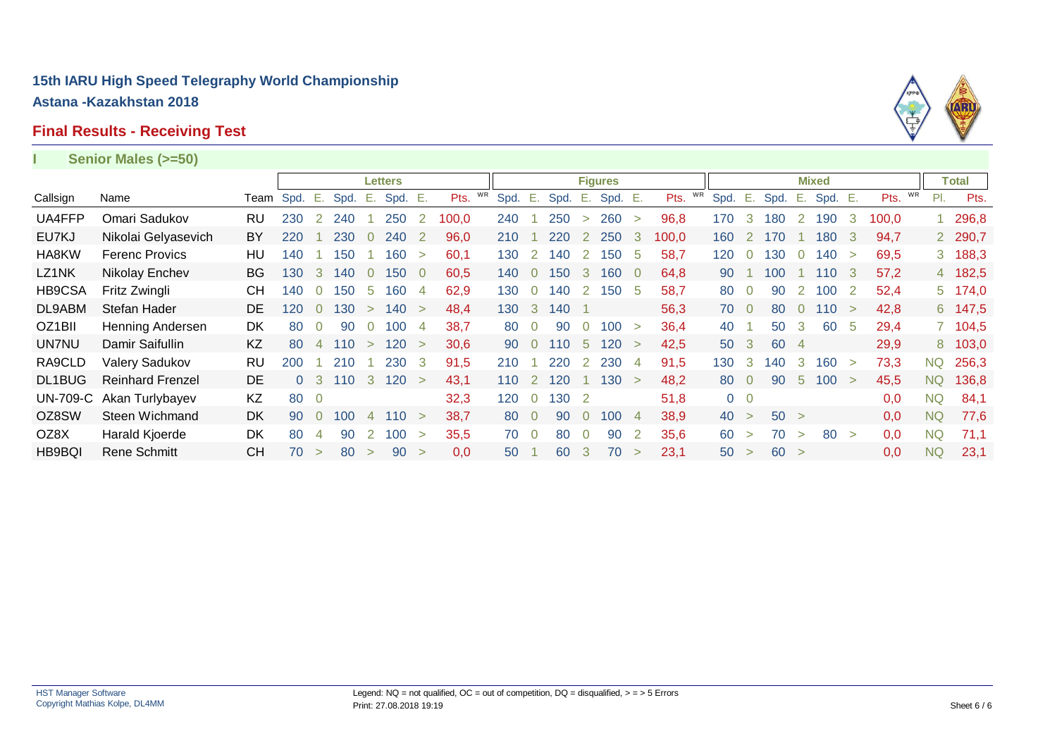# **Final Results - Receiving Test**



|                 | Senior Males (>=50)     |           |      |                |      |                |         |                |            |      |                |      |                |                |                |       |      |                |      |                |              |               |       |           |              |
|-----------------|-------------------------|-----------|------|----------------|------|----------------|---------|----------------|------------|------|----------------|------|----------------|----------------|----------------|-------|------|----------------|------|----------------|--------------|---------------|-------|-----------|--------------|
|                 |                         |           |      |                |      |                | Letters |                |            |      |                |      |                | <b>Figures</b> |                |       |      |                |      |                | <b>Mixed</b> |               |       |           | <b>Total</b> |
| Callsign        | Name                    | Team      | Spd. | Ε.             | Spd. | Е.             | Spd.    | -Е.            | WR<br>Pts. | Spd. | Ε.             | Spd. | Е.             | Spd. E.        |                | Pts.  | Spd. | Ε.             | Spd. | Е.             | Spd. E.      |               | Pts.  | WR<br>PI. | Pts.         |
| UA4FFP          | Omari Sadukov           | RU        | 230  | 2              | 240  |                | 250     | 2              | 100,0      | 240  |                | 250  | $\geq$         | 260            | $\geq$         | 96,8  | 170  | 3              | 180  | 2              | 190          | 3             | 100,0 |           | 296,8        |
| EU7KJ           | Nikolai Gelyasevich     | BY        | 220  |                | 230  | $\Omega$       | 240     | -2             | 96,0       | 210  |                | 220  | 2              | 250            | -3             | 100,0 | 160  | 2              | 170  |                | 180          | -3            | 94,7  |           | 2 290,7      |
| HA8KW           | <b>Ferenc Provics</b>   | HU        | 140  |                | 150  |                | 160     | $\geq$         | 60,1       | 130  | 2              | 140  | 2              | 150            | -5             | 58,7  | 120  | $\overline{0}$ | 130  | $\overline{0}$ | 140          | $\geq$        | 69,5  |           | 3 188,3      |
| LZ1NK           | Nikolay Enchev          | <b>BG</b> | 130  | $\mathbf{3}$   | 140  | $\overline{0}$ | 150     | - 0            | 60,5       | 140  | $\Omega$       | 150  | $\mathbf{3}$   | 160            | $\overline{0}$ | 64,8  | 90   |                | 100  |                | 110          | - 3           | 57,2  |           | 4 182,5      |
| HB9CSA          | Fritz Zwingli           | CН        | 140  | $\Omega$       | 150  | 5              | 160     | $\overline{4}$ | 62,9       | 130  | $\overline{0}$ | 140  | 2              | 150            | -5             | 58,7  | 80   | $\overline{0}$ | 90   | 2              | 100          | -2            | 52,4  |           | 5 174,0      |
| DL9ABM          | Stefan Hader            | <b>DE</b> | 120  | $\Omega$       | 130  | $\geq$         | 140     | $\geq$         | 48,4       | 130  | 3              | 140  |                |                |                | 56,3  | 70 0 |                | 80   | $\Omega$       | 110          | $\rightarrow$ | 42,8  |           | 6 147,5      |
| OZ1BII          | Henning Andersen        | DK.       | 80   | $\Omega$       | 90   | $\overline{0}$ | 100     | 4              | 38,7       | 80   | 0              | 90   | 0              | 100            | $\geq$         | 36,4  | 40   |                | 50   | 3              | 60           | -5            | 29,4  |           | 7 104,5      |
| UN7NU           | Damir Saifullin         | KZ        | 80   | $\overline{4}$ | 110  | $\geq$         | 120     | $\geq$         | 30,6       | 90   | $\overline{0}$ | 110  | $5^{\circ}$    | 120            | $\geq$         | 42,5  | 50 3 |                | 60   | $\overline{4}$ |              |               | 29,9  |           | 8 103,0      |
| RA9CLD          | Valery Sadukov          | <b>RU</b> | 200  |                | 210  |                | 230     | -3             | 91,5       | 210  |                | 220  |                | 2 2 3 0        | 4              | 91,5  | 130  | 3              | 140  | -3             | 160          | $\rightarrow$ | 73,3  | NQ        | 256,3        |
| DL1BUG          | <b>Reinhard Frenzel</b> | DE.       |      | 0 <sup>3</sup> | 110  | $\mathbf{3}$   | 120 >   |                | 43,1       | 110  | 2              | 120  |                | 130            | $\geq$         | 48,2  | 80   | $\overline{0}$ | 90   | $5^{\circ}$    | 100 >        |               | 45,5  | <b>NQ</b> | 136,8        |
| <b>UN-709-C</b> | Akan Turlybayev         | KZ        | 80   | $\overline{0}$ |      |                |         |                | 32,3       | 120  | $\overline{0}$ | 130  |                |                |                | 51,8  |      | $0\quad 0$     |      |                |              |               | 0,0   | <b>NQ</b> | 84,1         |
| OZ8SW           | Steen Wichmand          | DK.       | 90   | $\Omega$       | 100  | 4              | 110     | $\geq$         | 38,7       | 80   | $\overline{0}$ | 90   | $\overline{0}$ | 100            | $\overline{4}$ | 38,9  | 40 > |                | 50 > |                |              |               | 0.0   | <b>NQ</b> | 77,6         |
| OZ8X            | Harald Kjoerde          | DK        | 80   | 4              | 90   | $\overline{2}$ | 100     | $\geq$         | 35,5       | 70   | $\overline{0}$ | 80   | $\overline{0}$ | 90             | 2              | 35,6  | 60   | $\geq$         | 70   | $\geq$         | 80           | $\geq$        | 0,0   | <b>NQ</b> | 71,1         |
| HB9BQI          | <b>Rene Schmitt</b>     | CН        | 70   | $\geq$         | 80   | $\geq$         | 90      | $\geq$         | 0,0        | 50   |                | 60   | 3              | 70             | $\geq$         | 23,1  | 50   | $\geq$         | 60 > |                |              |               | 0,0   | <b>NQ</b> | 23,1         |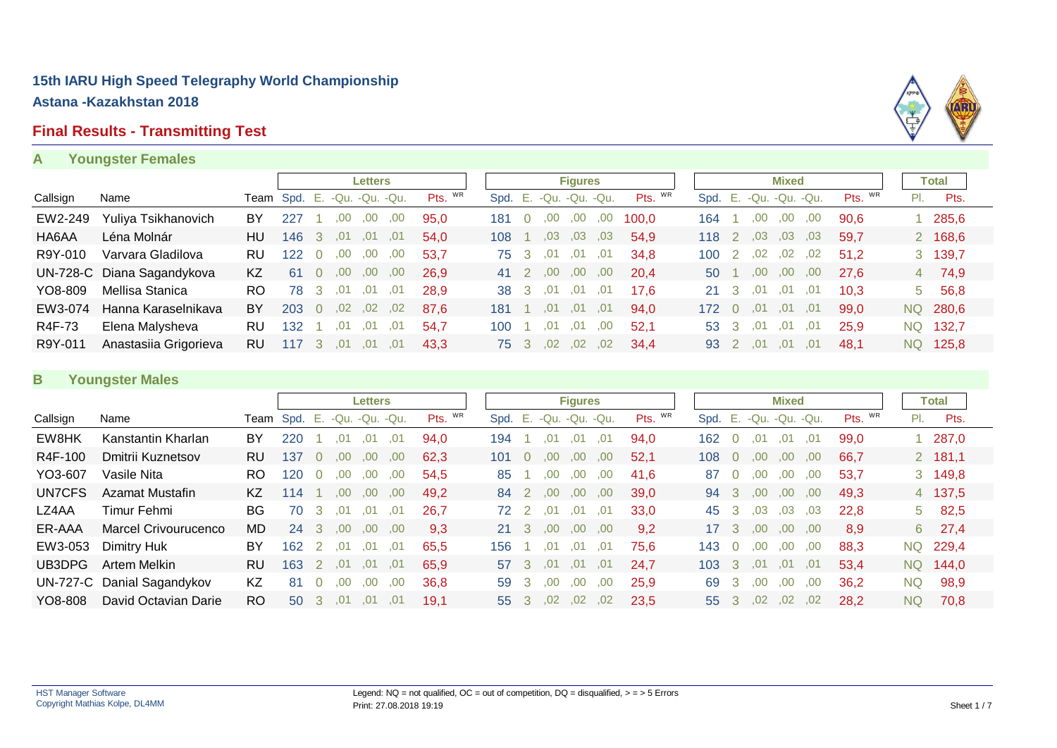### **Final Results - Transmitting Test**

#### **A Youngster Females**

|          |                            |     |                             |   |     | Letters |     |         |      |              |         | <b>Figures</b> |     |         |                           |                |     | <b>Mixed</b> |        |         |                | Total    |  |
|----------|----------------------------|-----|-----------------------------|---|-----|---------|-----|---------|------|--------------|---------|----------------|-----|---------|---------------------------|----------------|-----|--------------|--------|---------|----------------|----------|--|
| Callsign | Name                       |     | Team Spd. E. -Qu. -Qu. -Qu. |   |     |         |     | Pts. WR | Spd. | E.           |         | -Qu. -Qu. -Qu. |     | Pts. WR | Spd. E. - Qu. - Qu. - Qu. |                |     |              |        | Pts. WR | PI.            | Pts.     |  |
| EW2-249  | Yuliya Tsikhanovich        | BY  | -227                        |   | 00  | .00     | .00 | 95.0    | 181  |              | .00     | .00            | ,00 | 100.0   | 164                       |                | .00 | .00          | .00    | 90.6    |                | 285,6    |  |
| HA6AA    | Léna Molnár                | HU. | 146                         | 3 | .01 | .01     | .01 | 54.0    | 108  |              | .03     | .03            | .03 | 54,9    | $118$ 2                   |                | .03 | ,03          | ,03    | 59.7    |                | 2 168,6  |  |
| R9Y-010  | Varvara Gladilova          | RU. | 122                         |   | .00 | .00     | .00 | 53.7    | 75 3 |              | .01     | .01            | .01 | 34.8    | 100                       | $\overline{2}$ | .02 | $,02$ , 02   |        | 51.2    |                | 3 139,7  |  |
|          | UN-728-C Diana Sagandykova | KZ  | 61                          |   | .00 | .00     | .00 | 26,9    | 41 2 |              | .00.    | .00.           | .00 | 20.4    | 50 1                      |                | .00 | .00.         | .00    | 27.6    | 4 <sup>1</sup> | 74,9     |  |
| YO8-809  | Mellisa Stanica            | RO. | 78                          | 3 | .01 | .01     | .01 | 28.9    | 38   | $\mathbf{3}$ | .01     | .01            | .01 | 17.6    | 21 3                      |                | .01 | .01          | .01    | 10.3    | 5.             | 56,8     |  |
| EW3-074  | Hanna Karaselnikava        | BY  | 203                         |   | .02 | .02     | .02 | 87.6    | 181  |              | .01     | .01            | .01 | 94.0    | $172 \quad 0$             |                | .01 | .01          | .01    | 99,0    |                | NQ 280,6 |  |
| R4F-73   | Elena Malysheva            | RU  | 132                         |   | .01 | .01     | .01 | 54.7    | 100  |              | .01     | .01            | .00 | 52.1    | 53 3                      |                | .01 | .01          | .01    | 25.9    | NQ.            | 132,7    |  |
| R9Y-011  | Anastasiia Grigorieva      | RU  | 117                         | 3 | .01 | .01     | .01 | 43.3    | 75 3 |              | $.02\,$ | .02,02         |     | 34.4    | 93 2                      |                | .01 | .01          | $-.01$ | 48.1    |                | NQ 125,8 |  |

#### **B Youngster Males**

|          |                            |           |                             |               |      | <b>Letters</b> |      |            |                 |     |     | <b>Figures</b>    |      |         |                        |                |                  | <b>Mixed</b> |     |         |           | Total         |
|----------|----------------------------|-----------|-----------------------------|---------------|------|----------------|------|------------|-----------------|-----|-----|-------------------|------|---------|------------------------|----------------|------------------|--------------|-----|---------|-----------|---------------|
| Callsign | Name                       |           | Team Spd. E. -Qu. -Qu. -Qu. |               |      |                |      | Pts. $W_R$ | Spd.            |     |     | E. -Qu. -Qu. -Qu. |      | Pts. WR | Spd. E. -Qu. -Qu. -Qu. |                |                  |              |     | Pts. WR | PI.       | Pts.          |
| EW8HK    | Kanstantin Kharlan         | BY        | 220                         |               | .01  | .01            | .01  | 94.0       | 194             |     | .01 | .01               | .01  | 94,0    | 162                    | $\Omega$       | .01              | .01          | .01 | 99,0    |           | 287,0         |
| R4F-100  | Dmitrii Kuznetsov          | RU        | 137                         |               | .00  | .00.           | .00  | 62.3       | 101             |     | .00 | .00.              | .00. | 52,1    | 108                    | $\overline{0}$ | .00              | .00.         | .00 | 66,7    |           | 2 181,1       |
| YO3-607  | Vasile Nita                | <b>RO</b> | 120                         |               | .00  | .00.           | .00  | 54.5       | 85              |     | .00 | 00.               | .00. | 41.6    | 87                     | $\Omega$       | .00              | .00.         | .00 | 53.7    |           | 3 149,8       |
| UN7CFS   | Azamat Mustafin            | KZ        | 14                          |               | .00  | .00.           | .00  | 49,2       | 84              |     | .00 | .00.              | ,00  | 39,0    | 94                     | - 3            | .00.             | .00.         | .00 | 49,3    |           | 4 137,5       |
| LZ4AA    | Timur Fehmi                | BG        | 70                          | 3             | .01  | .01            | .01  | 26,7       | 72 2            |     | .01 | .01               | .01  | 33.0    | 45                     | 3              | .03              | .03          | .03 | 22.8    |           | $5\quad 82,5$ |
| ER-AAA   | Marcel Crivourucenco       | <b>MD</b> | 24                          | -3            | .00. | .00.           | .00  | 9,3        | $21 \quad 3$    |     | .00 | .00.              | .00. | 9,2     | 17 <sup>3</sup>        |                | .00.             | $.00 \,$     | .00 | 8.9     | 6         | 27,4          |
| EW3-053  | Dimitry Huk                | BY        | 162                         | 2             | .01  | .01            | .01  | 65.5       | 156             |     | .U1 | .01               | .01  | 75.6    | 143                    | 0              | ,00              | .00          | .00 | 88.3    | NQ.       | 229,4         |
| UB3DPG   | Artem Melkin               | RU        | 163                         | $\mathcal{L}$ | .01  | .01            | .01  | 65.9       | 57 3            |     | .01 | .01               | .01  | 24.7    | 103                    | $\cdot$ 3      | .01              | .01          | .01 | 53.4    | NQ.       | 144.0         |
|          | UN-727-C Danial Sagandykov | KZ        | 81                          |               | .00  | ,00            | .00. | 36.8       | 59              | -3  | .00 | .00               | .00  | 25.9    | 69                     | -3             | .00              | ,00          | ,00 | 36,2    | <b>NQ</b> | 98,9          |
| YO8-808  | David Octavian Darie       | <b>RO</b> | 50                          | -3            | .01  | .01            | .01  | 19.1       | 55 <sub>1</sub> | - 3 | .02 | .02 <sub>1</sub>  | .02  | 23.5    | 55 3                   |                | .02 <sub>1</sub> | $.02\,$      | .02 | 28.2    | NQ.       | 70,8          |

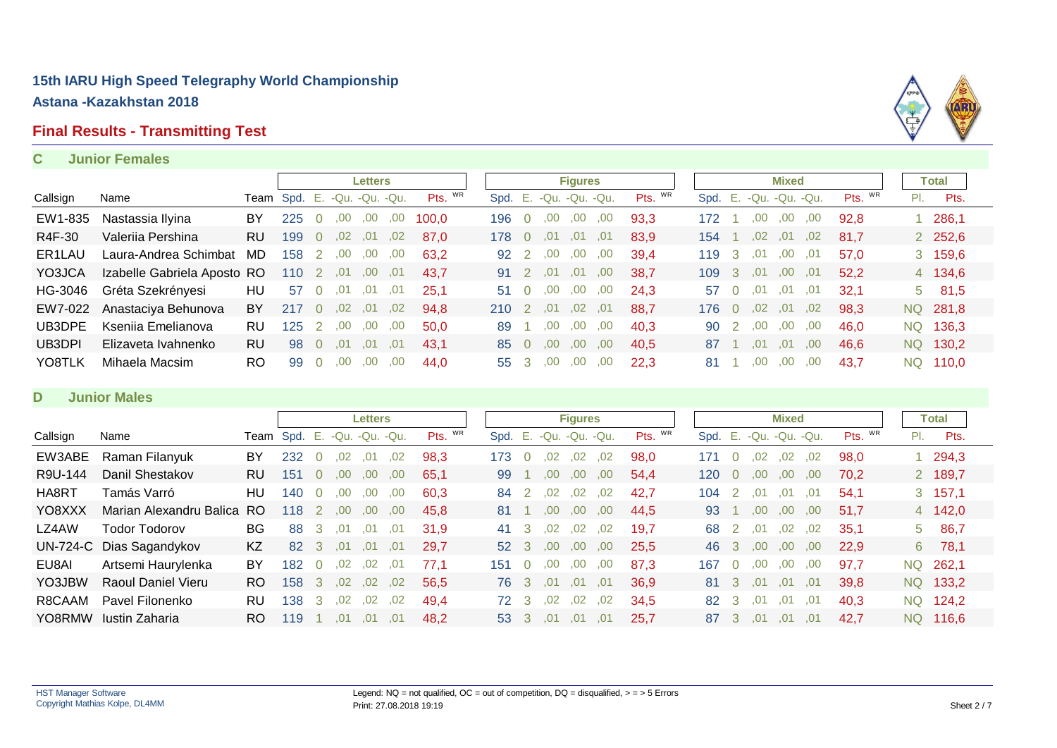#### **Final Results - Transmitting Test**

#### **C Junior Females**



#### **D Junior Males**

|          |                          |           |                             |                |                  | <b>Letters</b> |     |         |      |              |                  | <b>Figures</b>    |     |         |                        |                  |      | <b>Mixed</b> |     |         |     | Total     |
|----------|--------------------------|-----------|-----------------------------|----------------|------------------|----------------|-----|---------|------|--------------|------------------|-------------------|-----|---------|------------------------|------------------|------|--------------|-----|---------|-----|-----------|
| Callsign | Name                     |           | Team Spd. E. -Qu. -Qu. -Qu. |                |                  |                |     | Pts. WR | Spd. |              |                  | E. -Qu. -Qu. -Qu. |     | Pts. WR | Spd. E. -Qu. -Qu. -Qu. |                  |      |              |     | Pts. WR | PI. | Pts.      |
| EW3ABE   | Raman Filanyuk           | BY        | 232                         | $\Omega$       | .02              | .01            | .02 | 98.3    | 173  |              | .02              | .02               | .02 | 98.0    | 171                    |                  | .02  | .02          | .02 | 98.0    |     | 1 294,3   |
| R9U-144  | Danil Shestakov          | <b>RU</b> | 151                         | $\overline{0}$ | .00              | .00.           | .00 | 65.1    | 99   |              | .00              | .00.              | .00 | 54.4    | 120                    |                  | .00  | .00.         | .00 | 70.2    |     | 2 189,7   |
| HA8RT    | Tamás Varró              | HU        | 140                         | $\Omega$       | .00.             | .00            | .00 | 60.3    | 84   |              | .02              | .02 <sub>1</sub>  | ,02 | 42.7    | 104                    | 2                | .01  | .01          | .01 | 54.1    |     | 3, 157, 1 |
| YO8XXX   | Marian Alexandru Balica  | RO.       | 118                         | 2              | .00.             | .00.           | .00 | 45.8    | 81   |              | .00              | .00               | .00 | 44,5    | 93                     |                  | .00. | .00.         | .00 | 51.7    |     | 4 142,0   |
| LZ4AW    | Todor Todorov            | BG        | 88                          | 3              | .01              | .01            | .01 | 31.9    | 41   |              | .02 <sub>1</sub> | .02               | .02 | 19.7    | 68                     | 2                | .01  | .02          | .02 | 35.1    |     | 5 86,7    |
|          | UN-724-C Dias Sagandykov | KZ        | 82                          | 3              | .01              | .01            | .01 | 29.7    | 52 3 |              | .00.             | .00               | .00 | 25,5    | 46                     | -3               | .00. | .00.         | .00 | 22.9    | 6   | 78,1      |
| EU8AI    | Artsemi Haurylenka       | BY        | 182                         | $\Omega$       | .02              | .02            | .01 | 77.1    | 151  |              | ,00              | ,00               | .00 | 87,3    | 167                    | $\left( \right)$ | .00  | .00          | .00 | 97,7    |     | NQ 262,1  |
| YO3JBW   | Raoul Daniel Vieru       | RO.       | 158                         | 3              | .02 <sub>1</sub> | .02            | .02 | 56.5    | 76.  | - 3          | .01              | .01               | .01 | 36.9    | 81                     | - 3              | .01  | .01          | .01 | 39.8    |     | NQ 133,2  |
| R8CAAM   | Pavel Filonenko          | <b>RU</b> | 138                         | 3              | .02              | .02            | .02 | 49.4    | 72 3 |              | $.02\,$          | .02 <sub>0</sub>  | .02 | 34.5    | 82                     | -3               | .01  | .01          | .01 | 40.3    |     | NQ 124,2  |
| YO8RMW   | Iustin Zaharia           | RO.       | 119                         |                | .01              | .01            | .01 | 48.2    | 53   | $\mathbf{R}$ | .01              | .01               | .01 | 25.7    | 87                     | -3               | .01  | .01          | .01 | 42.7    |     | NQ 116,6  |

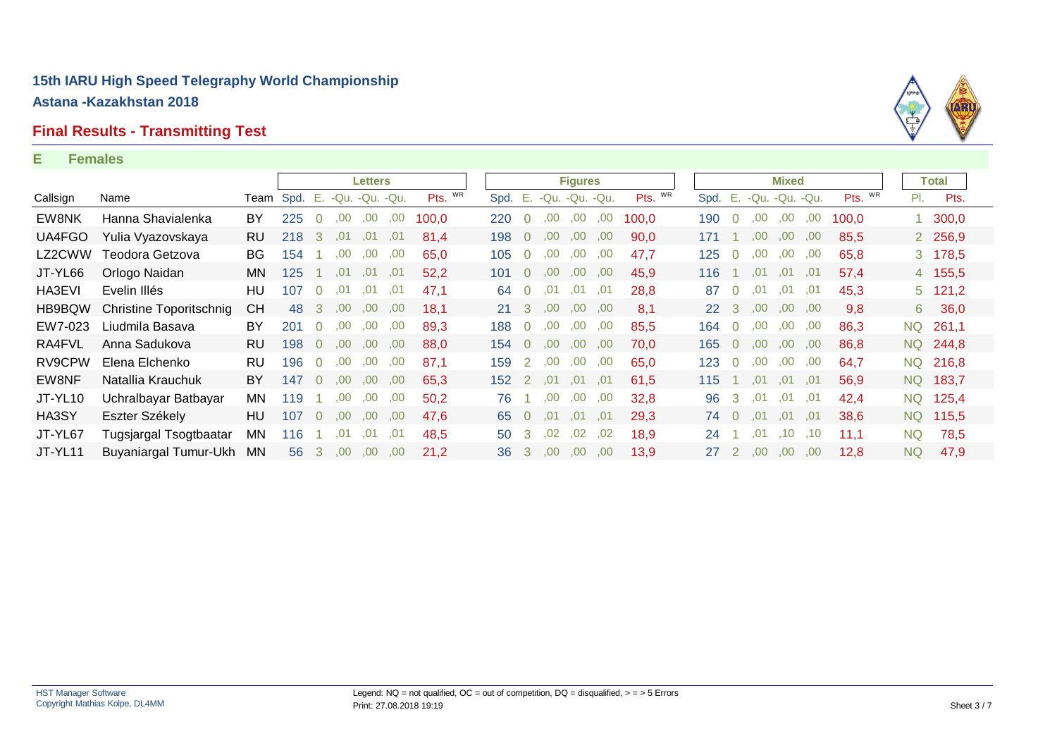# **Final Results - Transmitting Test**

#### **E Females**

|          |                         |           |                           |          |      | Letters     |      |         |                  |                |      | <b>Figures</b>    |     |         |           |                |                  | <b>Mixed</b>         |     |         |      | Total     |
|----------|-------------------------|-----------|---------------------------|----------|------|-------------|------|---------|------------------|----------------|------|-------------------|-----|---------|-----------|----------------|------------------|----------------------|-----|---------|------|-----------|
| Callsign | Name                    |           | <b>Team S</b> pd. E. -Qu. |          |      | $-Qu. -Qu.$ |      | Pts. WR | Spd.             |                |      | E. -Qu. -Qu. -Qu. |     | Pts. WR | Spd.      |                |                  | E. - Qu. - Qu. - Qu. |     | Pts. WR | PI.  | Pts.      |
| EW8NK    | Hanna Shavialenka       | BY        | 225                       | 0        | .00  | ,00         | ,00  | 100.0   | 220              | $\Omega$       | .00. | ,00               | ,00 | 100.0   | 190       | $\Omega$       | .00              | ,00                  | ,00 | 100.0   |      | 1, 300, 0 |
| UA4FGO   | Yulia Vyazovskaya       | <b>RU</b> | 218                       | 3        | .01  | .01         | .01  | 81.4    | 198              | $\overline{0}$ | 00.  | .00.              | .00 | 90,0    | 171       |                | .00.             | .00.                 | .00 | 85,5    |      | 2 256,9   |
| LZ2CWW   | Teodora Getzova         | <b>BG</b> | 154                       |          | .00  | .00.        | .00. | 65.0    | 105              | $\Omega$       | .00  | .00.              | .00 | 47.7    | 125       | $\overline{0}$ | .00              | .00.                 | .00 | 65,8    |      | 3 178,5   |
| JT-YL66  | Orlogo Naidan           | MN.       | 125                       |          | .01  | .01         | ,01  | 52,2    | 101              | $\Omega$       | .00. | .00.              | .00 | 45,9    | 116       |                | .01              | .01                  | .01 | 57,4    |      | 4 155,5   |
| HA3EVI   | Evelin Illés            | HU.       | 107                       | $\Omega$ | .01  | .01         | .01  | 47,1    | 64               | $\overline{0}$ | .01  | .01               | .01 | 28,8    | 87        | $\overline{0}$ | .01              | .01                  | ,01 | 45,3    |      | $5$ 121,2 |
| HB9BQW   | Christine Toporitschnig | <b>CH</b> | 48                        | 3        | .00. | .00.        | ,00  | 18.1    | 21               | $\mathcal{B}$  | .00. | .00.              | .00 | 8,1     | <b>22</b> | 3              | .00 <sub>1</sub> | .00.                 | .00 | 9,8     | 6    | 36,0      |
| EW7-023  | Liudmila Basava         | BY        | 201                       | $\Omega$ | .00  | .00.        | .00  | 89,3    | 188              | $\Omega$       | .00  | .00               | ,00 | 85,5    | 164       | $\Omega$       | .00              | .00.                 | ,00 | 86,3    | NQ.  | 261,1     |
| RA4FVL   | Anna Sadukova           | RU.       | 198                       | $\Omega$ | .00  | .00.        | ,00  | 88.0    | 154              | $\overline{0}$ | .00. | .00.              | ,00 | 70.0    | 165       | $\overline{0}$ | .00 <sub>1</sub> | ,00                  | ,00 | 86,8    |      | NQ 244,8  |
| RV9CPW   | Elena Elchenko          | <b>RU</b> | 196                       | $\Omega$ | .00  | .00.        | ,00  | 87.1    | 159              | $\mathcal{P}$  | .00  | .00.              | ,00 | 65,0    | 123       | $\Omega$       | .00              | .00.                 | ,00 | 64,7    |      | NQ 216,8  |
| EW8NF    | Natallia Krauchuk       | BY.       | 147                       | $\Omega$ | .00. | .00.        | .00  | 65.3    | 152 <sub>1</sub> | $\mathcal{P}$  | .01  | .01               | .01 | 61.5    | 115       |                | .01              | .01                  | .01 | 56.9    | NQ.  | 183,7     |
| JT-YL10  | Uchralbayar Batbayar    | MN.       | 119                       |          | .00  | .00.        | ,00  | 50,2    | 76               |                | .00  | .00.              | ,00 | 32,8    | 96        | 3              | .01              | .01                  | .01 | 42,4    | NQ I | 125,4     |
| HA3SY    | Eszter Székely          | HU.       | 107                       | $\Omega$ | .00. | .00.        | .00. | 47.6    | 65               | $\overline{0}$ | .01  | .01               | .01 | 29.3    | 74        | $\overline{0}$ | .01              | .01                  | .01 | 38,6    | NQ.  | 115,5     |
| JT-YL67  | Tugsjargal Tsogtbaatar  | MN.       | 116                       |          | .01  | .01         | .01  | 48.5    | 50               | 3              | .02  | .02               | .02 | 18.9    | 24        |                | .01              | .10                  | .10 | 11.1    | NQ   | 78,5      |
| JT-YL11  | Buyaniargal Tumur-Ukh   | <b>MN</b> | 56                        | 3        | .00. | .00.        | .00  | 21.2    | 36               | 3              | 00.  | .00.              | .00 | 13.9    | 27        | 2              | 00.              | .00.                 | .00 | 12,8    | NQ   | 47,9      |

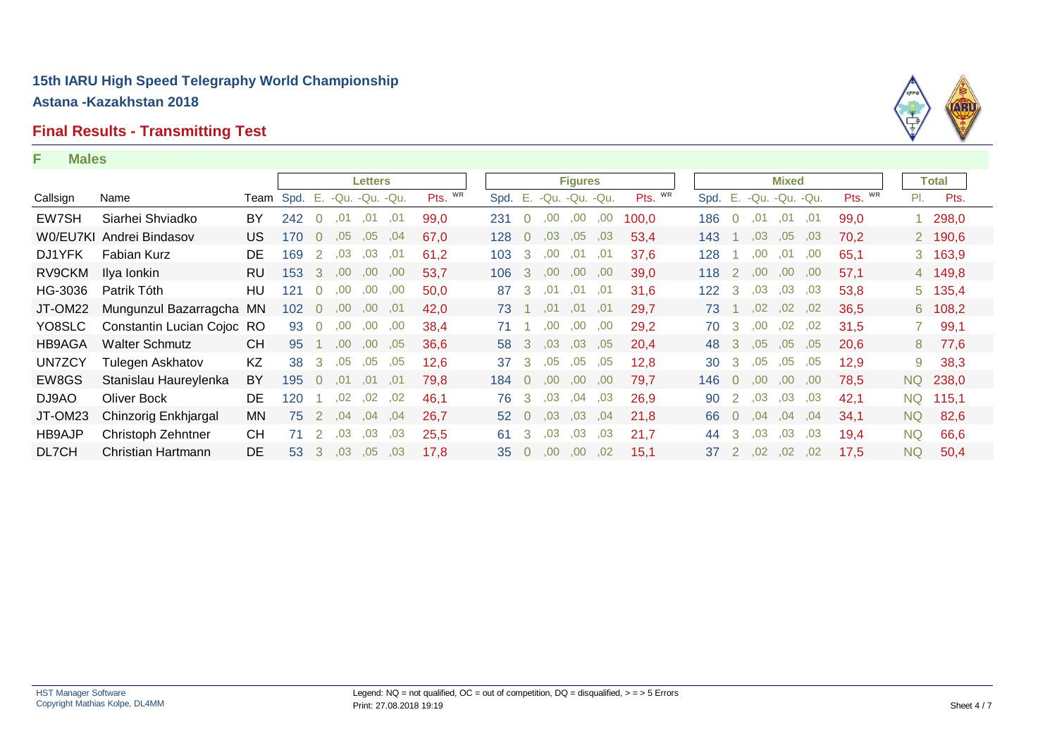#### **Final Results - Transmitting Test**

#### **F Males**

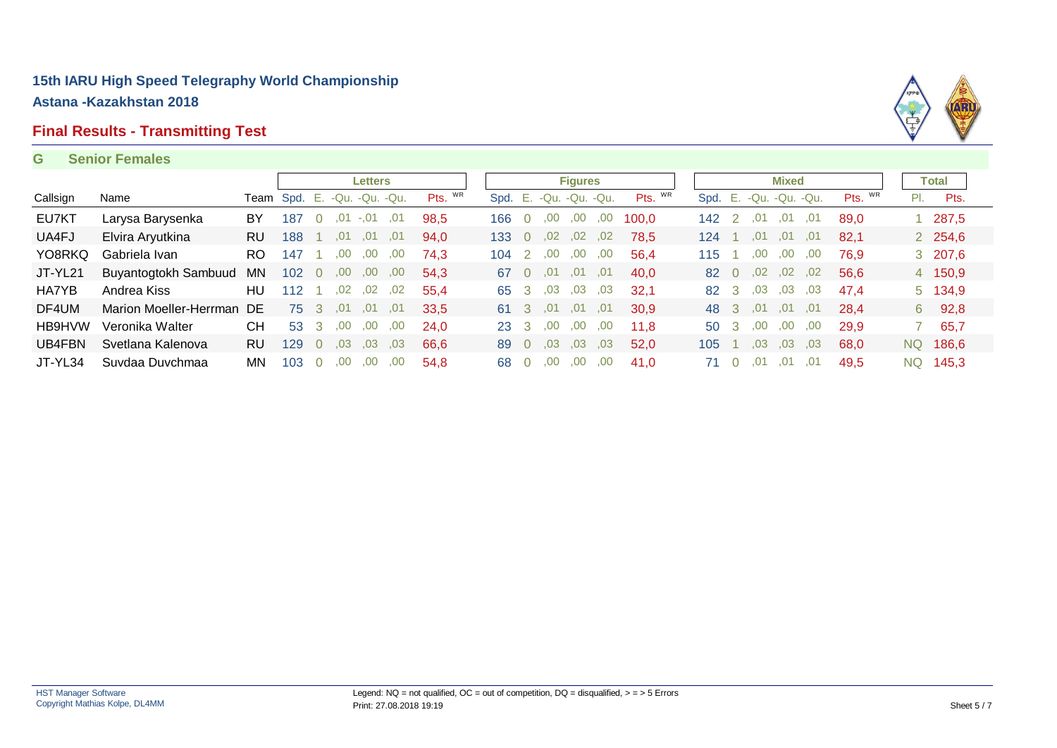#### **Final Results - Transmitting Test**

#### **G Senior Females**



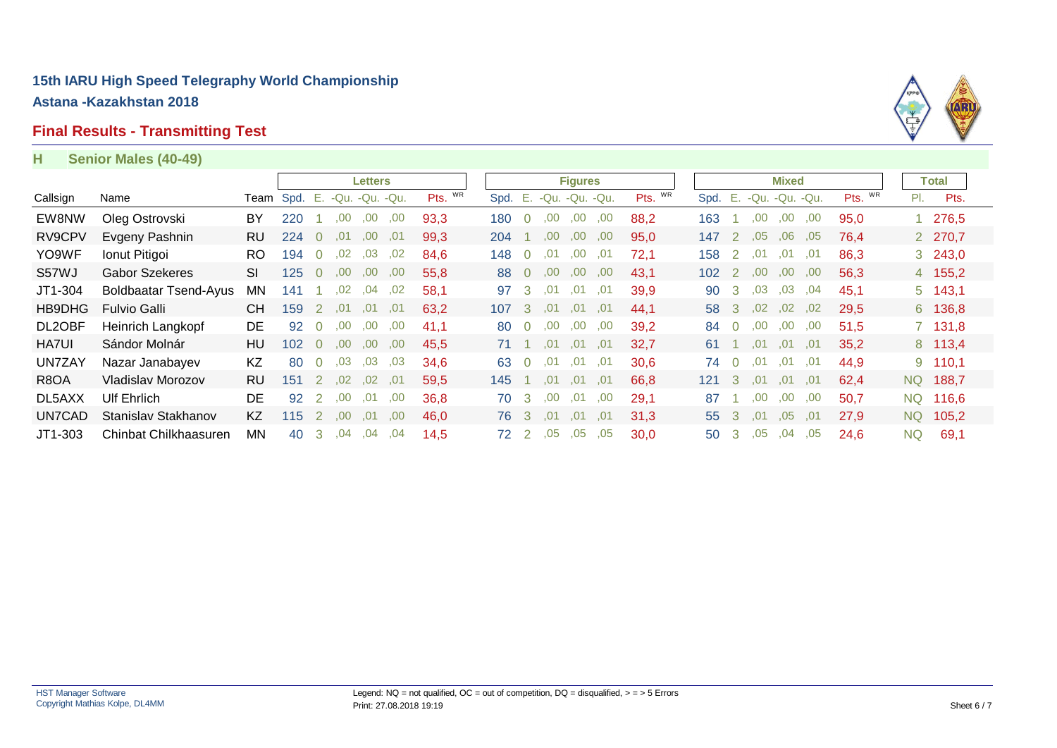#### **Final Results - Transmitting Test**

#### **H Senior Males (40-49)**



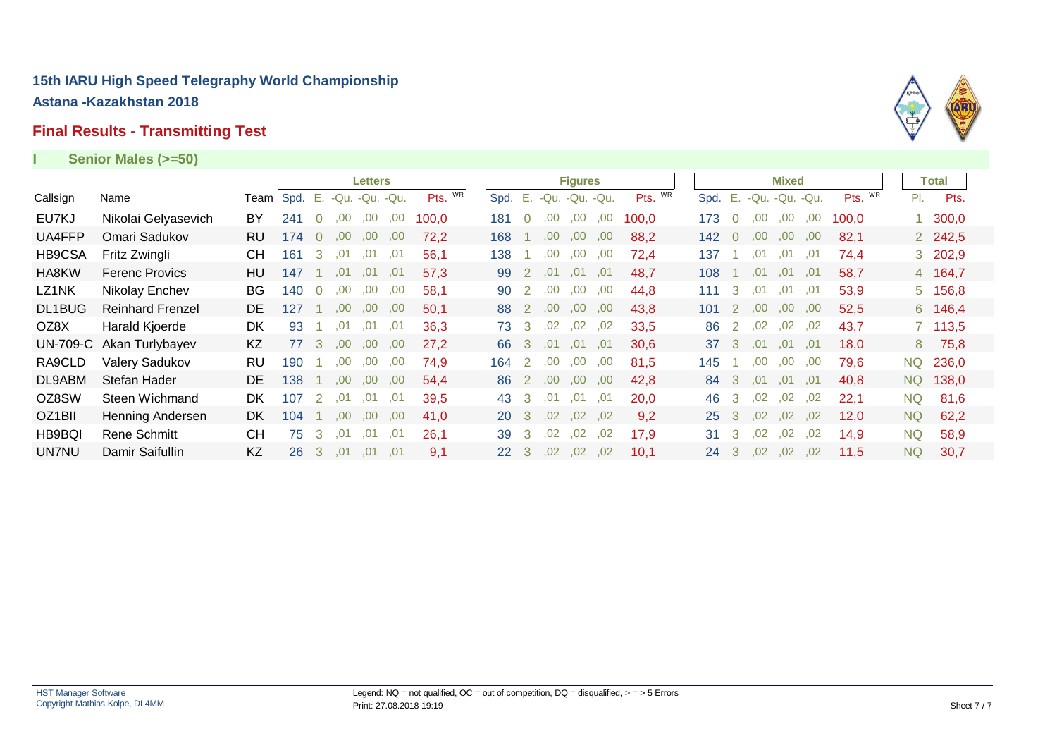#### **Final Results - Transmitting Test**

#### **I Senior Males (>=50)**

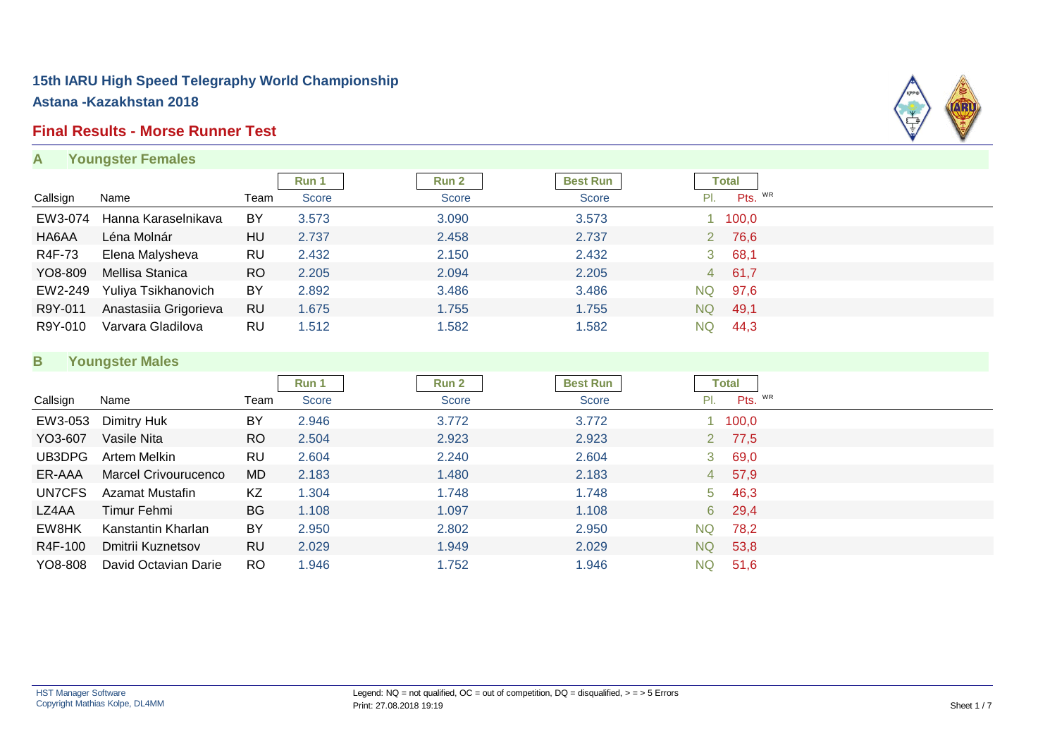# **Final Results - Morse Runner Test**

**A Youngster Females**



|          |                       |           | <b>Run 1</b> | Run 2 | <b>Best Run</b> |    | Total    |
|----------|-----------------------|-----------|--------------|-------|-----------------|----|----------|
| Callsign | Name                  | Team      | <b>Score</b> | Score | <b>Score</b>    |    | Pts. WR  |
| EW3-074  | Hanna Karaselnikava   | BY        | 3.573        | 3.090 | 3.573           |    | 1 100,0  |
| HA6AA    | Léna Molnár           | HU        | 2.737        | 2.458 | 2.737           |    | 2 76,6   |
| R4F-73   | Elena Malysheva       | RU        | 2.432        | 2.150 | 2.432           |    | 3, 68, 1 |
| YO8-809  | Mellisa Stanica       | <b>RO</b> | 2.205        | 2.094 | 2.205           |    | 4 61,7   |
| EW2-249  | Yuliya Tsikhanovich   | BY        | 2.892        | 3.486 | 3.486           | NQ | 97,6     |
| R9Y-011  | Anastasiia Grigorieva | <b>RU</b> | 1.675        | 1.755 | 1.755           | NQ | 49,1     |
| R9Y-010  | Varvara Gladilova     | RU        | 1.512        | 1.582 | 1.582           | NQ | 44,3     |

#### **B Youngster Males**

|          | $\sim$               |           |       |       |                 |           |              |  |
|----------|----------------------|-----------|-------|-------|-----------------|-----------|--------------|--|
|          |                      |           | Run 1 | Run 2 | <b>Best Run</b> |           | <b>Total</b> |  |
| Callsign | Name                 | Team      | Score | Score | <b>Score</b>    | PI.       | Pts. WR      |  |
| EW3-053  | Dimitry Huk          | BY        | 2.946 | 3.772 | 3.772           |           | 100,0        |  |
| YO3-607  | Vasile Nita          | <b>RO</b> | 2.504 | 2.923 | 2.923           |           | 2 77,5       |  |
| UB3DPG   | Artem Melkin         | RU        | 2.604 | 2.240 | 2.604           |           | 369,0        |  |
| ER-AAA   | Marcel Crivourucenco | <b>MD</b> | 2.183 | 1.480 | 2.183           |           | 4 57,9       |  |
| UN7CFS   | Azamat Mustafin      | KZ        | 1.304 | 1.748 | 1.748           | $5 -$     | 46,3         |  |
| LZ4AA    | Timur Fehmi          | <b>BG</b> | 1.108 | 1.097 | 1.108           |           | 6 29,4       |  |
| EW8HK    | Kanstantin Kharlan   | <b>BY</b> | 2.950 | 2.802 | 2.950           | <b>NQ</b> | 78,2         |  |
| R4F-100  | Dmitrii Kuznetsov    | <b>RU</b> | 2.029 | 1.949 | 2.029           | NQ.       | 53,8         |  |
| YO8-808  | David Octavian Darie | <b>RO</b> | 1.946 | 1.752 | 1.946           | <b>NQ</b> | 51,6         |  |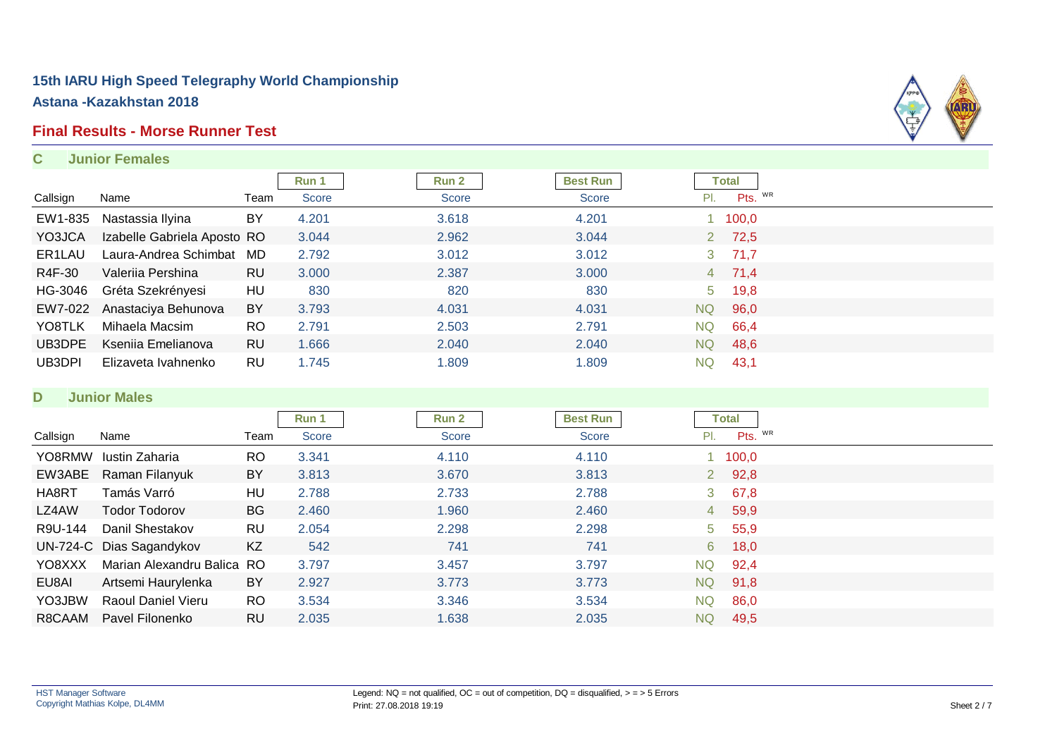#### **Final Results - Morse Runner Test**

#### **C Junior Females**



#### **D Junior Males**

|          |                            |           | Run 1        | <b>Run 2</b> | <b>Best Run</b> |           | Total         |  |
|----------|----------------------------|-----------|--------------|--------------|-----------------|-----------|---------------|--|
| Callsign | Name                       | Team      | <b>Score</b> | <b>Score</b> | Score           | PI.       | Pts. WR       |  |
| YO8RMW   | Iustin Zaharia             | RO.       | 3.341        | 4.110        | 4.110           |           | 1 100,0       |  |
| EW3ABE   | Raman Filanyuk             | BY        | 3.813        | 3.670        | 3.813           |           | $2\quad 92,8$ |  |
| HA8RT    | Tamás Varró                | HU        | 2.788        | 2.733        | 2.788           |           | $3\quad 67,8$ |  |
| LZ4AW    | Todor Todorov              | <b>BG</b> | 2.460        | 1.960        | 2.460           |           | 4 59,9        |  |
| R9U-144  | Danil Shestakov            | RU        | 2.054        | 2.298        | 2.298           |           | 5, 55, 9      |  |
|          | UN-724-C Dias Sagandykov   | KZ        | 542          | 741          | 741             | 6         | 18,0          |  |
| YO8XXX   | Marian Alexandru Balica RO |           | 3.797        | 3.457        | 3.797           | <b>NQ</b> | 92,4          |  |
| EU8AI    | Artsemi Haurylenka         | BY        | 2.927        | 3.773        | 3.773           | <b>NQ</b> | 91,8          |  |
| YO3JBW   | Raoul Daniel Vieru         | RO.       | 3.534        | 3.346        | 3.534           | <b>NQ</b> | 86,0          |  |
| R8CAAM   | Pavel Filonenko            | RU        | 2.035        | 1.638        | 2.035           | NQ.       | 49,5          |  |

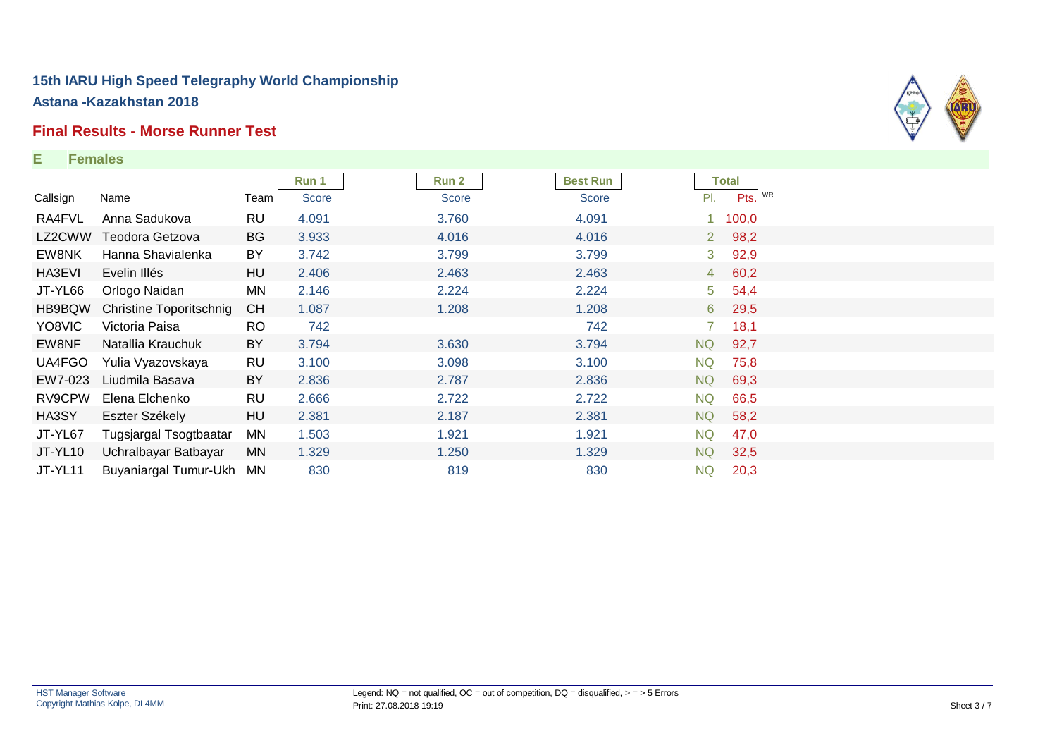#### **Final Results - Morse Runner Test**

#### **E Females**



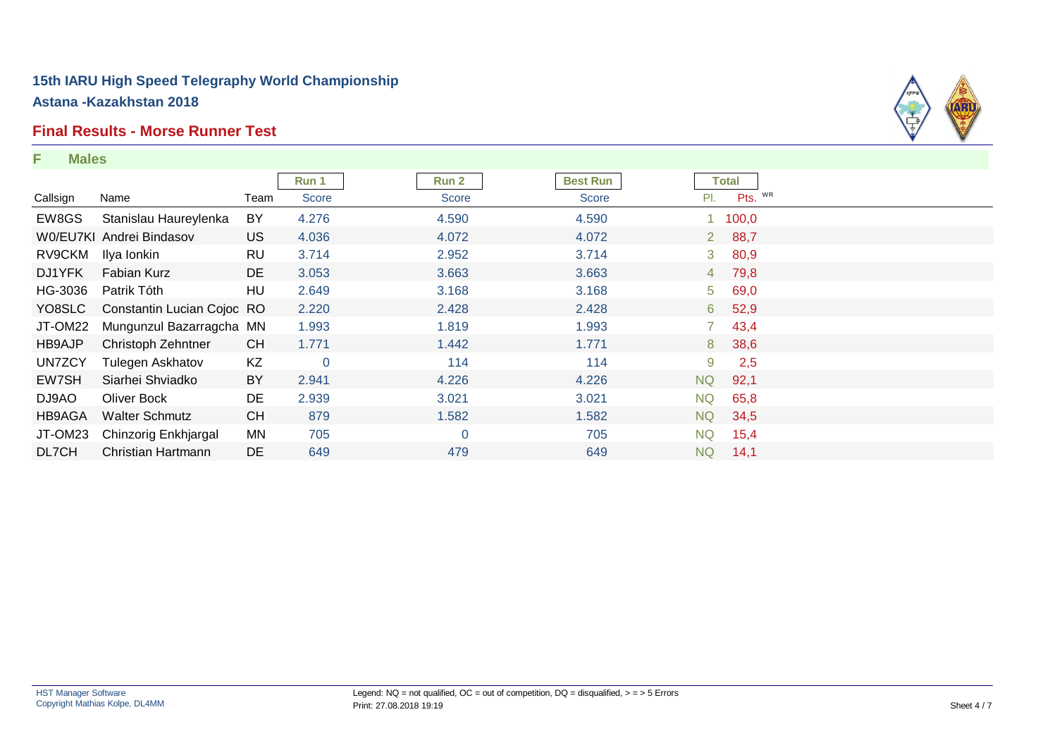# **Final Results - Morse Runner Test**

#### **F Males**



|          |                            |           | Run 1          | Run 2          | <b>Best Run</b> | <b>Total</b>           |  |
|----------|----------------------------|-----------|----------------|----------------|-----------------|------------------------|--|
| Callsign | Name                       | Team      | <b>Score</b>   | Score          | <b>Score</b>    | Pts. WR<br>PI.         |  |
| EW8GS    | Stanislau Haureylenka      | BY        | 4.276          | 4.590          | 4.590           | 100,0                  |  |
|          | W0/EU7KI Andrei Bindasov   | US.       | 4.036          | 4.072          | 4.072           | 2 88,7                 |  |
| RV9CKM   | Ilya Ionkin                | <b>RU</b> | 3.714          | 2.952          | 3.714           | 80,9<br>3 <sup>7</sup> |  |
| DJ1YFK   | <b>Fabian Kurz</b>         | DE        | 3.053          | 3.663          | 3.663           | 4 79,8                 |  |
| HG-3036  | Patrik Tóth                | HU        | 2.649          | 3.168          | 3.168           | 5 <sub>5</sub><br>69,0 |  |
| YO8SLC   | Constantin Lucian Cojoc RO |           | 2.220          | 2.428          | 2.428           | 52,9<br>6              |  |
| JT-OM22  | Mungunzul Bazarragcha MN   |           | 1.993          | 1.819          | 1.993           | 43,4                   |  |
| HB9AJP   | Christoph Zehntner         | <b>CH</b> | 1.771          | 1.442          | 1.771           | 38,6<br>8              |  |
| UN7ZCY   | <b>Tulegen Askhatov</b>    | KZ        | $\overline{0}$ | 114            | 114             | 9<br>2,5               |  |
| EW7SH    | Siarhei Shviadko           | BY        | 2.941          | 4.226          | 4.226           | <b>NQ</b><br>92,1      |  |
| DJ9AO    | Oliver Bock                | DE        | 2.939          | 3.021          | 3.021           | NQ.<br>65,8            |  |
| HB9AGA   | <b>Walter Schmutz</b>      | <b>CH</b> | 879            | 1.582          | 1.582           | <b>NQ</b><br>34,5      |  |
| JT-OM23  | Chinzorig Enkhjargal       | MN        | 705            | $\overline{0}$ | 705             | <b>NQ</b><br>15,4      |  |
| DL7CH    | Christian Hartmann         | <b>DE</b> | 649            | 479            | 649             | <b>NQ</b><br>14,1      |  |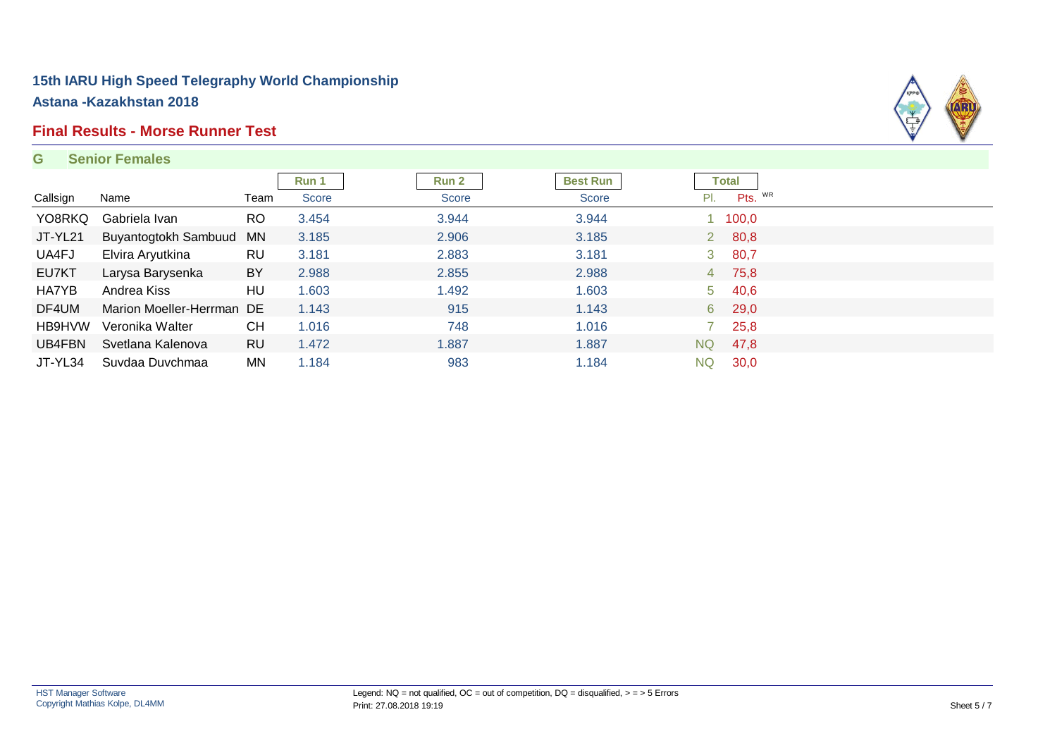# **Final Results - Morse Runner Test**

#### **G Senior Females**



|          |                           |           | Run 1 | <b>Run 2</b> | <b>Best Run</b> |     | Total         |  |
|----------|---------------------------|-----------|-------|--------------|-----------------|-----|---------------|--|
| Callsign | Name                      | Team      | Score | Score        | <b>Score</b>    | PI. | Pts. WR       |  |
| YO8RKQ   | Gabriela Ivan             | <b>RO</b> | 3.454 | 3.944        | 3.944           |     | 1 100,0       |  |
| JT-YL21  | Buyantogtokh Sambuud      | <b>MN</b> | 3.185 | 2.906        | 3.185           |     | $2\quad 80,8$ |  |
| UA4FJ    | Elvira Aryutkina          | <b>RU</b> | 3.181 | 2.883        | 3.181           | 3   | 80,7          |  |
| EU7KT    | Larysa Barysenka          | BY        | 2.988 | 2.855        | 2.988           |     | 4 75,8        |  |
| HA7YB    | Andrea Kiss               | HU        | 1.603 | 1.492        | 1.603           |     | $5\quad 40,6$ |  |
| DF4UM    | Marion Moeller-Herrman DE |           | 1.143 | 915          | 1.143           |     | 6 29,0        |  |
| HB9HVW   | Veronika Walter           | <b>CH</b> | 1.016 | 748          | 1.016           |     | 25,8          |  |
| UB4FBN   | Svetlana Kalenova         | <b>RU</b> | 1.472 | 1.887        | 1.887           | NQ. | 47,8          |  |
| JT-YL34  | Suvdaa Duvchmaa           | MN        | 1.184 | 983          | 1.184           | NQ. | 30,0          |  |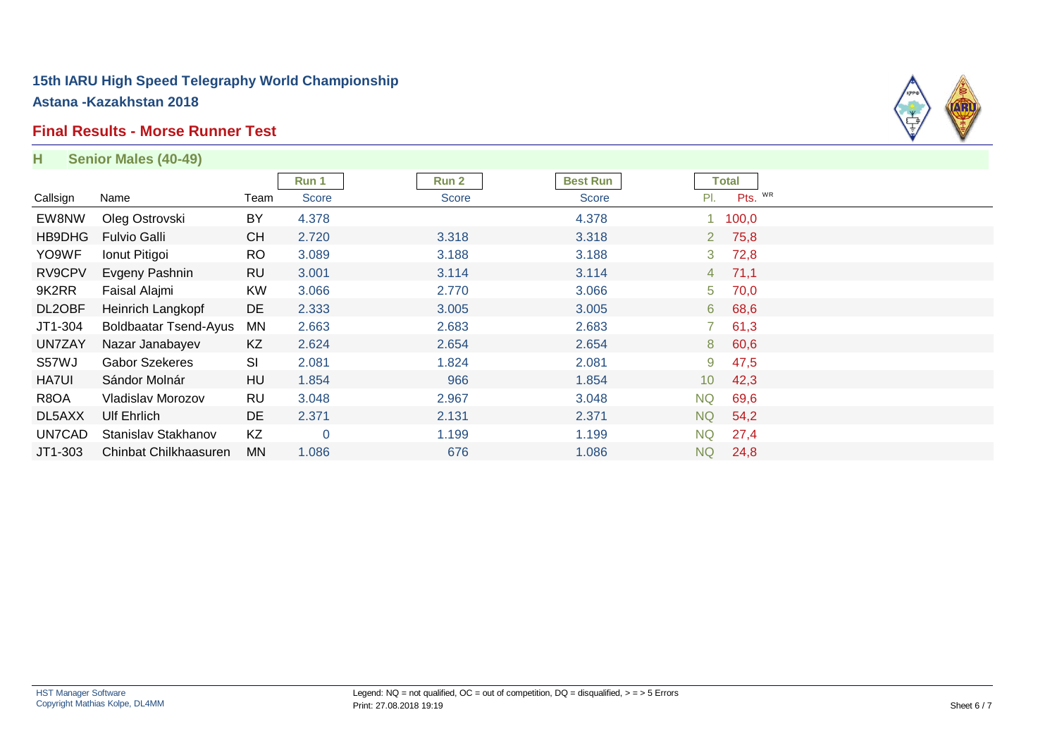#### **Final Results - Morse Runner Test**



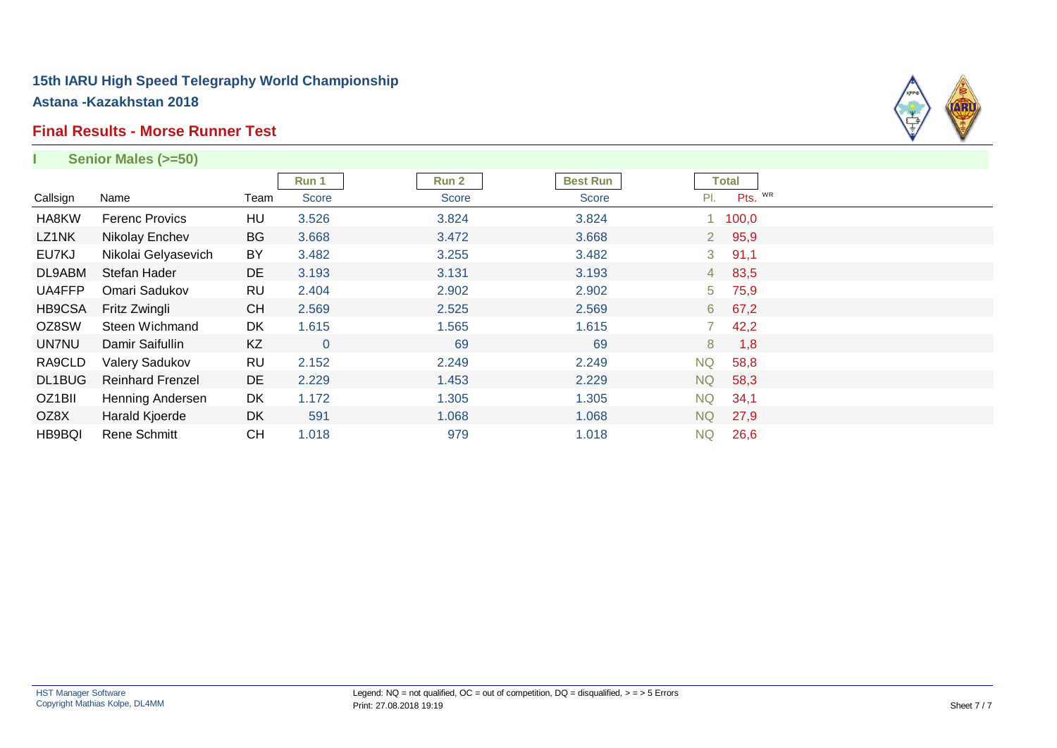#### **Final Results - Morse Runner Test**



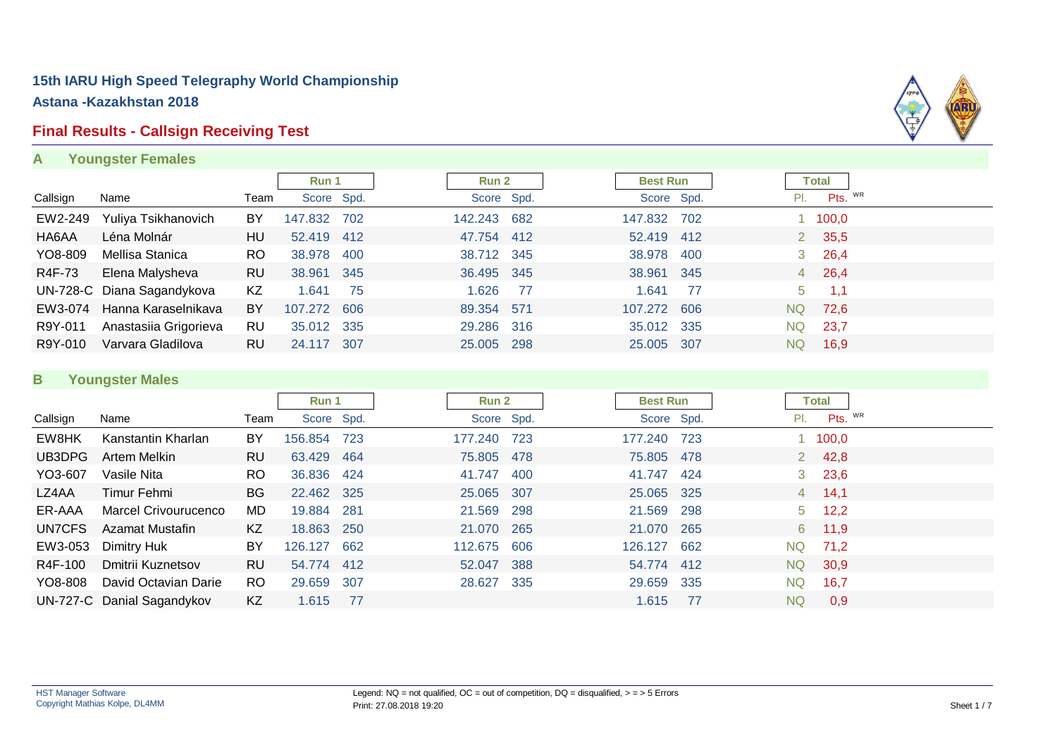# **Final Results - Callsign Receiving Test**

**A Youngster Females**



|          |                             |           | Run 1       |       | Run 2       |     | <b>Best Run</b> |     |           | <b>Total</b> |  |
|----------|-----------------------------|-----------|-------------|-------|-------------|-----|-----------------|-----|-----------|--------------|--|
| Callsign | Name                        | Team      | Score Spd.  |       | Score Spd.  |     | Score Spd.      |     | PI.       | Pts. WR      |  |
| EW2-249  | Yuliya Tsikhanovich         | BY        | 147.832     | 702   | 142.243 682 |     | 147.832         | 702 |           | 100,0        |  |
| HA6AA    | Léna Molnár                 | HU        | 52.419 412  |       | 47.754 412  |     | 52.419 412      |     |           | 2 35,5       |  |
| YO8-809  | Mellisa Stanica             | RO.       | 38.978      | 400   | 38.712 345  |     | 38.978          | 400 | 3         | 26,4         |  |
| R4F-73   | Elena Malysheva             | RU        | 38.961      | - 345 | 36.495 345  |     | 38.961 345      |     |           | 4 26,4       |  |
|          | UN-728-C Diana Sagandykova  | KZ        | 1.641       | - 75  | 1.626       | -77 | 1.641           | -77 | $5 -$     | 1,1          |  |
|          | EW3-074 Hanna Karaselnikava | BY        | 107.272 606 |       | 89.354 571  |     | 107.272         | 606 | NQ        | 72,6         |  |
| R9Y-011  | Anastasiia Grigorieva       | RU        | 35.012 335  |       | 29.286 316  |     | 35.012 335      |     | <b>NQ</b> | 23,7         |  |
| R9Y-010  | Varvara Gladilova           | <b>RU</b> | 24.117      | 307   | 25.005 298  |     | 25.005 307      |     | NQ.       | 16.9         |  |

#### **B Youngster Males**

|          |                            |           | Run 1       |       | Run 2       |            | <b>Best Run</b> |       | <b>Total</b> |                |  |
|----------|----------------------------|-----------|-------------|-------|-------------|------------|-----------------|-------|--------------|----------------|--|
| Callsign | Name                       | Team      | Score Spd.  |       |             | Score Spd. | Score Spd.      |       | PI.          | Pts. WR        |  |
| EW8HK    | Kanstantin Kharlan         | BY        | 156.854 723 |       | 177.240     | - 723      | 177.240         | - 723 |              | 100,0          |  |
| UB3DPG   | Artem Melkin               | <b>RU</b> | 63.429      | -464  | 75.805 478  |            | 75.805 478      |       |              | 2, 42, 8       |  |
| YO3-607  | Vasile Nita                | RO.       | 36.836 424  |       | 41.747      | -400       | 41.747          | -424  |              | $3\quad 23,6$  |  |
| LZ4AA    | Timur Fehmi                | <b>BG</b> | 22.462 325  |       | 25.065 307  |            | 25.065 325      |       |              | 4, 14, 1       |  |
| ER-AAA   | Marcel Crivourucenco       | MD        | 19.884 281  |       | 21.569 298  |            | 21.569 298      |       |              | $5 \quad 12,2$ |  |
| UN7CFS   | Azamat Mustafin            | KZ        | 18.863 250  |       | 21.070 265  |            | 21.070 265      |       |              | 6 11,9         |  |
| EW3-053  | Dimitry Huk                | BY        | 126.127     | 662   | 112.675 606 |            | 126.127         | 662   | NQ.          | 71,2           |  |
| R4F-100  | Dmitrii Kuznetsov          | <b>RU</b> | 54.774 412  |       | 52.047 388  |            | 54.774 412      |       | NQ N         | 30,9           |  |
| YO8-808  | David Octavian Darie       | RO.       | 29.659      | - 307 | 28.627 335  |            | 29.659 335      |       | NQ.          | 16,7           |  |
|          | UN-727-C Danial Sagandykov | KZ        | 1.615       | 77    |             |            | 1.615           | -77   | NQ           | 0.9            |  |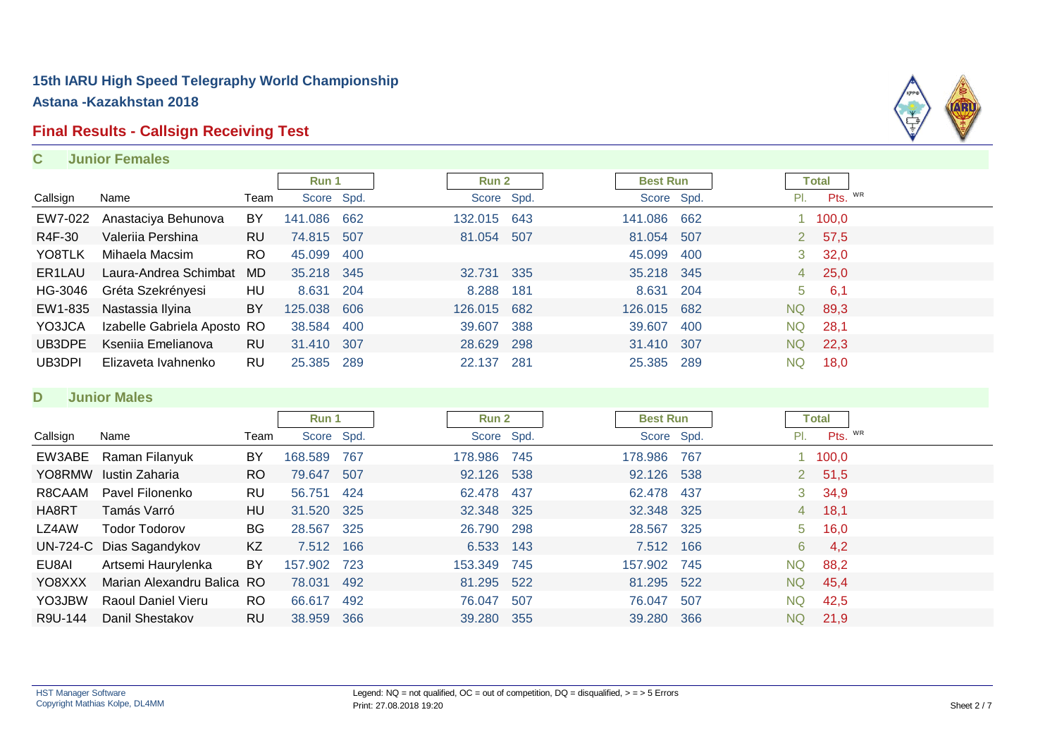# **Final Results - Callsign Receiving Test**

#### **C Junior Females**



#### **D Junior Males**

|          |                            |           | Run 1      |     |         | Run 2       |      | <b>Best Run</b> |       |     | <b>Total</b> |               |  |
|----------|----------------------------|-----------|------------|-----|---------|-------------|------|-----------------|-------|-----|--------------|---------------|--|
| Callsign | Name                       | Team      | Score Spd. |     |         | Score Spd.  |      | Score Spd.      |       |     | PI.          | Pts. WR       |  |
|          | EW3ABE Raman Filanyuk      | BY        | 168,589    | 767 |         | 178.986 745 |      | 178.986         | 767   |     |              | 100,0         |  |
| YO8RMW   | lustin Zaharia             | <b>RO</b> | 79.647 507 |     |         | 92.126 538  |      | 92.126 538      |       |     |              | 2, 51, 5      |  |
| R8CAAM   | Pavel Filonenko            | RU        | 56.751     | 424 |         | 62.478 437  |      | 62.478 437      |       |     |              | $3\quad 34.9$ |  |
| HA8RT    | Tamás Varró                | HU        | 31.520 325 |     |         | 32.348 325  |      | 32.348 325      |       |     |              | 4 18,1        |  |
| LZ4AW    | Todor Todorov              | <b>BG</b> | 28.567 325 |     |         | 26.790 298  |      | 28.567          | - 325 |     |              | $5\quad 16,0$ |  |
|          | UN-724-C Dias Sagandykov   | KZ        | 7.512 166  |     |         | 6.533 143   |      | 7.512 166       |       |     | 6            | 4,2           |  |
| EU8AI    | Artsemi Haurylenka         | BY        | 157.902    | 723 | 153.349 |             | 745  | 157.902         | 745   | NQ  |              | 88,2          |  |
| YO8XXX   | Marian Alexandru Balica RO |           | 78.031     | 492 |         | 81.295 522  |      | 81.295          | 522   | NQ  |              | 45,4          |  |
| YO3JBW   | <b>Raoul Daniel Vieru</b>  | RO.       | 66.617     | 492 |         | 76.047      | -507 | 76.047          | 507   | NQ. |              | 42,5          |  |
| R9U-144  | Danil Shestakov            | <b>RU</b> | 38.959     | 366 |         | 39.280 355  |      | 39.280          | 366   | NQ. |              | 21,9          |  |

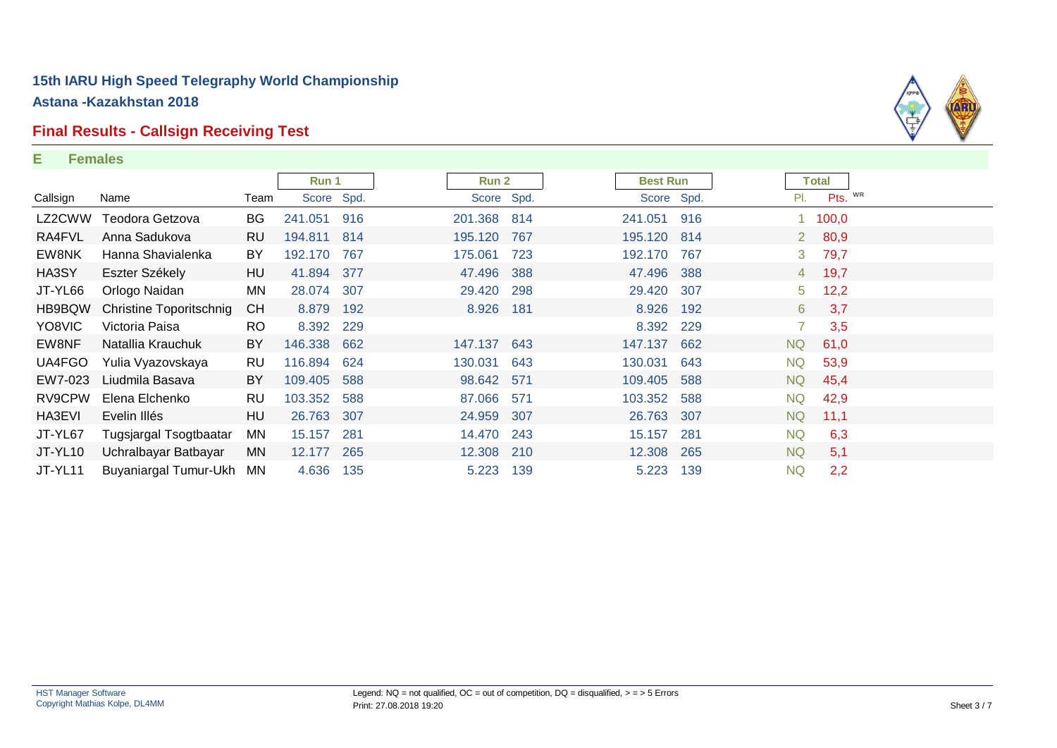### **Final Results - Callsign Receiving Test**

#### **E Females**



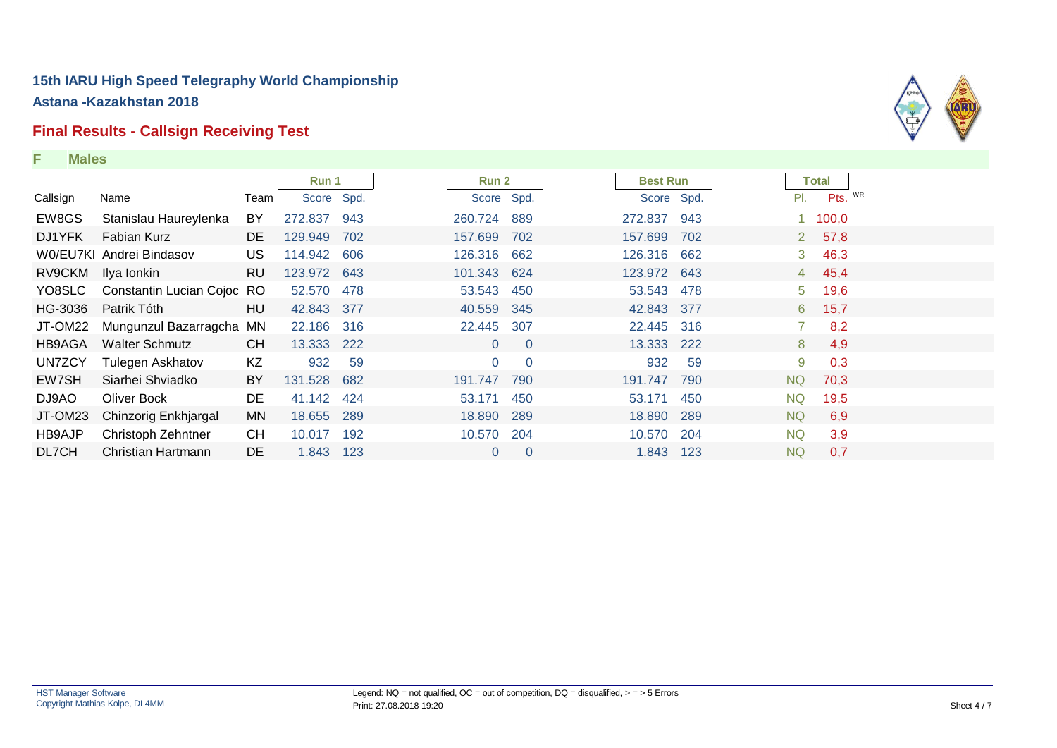### **Final Results - Callsign Receiving Test**

**F Males**



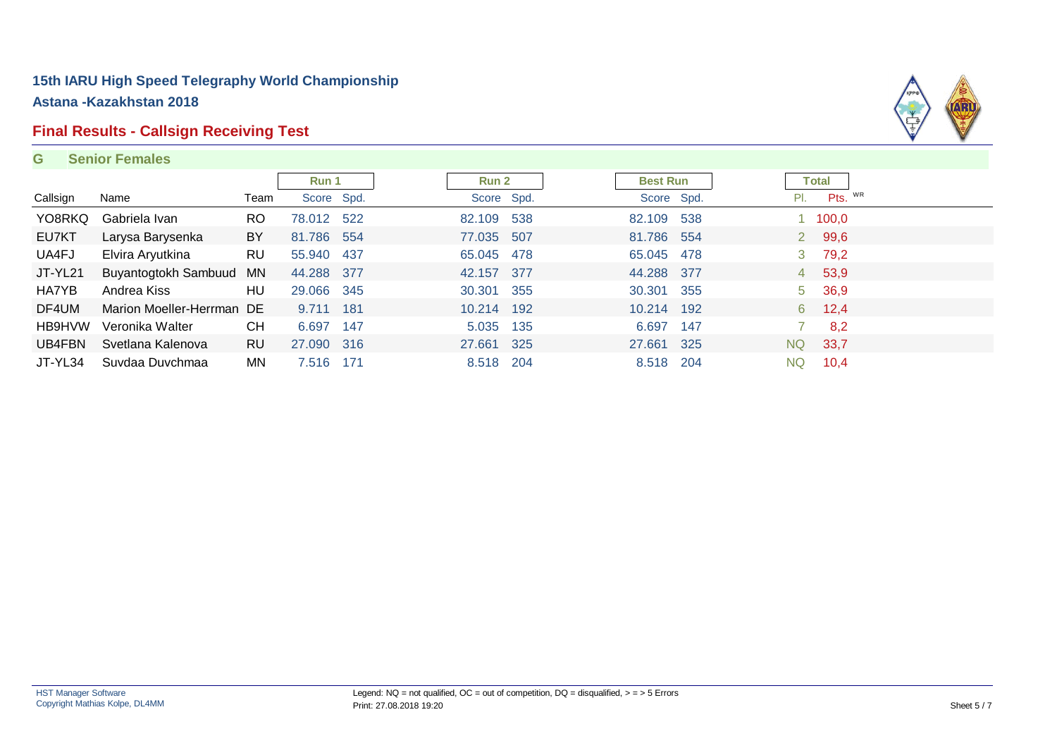# **Final Results - Callsign Receiving Test**

#### **G Senior Females**



|          |                           |           | Run 1      |     | <b>Run 2</b> |            | <b>Best Run</b> |     | <b>Total</b> |                 |  |
|----------|---------------------------|-----------|------------|-----|--------------|------------|-----------------|-----|--------------|-----------------|--|
| Callsign | Name                      | Team      | Score Spd. |     |              | Score Spd. | Score Spd.      |     | PI.          | Pts. WR         |  |
| YO8RKQ   | Gabriela Ivan             | RO.       | 78.012 522 |     | 82.109 538   |            | 82.109 538      |     |              | $1 \quad 100,0$ |  |
| EU7KT    | Larysa Barysenka          | BY        | 81.786 554 |     | 77.035 507   |            | 81.786 554      |     |              | 2 99,6          |  |
| UA4FJ    | Elvira Aryutkina          | <b>RU</b> | 55.940 437 |     | 65.045 478   |            | 65.045 478      |     | 3            | 79,2            |  |
| JT-YL21  | Buyantogtokh Sambuud MN   |           | 44.288 377 |     | 42.157 377   |            | 44.288 377      |     |              | 4 53,9          |  |
| HA7YB    | Andrea Kiss               | HU        | 29.066 345 |     | 30.301 355   |            | 30.301 355      |     |              | 5 36,9          |  |
| DF4UM    | Marion Moeller-Herrman DE |           | 9.711      | 181 | 10.214 192   |            | 10.214 192      |     | 6            | 12,4            |  |
| HB9HVW   | Veronika Walter           | <b>CH</b> | 6.697      | 147 | 5.035 135    |            | 6.697           | 147 |              | 8,2             |  |
| UB4FBN   | Svetlana Kalenova         | RU        | 27.090 316 |     | 27.661 325   |            | 27.661          | 325 | <b>NQ</b>    | 33,7            |  |
| JT-YL34  | Suvdaa Duvchmaa           | MN        | 7.516 171  |     | 8.518 204    |            | 8.518 204       |     | <b>NQ</b>    | 10,4            |  |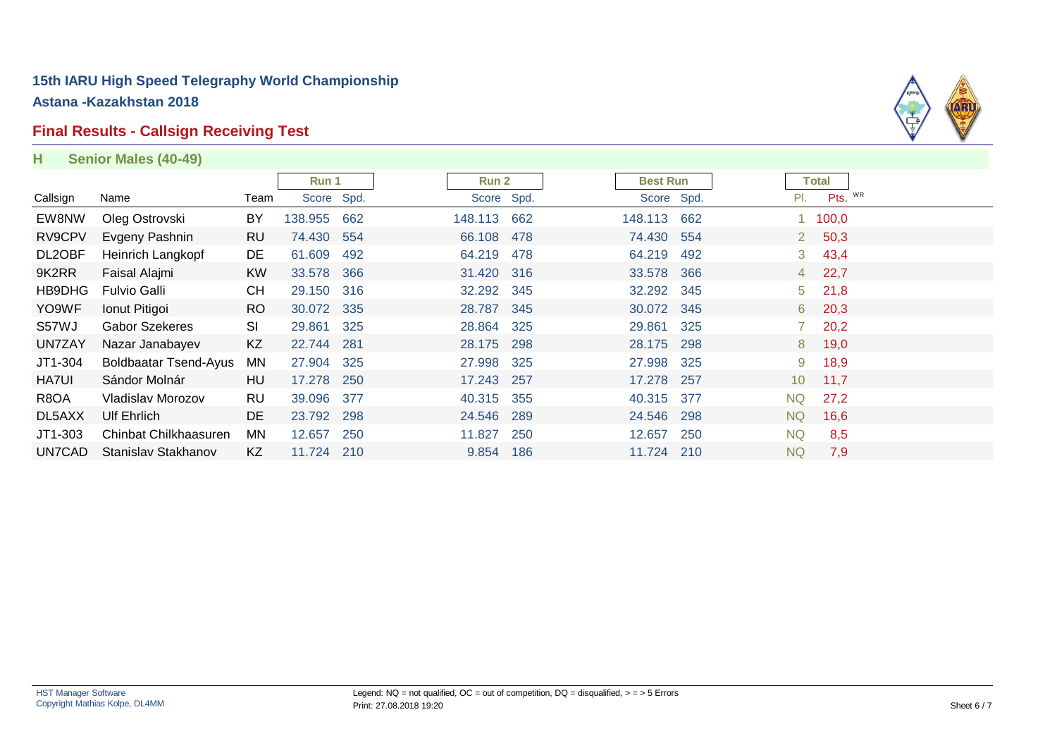# **Final Results - Callsign Receiving Test**

**H Senior Males (40-49)**



|              |                              |           | Run 1      |     | <b>Run 2</b> |     | <b>Best Run</b> |     | <b>Total</b>            |         |
|--------------|------------------------------|-----------|------------|-----|--------------|-----|-----------------|-----|-------------------------|---------|
| Callsign     | Name                         | Team      | Score Spd. |     | Score Spd.   |     | Score Spd.      |     | PI.                     | Pts. WR |
| EW8NW        | Oleg Ostrovski               | BY        | 138.955    | 662 | 148.113 662  |     | 148.113         | 662 | 1 100,0                 |         |
| RV9CPV       | Evgeny Pashnin               | <b>RU</b> | 74.430 554 |     | 66.108 478   |     | 74.430 554      |     | 50,3<br>$2^{\circ}$     |         |
| DL2OBF       | Heinrich Langkopf            | DE        | 61.609     | 492 | 64.219       | 478 | 64.219          | 492 | 3, 43, 4                |         |
| 9K2RR        | Faisal Alajmi                | <b>KW</b> | 33.578 366 |     | 31.420 316   |     | 33.578          | 366 | 22,7<br>$4 \quad$       |         |
| HB9DHG       | Fulvio Galli                 | <b>CH</b> | 29.150 316 |     | 32.292 345   |     | 32.292 345      |     | $5$ 21,8                |         |
| YO9WF        | Ionut Pitigoi                | <b>RO</b> | 30.072 335 |     | 28.787 345   |     | 30.072 345      |     | 20,3<br>6               |         |
| S57WJ        | <b>Gabor Szekeres</b>        | SI        | 29.861     | 325 | 28.864 325   |     | 29.861          | 325 | 20,2<br>7               |         |
| UN7ZAY       | Nazar Janabayev              | KZ        | 22.744 281 |     | 28.175 298   |     | 28.175          | 298 | 19,0<br>8               |         |
| JT1-304      | <b>Boldbaatar Tsend-Ayus</b> | MN        | 27.904 325 |     | 27.998 325   |     | 27.998          | 325 | 18,9<br>9               |         |
| <b>HA7UI</b> | Sándor Molnár                | HU        | 17.278 250 |     | 17.243 257   |     | 17.278          | 257 | 11,7<br>10 <sup>°</sup> |         |
| R8OA         | Vladislav Morozov            | <b>RU</b> | 39.096 377 |     | 40.315 355   |     | 40.315          | 377 | <b>NQ</b><br>27,2       |         |
| DL5AXX       | Ulf Ehrlich                  | DE        | 23.792 298 |     | 24.546 289   |     | 24.546          | 298 | NQ.<br>16,6             |         |
| JT1-303      | Chinbat Chilkhaasuren        | MN        | 12.657     | 250 | 11.827       | 250 | 12.657          | 250 | <b>NQ</b>               | 8,5     |
| UN7CAD       | Stanislav Stakhanov          | KZ        | 11.724 210 |     | 9.854 186    |     | 11.724 210      |     | <b>NQ</b>               | 7,9     |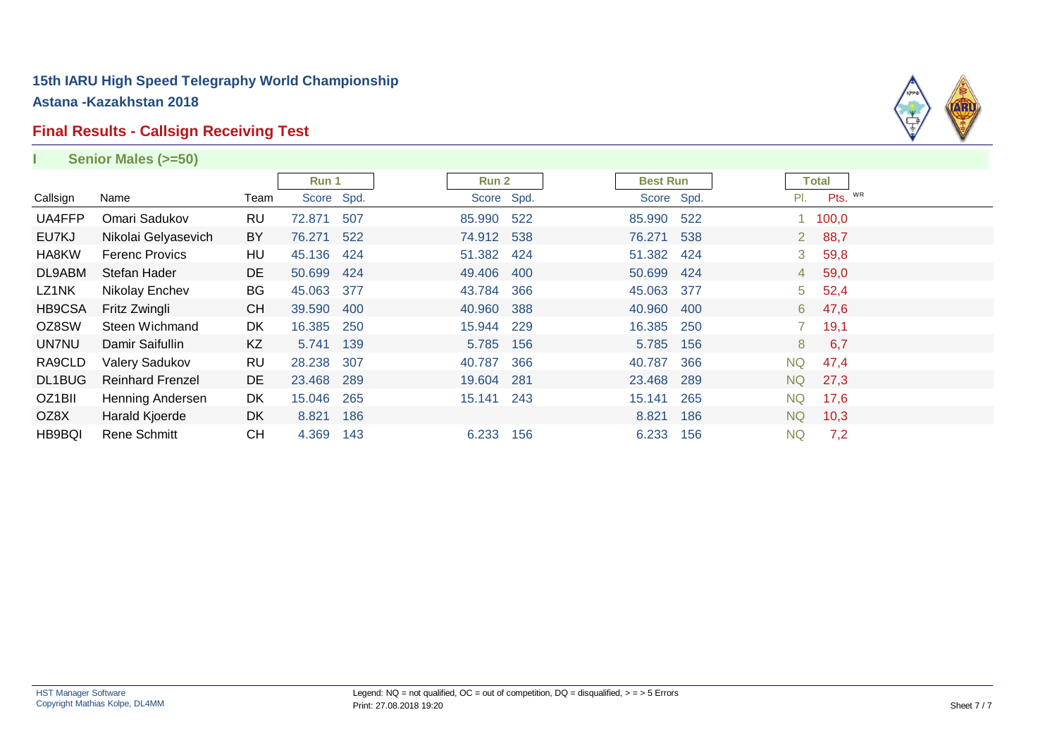#### **Final Results - Callsign Receiving Test**



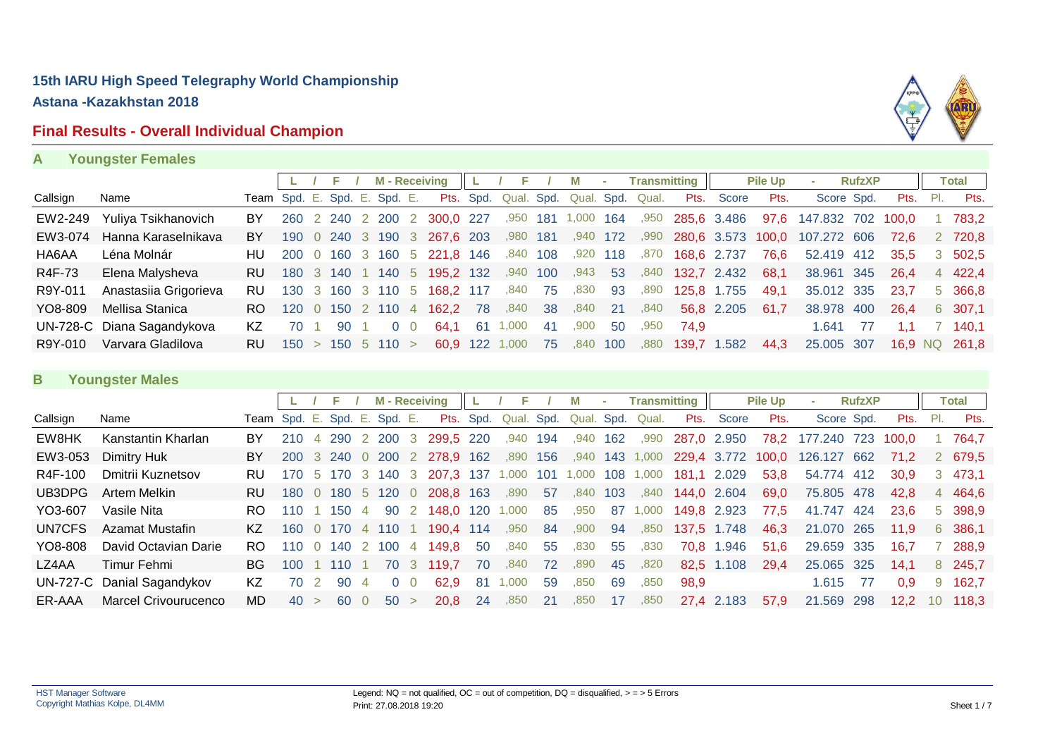# **Final Results - Overall Individual Champion**



| А | <b>Youngster Females</b> |  |
|---|--------------------------|--|
|   |                          |  |

|          |                            |                              |                     |       |         | <b>M</b> - Receiving |                             |     | F.             |     | м         | $\sim$ |                                       | <b>Transmitting</b> |                  | <b>Pile Up</b> | $\sim$                                      | <b>RufzXP</b> |       |                 | <b>Total</b>  |
|----------|----------------------------|------------------------------|---------------------|-------|---------|----------------------|-----------------------------|-----|----------------|-----|-----------|--------|---------------------------------------|---------------------|------------------|----------------|---------------------------------------------|---------------|-------|-----------------|---------------|
| Callsign | Name                       | Team Spd. E. Spd. E. Spd. E. |                     |       |         |                      |                             |     |                |     |           |        | Pts. Spd. Qual. Spd. Qual. Spd. Qual. |                     | Pts. Score       | Pts.           | Score Spd.                                  |               |       | <b>Pts.</b> Pl. | Pts.          |
| EW2-249  | Yuliya Tsikhanovich        | BY                           |                     |       |         |                      | 260 2 240 2 200 2 300,0 227 |     | ,950 181       |     | 1,000 164 |        |                                       |                     | ,950 285,6 3.486 |                | 97,6 147.832 702 100,0                      |               |       |                 | 783.2         |
| EW3-074  | Hanna Karaselnikava        | BY                           |                     |       |         |                      | 190 0 240 3 190 3 267,6 203 |     | ,980 181       |     |           |        |                                       |                     |                  |                | ,940 172 ,990 280,6 3.573 100,0 107.272 606 |               | 72.6  |                 | 2 720.8       |
| HA6AA    | Léna Molnár                | HU                           |                     |       |         |                      | 200 0 160 3 160 5 221,8 146 |     | ,840 108       |     | .920      | 118    |                                       | ,870 168,6 2.737    |                  | 76.6           | 52.419 412                                  |               | 35.5  |                 | 3 502.5       |
| R4F-73   | Elena Malysheva            | RU.                          | 180 3 140           |       | 1 140 5 |                      | 195,2 132                   |     | .940           | 100 | .943      | 53     |                                       | ,840 132,7 2.432    |                  | 68.1           | 38,961 345                                  |               | -26.4 |                 | 4 422,4       |
| R9Y-011  | Anastasiia Grigorieva      | RU.                          |                     |       |         |                      | 130 3 160 3 110 5 168.2 117 |     | ,840           | 75  | ,830      | 93     | ,890                                  | 125,8 1.755         |                  | 49.1           | 35,012 335                                  |               | -23.7 |                 | 5 366,8       |
| YO8-809  | Mellisa Stanica            | RO.                          | 120                 | 0 150 | 2 110 4 |                      | 162,2 78                    |     | ,840           | 38  | ,840      | 21     | ,840                                  |                     | 56.8 2.205       | 61.7           | 38,978 400                                  |               | 26.4  |                 | 6 307,1       |
|          | UN-728-C Diana Sagandykova | KZ.                          | 70                  | 90.   |         | $0\quad 0$           | 64.1                        | -61 | 1.000          | -41 | .900      | 50     | .950                                  | 74.9                |                  |                | 1.641                                       | 77            |       |                 | 7 140,1       |
| R9Y-010  | Varvara Gladilova          | RU.                          | $150 > 150$ 5 110 > |       |         |                      |                             |     | 60.9 122 1,000 | 75  | ,840      | 100    | ,880                                  |                     | 139,7 1.582      | 44.3           | 25,005 307                                  |               |       |                 | 16,9 NQ 261,8 |

#### **B Youngster Males**

|          |                            |                              |            |                             |             |                |            |                | <b>M</b> - Receiving    |           |            |     | M     | ×   | Transmitting     |             |                   | <b>Pile Up</b> | <b>COL</b>  | <b>RufzXP</b> |       |       | Total   |
|----------|----------------------------|------------------------------|------------|-----------------------------|-------------|----------------|------------|----------------|-------------------------|-----------|------------|-----|-------|-----|------------------|-------------|-------------------|----------------|-------------|---------------|-------|-------|---------|
| Callsign | Name                       | Team Spd. E. Spd. E. Spd. E. |            |                             |             |                |            |                |                         | Pts. Spd. | Qual. Spd. |     |       |     | Qual. Spd. Qual. | Pts.        | Score             | Pts.           | Score Spd.  |               | Pts.  | - PI. | Pts.    |
| EW8HK    | Kanstantin Kharlan         | BY                           | 210        |                             | 4 290       |                | 2 200      | -3             | 299.5 220               |           | .940       | 194 | .940  | 162 | ,990             | 287,0 2.950 |                   | 78,2           | 177.240 723 |               | 100.0 |       | 764.7   |
| EW3-053  | Dimitry Huk                | BY                           | <b>200</b> |                             | 3 240       | $\overline{0}$ | <b>200</b> |                | 2 278,9 162             |           | .890       | 156 | .940  |     | 143 1,000        |             | 229,4 3.772 100,0 |                | 126.127     | 662           | 71.2  |       | 2 679.5 |
| R4F-100  | Dmitrii Kuznetsov          | RU.                          | 170        |                             |             |                |            |                | 5 170 3 140 3 207,3 137 |           | 000.       | 101 | 1,000 | 108 | 1,000            | 181,1       | 2.029             | 53.8           | 54.774 412  |               | 30.9  |       | 3 473.1 |
| UB3DPG   | Artem Melkin               | RU.                          | 180        |                             | 0 180 5 120 |                |            | $\overline{0}$ | 208,8 163               |           | .890       | 57  | .840  | 103 | .840             |             | 144,0 2.604       | 69,0           | 75,805 478  |               | 42.8  |       | 4 464,6 |
| YO3-607  | Vasile Nita                | RO.                          | 110        |                             | 150         | $\overline{4}$ |            |                | 90 2 148.0 120          |           | 000,       | 85  | ,950  | 87  | 1,000            |             | 149,8 2.923       | 77.5           | 41.747 424  |               | 23.6  |       | 5 398,9 |
| UN7CFS   | Azamat Mustafin            | KZ.                          | 160        |                             | 0 170       |                | 4 110      |                | 190.4 114               |           | .950       | 84  | .900  | 94  | .850             |             | 137,5 1.748       | 46,3           | 21,070 265  |               | 11.9  |       | 6 386,1 |
| YO8-808  | David Octavian Darie       | RO.                          | 110        |                             | 0 140       |                | 2 100      | $\overline{4}$ | 149.8                   | -50       | .840       | 55  | .830  | 55  | .830             | 70,8        | .946              | 51.6           | 29.659 335  |               | 16.7  |       | 288,9   |
| LZ4AA    | Timur Fehmi                | BG.                          | 100        |                             | - 110       |                |            |                | 70 3 119.7              | 70        | ,840       | 72  | ,890  | 45  | ,820             |             | 82.5 1.108        | 29.4           | 25,065 325  |               | 14.1  |       | 8 245.7 |
|          | UN-727-C Danial Sagandykov | KZ                           | 70.        | $\mathcal{D}_{\mathcal{A}}$ | 90          |                |            |                | 62.9                    | -81       | ,000       | 59  | .850  | 69  | .850             | 98.9        |                   |                | 1.615       | -77           | 0.9   | 9     | 162.7   |
| ER-AAA   | Marcel Crivourucenco       | MD                           | 40         | $\geq$                      | 60          |                | 50         |                | 20.8                    | -24       | .850       | 21  | .850  | 17  | .850             |             | 27,4 2.183        | 57.9           | 21.569 298  |               | 12.2  | 10    | 118.3   |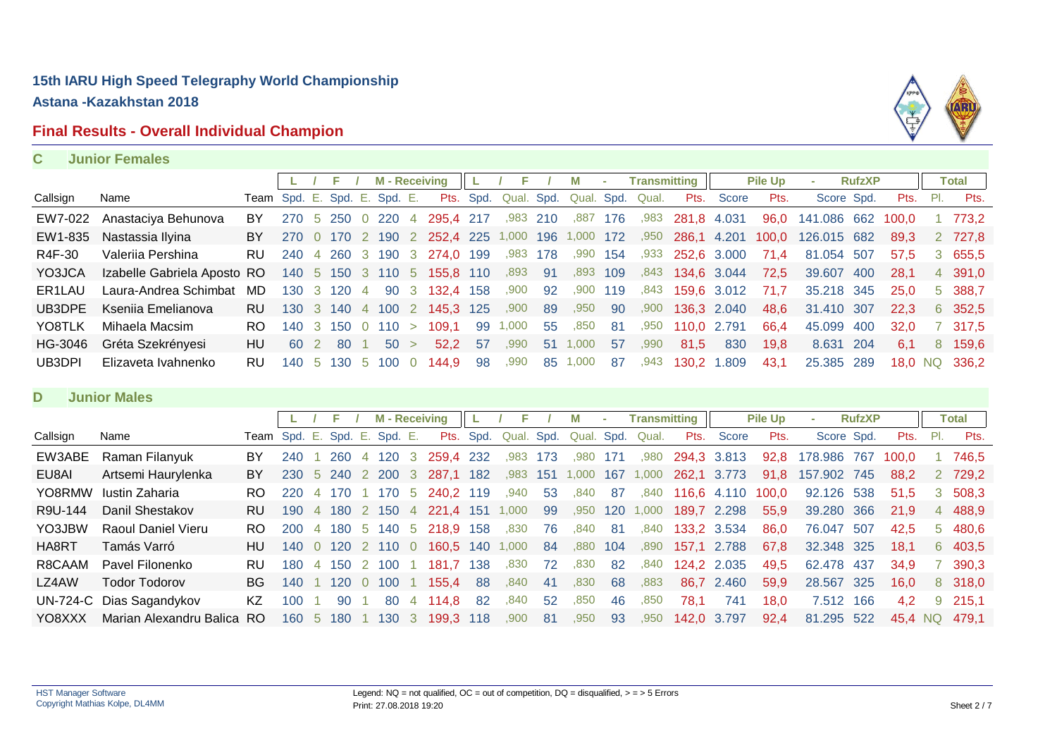# **Final Results - Overall Individual Champion**



#### **C Junior Females**

|                     |                             |                              |     |                     | <b>M</b> - Receiving |                                             |     | F                    |     |       | $\sim$            | <b>Transmitting</b> |                           |                  | <b>Pile Up</b> | <b>COL</b>  | <b>RufzXP</b> |       |     | Total         |
|---------------------|-----------------------------|------------------------------|-----|---------------------|----------------------|---------------------------------------------|-----|----------------------|-----|-------|-------------------|---------------------|---------------------------|------------------|----------------|-------------|---------------|-------|-----|---------------|
| Callsign            | Name                        | Team Spd. E. Spd. E. Spd. E. |     |                     |                      |                                             |     | Pts. Spd. Qual. Spd. |     | Qual. |                   | Spd. Qual.          | Pts.                      | Score            | Pts.           | Score Spd.  |               | Pts.  | PI. | Pts.          |
| EW7-022             | Anastaciya Behunova         | BY.                          |     | 270 5 250 0 220 4   |                      | 295.4 217                                   |     | ,983 210             |     | ,887  | 176               | ,983                | 281,8 4.031               |                  | 96.0           | 141.086 662 |               | 100.0 |     | 773.2         |
|                     | EW1-835 Nastassia Ilyina    | BY                           |     |                     |                      | 270 0 170 2 190 2 252,4 225 1,000 196 1,000 |     |                      |     |       | $\sim$ 172 $\sim$ |                     | ,950 286,1 4.201          |                  | 100,0          | 126.015 682 |               | 89.3  |     | 2 727.8       |
| R4F-30              | Valerija Pershina           | RU.                          |     |                     |                      | 240 4 260 3 190 3 274.0 199                 |     | ,983 178             |     |       |                   |                     | ,990 154 ,933 252,6 3.000 |                  | 71.4           | 81.054 507  |               | 57.5  |     | 3 655.5       |
| YO3JCA              | Izabelle Gabriela Aposto RO |                              |     |                     |                      | 140 5 150 3 110 5 155,8 110                 |     | ,893                 | -91 | ,893  | 109               | ,843                | 134,6 3.044               |                  | 72.5           | 39.607      | -400          | 28.1  |     | 4 391,0       |
| ER <sub>1</sub> LAU | Laura-Andrea Schimbat       | MD                           |     | 130 3 120 4         |                      | 90 3 132,4 158                              |     | ,900                 | 92  | .900  | 119               |                     |                           | ,843 159,6 3.012 | 71.7           | 35.218 345  |               | -25.0 |     | 5 388.7       |
| UB3DPE              | Ksenija Emelianova          | RU.                          |     |                     |                      | 130 3 140 4 100 2 145.3 125                 |     | ,900                 | 89  | ,950  | -90               | ,900                | 136.3 2.040               |                  | 48.6           | 31.410 307  |               | 22.3  |     | 6 352.5       |
| YO8TLK              | Mihaela Macsim              | RO.                          |     | $140$ 3 150 0 110 > |                      | 109.1                                       |     | 99 1,000             | 55  | .850  | -81               | ,950                | 110,0 2.791               |                  | 66.4           | 45,099 400  |               | 32,0  |     | 7 317,5       |
| HG-3046             | Gréta Szekrényesi           | HU                           | -60 | 80                  | 50 >                 | 52.2                                        | -57 | ,990                 | 51  | 1,000 | 57                | ,990                | 81.5                      | 830              | 19.8           | 8.631 204   |               | 6.1   |     | 8 159.6       |
| UB3DPI              | Elizaveta Ivahnenko         | RU.                          |     | 140 5 130 5 100 0   |                      | 144.9                                       | 98  | ,990                 | 85  | 1,000 | -87               | ,943                | 130,2 1.809               |                  | 43,1           | 25,385 289  |               |       |     | 18.0 NQ 336.2 |

#### **D Junior Males**

|          |                           |                              |            |               |                | <b>M</b> - Receiving |                |                           |           |            |     | M          |     | <b>Transmitting</b> |             |             | <b>Pile Up</b> |             | <b>RufzXP</b> |         |      | Total   |
|----------|---------------------------|------------------------------|------------|---------------|----------------|----------------------|----------------|---------------------------|-----------|------------|-----|------------|-----|---------------------|-------------|-------------|----------------|-------------|---------------|---------|------|---------|
| Callsign | Name                      | Team Spd. E. Spd. E. Spd. E. |            |               |                |                      |                |                           | Pts. Spd. | Qual. Spd. |     | Qual. Spd. |     | Qual.               |             | Pts. Score  | Pts.           | Score Spd.  |               | Pts.    | -PI. | Pts.    |
| EW3ABE   | Raman Filanyuk            | BY                           | 240        | 260           | $\overline{4}$ | 120 3                |                | 259,4 232                 |           | .983       | 173 | .980       | 171 | ,980                |             | 294,3 3.813 | 92.8           | 178,986 767 |               | 100.0   |      | 746.5   |
| EU8AI    | Artsemi Haurylenka        | BY                           | <b>230</b> | 5 240 2 200 3 |                |                      |                | 287,1 182                 |           | ,983       | 151 | 1,000      | 167 | 1,000               | 262,1       | 3.773       | 91.8           | 157,902 745 |               | 88.2    |      | 2 729,2 |
| YO8RMW   | lustin Zaharia            | RO.                          | 220        | 170           |                | 170                  | -5             | 240,2 119                 |           | .940       | 53  | .840       | -87 | .840                |             | 116.6 4.110 | 100.0          | 92.126 538  |               | 51.5    | 3    | 508.3   |
| R9U-144  | Danil Shestakov           | RU.                          | 190        | 4 180 2 150 4 |                |                      |                | 221.4 151                 |           | 1,000      | 99  | ,950       | 120 | 1,000               |             | 189,7 2.298 | 55,9           | 39.280 366  |               | 21.9    |      | 4 488,9 |
| YO3JBW   | <b>Raoul Daniel Vieru</b> | RO.                          | 200        |               |                |                      |                | 4 180 5 140 5 218.9 158   |           | .830       | 76  | .840       | -81 | .840                | 133,2 3.534 |             | 86,0           | 76,047 507  |               | 42.5    |      | 5 480,6 |
| HA8RT    | Tamás Varró               | HU.                          | 140        |               |                |                      |                | 0 120 2 110 0 160.5 140 1 |           | 000. ا     | -84 | .880       | 104 | ,890                | 157,1 2.788 |             | 67.8           | 32.348 325  |               | 18.1    |      | 6 403.5 |
| R8CAAM   | Pavel Filonenko           | <b>RU</b>                    | 180        | 4 150 2 100   |                |                      |                | 181.7 138                 |           | .830       | 72  | .830       | -82 | .840                |             | 124.2 2.035 | 49.5           | 62.478 437  |               | 34.9    |      | 390.3   |
| LZ4AW    | Todor Todorov             | BG.                          | 140        | 120           |                | 100                  |                | 155.4 88                  |           | .840       | 41  | .830       | 68  | ,883                |             | 86.7 2.460  | 59.9           | 28,567 325  |               | 16.0    |      | 8 318.0 |
|          | UN-724-C Dias Sagandykov  | KZ                           | 100        | 90            |                | -80                  | $\overline{4}$ | 114.8                     | -82       | .840       | 52  | .850       | 46  | .850                | 78.1        | 741         | 18.0           | 7.512 166   |               | 4.2     |      | 9 215.1 |
| YO8XXX   | Marian Alexandru Balica   | RO.                          |            | 160 5 180     |                |                      |                | 130 3 199,3 118           |           | ,900       | -81 | ,950       | 93  | ,950                | 142,0 3.797 |             | 92.4           | 81.295 522  |               | 45.4 NQ |      | 479.1   |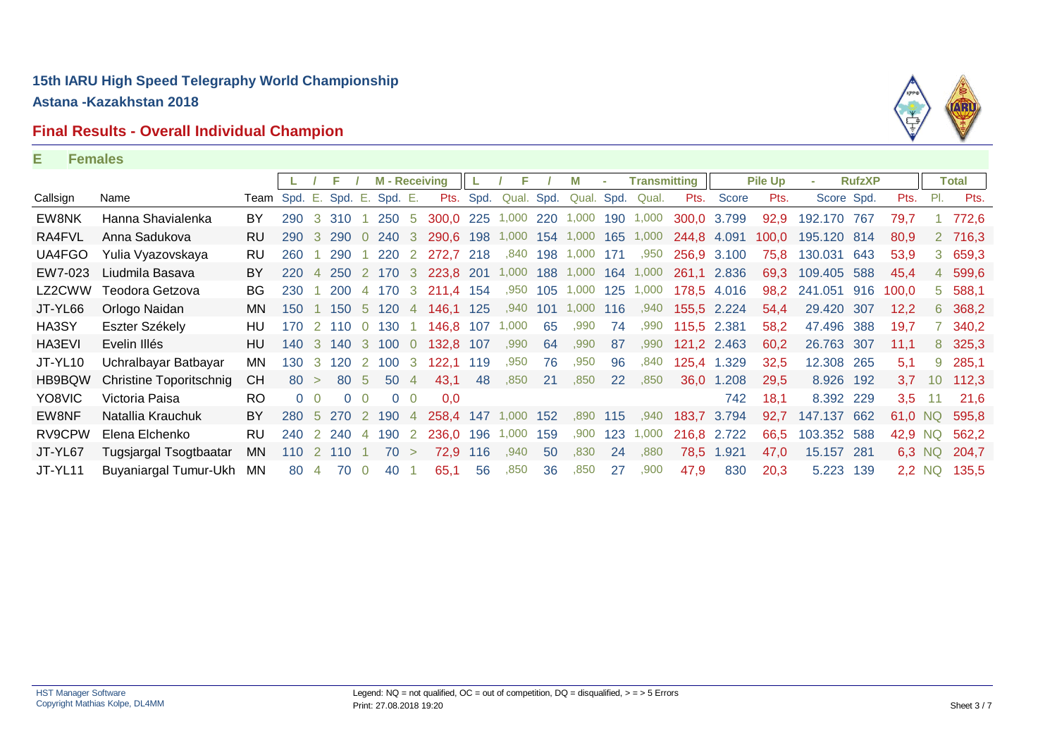# **Final Results - Overall Individual Champion**



#### **E Females**

|          |                         |                              |            |                |               |                | <b>M</b> - Receiving |                |                     |     | F.                   |          | M               |           | <b>Transmitting</b> |             |             | <b>Pile Up</b> |             | <b>RufzXP</b> |       |        | <b>Total</b>  |
|----------|-------------------------|------------------------------|------------|----------------|---------------|----------------|----------------------|----------------|---------------------|-----|----------------------|----------|-----------------|-----------|---------------------|-------------|-------------|----------------|-------------|---------------|-------|--------|---------------|
| Callsign | Name                    | Team Spd. E. Spd. E. Spd. E. |            |                |               |                |                      |                |                     |     | Pts. Spd. Qual. Spd. |          | Qual. Spd.      |           | Qual.               | Pts.        | Score       | Pts.           | Score Spd.  |               | Pts.  | PI.    | Pts.          |
| EW8NK    | Hanna Shavialenka       | BY                           | 290        |                | 3 310         |                | 250 5                |                | 300,0 225 1,000     |     |                      | 220      | 1,000           |           | 190 1,000           | 300,0 3.799 |             | 92,9           | 192.170 767 |               | 79,7  |        | 772,6         |
| RA4FVL   | Anna Sadukova           | <b>RU</b>                    | 290        | 3              | 290           |                | 240                  | -3             | 290,6 198           |     | 1,000                | 154      | 1,000           | 165       | 1,000               | 244,8 4.091 |             | 100.0          | 195.120 814 |               | 80,9  |        | 2 716,3       |
| UA4FGO   | Yulia Vyazovskaya       | RU                           | 260        |                | 290           |                | 220                  | $\overline{2}$ | 272,7 218           |     | ,840                 | 198      | 1,000           | 171       | ,950                | 256,9 3.100 |             | 75,8           | 130.031     | 643           | 53,9  | 3      | 659,3         |
| EW7-023  | Liudmila Basava         | BY                           | <b>220</b> |                | 4 250 2 170 3 |                |                      |                | 223,8 201           |     |                      |          | 1,000 188 1,000 |           | 164 1,000           | 261,1 2.836 |             | 69,3           | 109.405 588 |               | 45.4  |        | 4 599,6       |
| LZ2CWW   | Teodora Getzova         | BG                           | 230        |                | 200           |                | 4 170 3              |                | 211,4 154           |     |                      | ,950 105 | 1,000           | 125       | 1,000               |             | 178,5 4.016 | 98,2           | 241.051 916 |               | 100,0 |        | 5 588,1       |
| JT-YL66  | Orlogo Naidan           | MN.                          | 150        |                |               |                | 150 5 120 4          |                | 146,1 125           |     | ,940                 | 101      | 1,000           | 116       | ,940                |             | 155,5 2.224 | 54,4           | 29.420 307  |               | 12,2  |        | 6 368,2       |
| HA3SY    | Eszter Székely          | HU                           | 170        |                | 2 110         | $\overline{0}$ | 130                  |                | 146,8               | 107 | 1,000                | 65       | ,990            | 74        | ,990                | 115,5 2.381 |             | 58,2           | 47.496 388  |               | 19,7  |        | 7 340,2       |
| HA3EVI   | Evelin Illés            | HU                           | 140        | $\mathbf{3}$   | 140 3 100     |                |                      | $\overline{0}$ | 132,8 107           |     | ,990                 | 64       | ,990            | 87        | ,990                |             | 121,2 2.463 | 60,2           | 26.763 307  |               | 11,1  |        | 8 325,3       |
| JT-YL10  | Uchralbayar Batbayar    | MN                           | 130        | -3-            | 120           | $\overline{2}$ | 100                  | -3             | 122.1               | 119 | ,950                 | 76       | ,950            | 96        | ,840                | 125,4       | 1.329       | 32,5           | 12.308 265  |               | 5,1   | 9      | 285,1         |
| HB9BQW   | Christine Toporitschnig | <b>CH</b>                    | 80         | $\geq$         | 80            | - 5            | 50 4                 |                | 43,1                | 48  | .850                 | 21       | .850            | <b>22</b> | .850                | 36,0        | 1.208       | 29,5           | 8.926 192   |               | 3,7   |        | 10 112,3      |
| YO8VIC   | Victoria Paisa          | <b>RO</b>                    |            | 0 <sub>0</sub> | $\Omega$      | $\Omega$       |                      | 0 <sub>0</sub> | 0,0                 |     |                      |          |                 |           |                     |             | 742         | 18,1           | 8.392 229   |               | 3,5   | -11    | 21,6          |
| EW8NF    | Natallia Krauchuk       | BY                           | 280        |                | 5 270 2 190 4 |                |                      |                | 258,4 147 1,000 152 |     |                      |          |                 | ,890 115  | ,940                | 183,7 3.794 |             | 92,7           | 147.137 662 |               |       |        | 61,0 NQ 595,8 |
| RV9CPW   | Elena Elchenko          | RU                           | 240        |                | 2 240         | $\overline{4}$ | 190                  | <sup>2</sup>   | 236.0               | 196 | 1,000                | 159      | .900            | 123       | 1,000               | 216,8 2.722 |             | 66,5           | 103.352 588 |               | 42,9  | NQ     | 562,2         |
| JT-YL67  | Tugsjargal Tsogtbaatar  | MN.                          | 110        | 2              | 110           |                | 70                   | $\geq$         | 72,9                | 116 | ,940                 | 50       | ,830            | 24        | ,880                | 78,5        | 1.921       | 47,0           | 15.157 281  |               |       | 6,3 NQ | 204,7         |
| JT-YL11  | Buyaniargal Tumur-Ukh   | <b>MN</b>                    | 80         | $\overline{4}$ | 70            |                | 40                   |                | 65,1                | 56  | ,850                 | 36       | ,850            | 27        | ,900                | 47,9        | 830         | 20,3           | 5.223 139   |               |       | 2,2 NQ | 135,5         |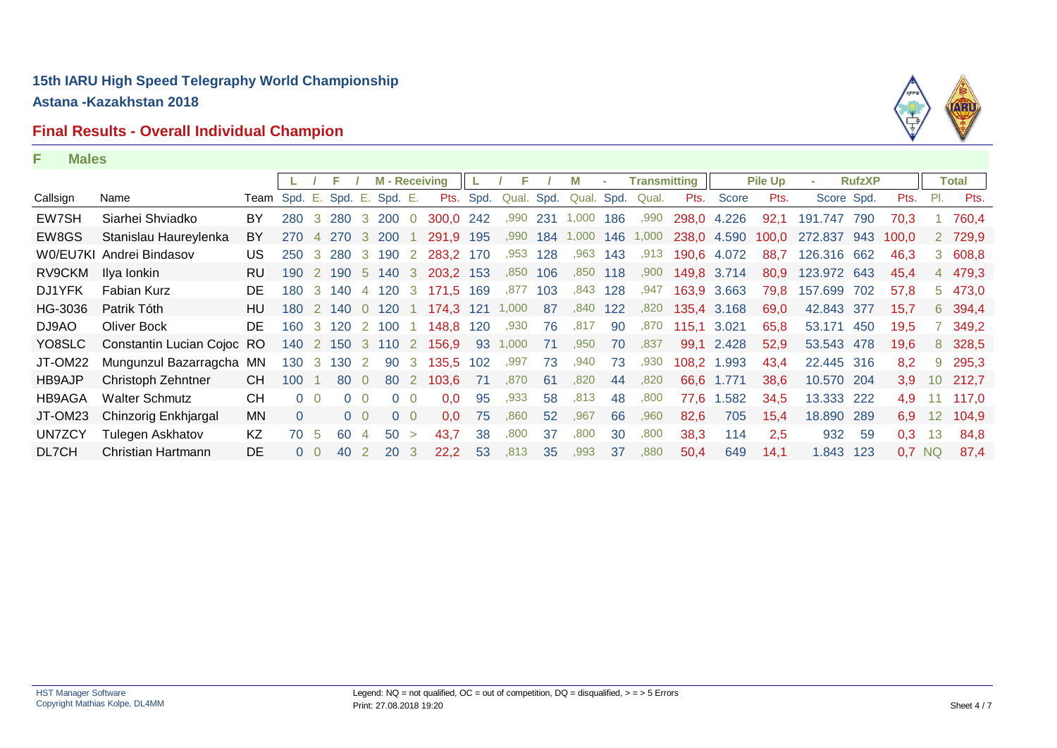# **Final Results - Overall Individual Champion**



|               |                            |                              |            |                | F             |              | <b>M</b> - Receiving |                |                     |      | F.         |     | M          | $\sim$ | <b>Transmitting</b> |             |             | <b>Pile Up</b> |             | <b>RufzXP</b> |          |     | <b>Total</b> |
|---------------|----------------------------|------------------------------|------------|----------------|---------------|--------------|----------------------|----------------|---------------------|------|------------|-----|------------|--------|---------------------|-------------|-------------|----------------|-------------|---------------|----------|-----|--------------|
| Callsign      | Name                       | Team Spd. E. Spd. E. Spd. E. |            |                |               |              |                      |                | Pts.                | Spd. | Qual. Spd. |     | Qual. Spd. |        | Qual.               | Pts.        | Score       | Pts.           | Score Spd.  |               | Pts.     | PI. | Pts.         |
| EW7SH         | Siarhei Shviadko           | BY                           | 280        |                | 3 280 3 200 0 |              |                      |                | 300,0 242           |      | ,990       | 231 | 1,000      | 186    | ,990                | 298,0 4.226 |             | 92,1           | 191.747 790 |               | 70.3     |     | 760,4        |
| EW8GS         | Stanislau Haureylenka      | BY                           | <b>270</b> |                | 4 270         | -3           | <b>200</b>           |                | 291.9               | 195  | ,990       | 184 | 1,000      | 146    | 1,000               |             | 238,0 4.590 | 100.0          | 272.837 943 |               | 100.0    |     | 2 729,9      |
|               | W0/EU7KI Andrei Bindasov   | US                           | 250        | 3              | 280           | $\mathbf{3}$ | 190 2                |                | 283.2               | 170  | .953       | 128 | .963       | 143    | .913                |             | 190,6 4.072 | 88,7           | 126.316 662 |               | 46,3     |     | 3 608,8      |
| RV9CKM        | Ilya lonkin                | <b>RU</b>                    | 190        |                | 2 190         |              | 5 140 3              |                | 203.2 153           |      | ,850       | 106 | .850       | 118    | ,900                | 149,8 3.714 |             | 80,9           | 123.972 643 |               | 45.4     |     | 4 479,3      |
| DJ1YFK        | Fabian Kurz                | DE                           | 180        |                | 3 140         |              | 4 120 3              |                | 171,5               | 169  | ,877       | 103 | ,843       | 128    | ,947                |             | 163,9 3.663 | 79,8           | 157.699     | 702           | 57,8     |     | 5 473,0      |
| HG-3036       | Patrik Tóth                | HU.                          | 180        |                | 2 140         |              | 0 120                |                | 174.3               | 121  | 1,000      | 87  | ,840       | 122    | ,820                |             | 135.4 3.168 | 69,0           | 42.843 377  |               | 15,7     |     | 6 394,4      |
| DJ9AO         | Oliver Bock                | DE.                          | 160        |                | 3 120         |              | 2 100 1              |                | 148,8               | 120  | ,930       | 76  | .817       | 90     | ,870                | 115,1 3.021 |             | 65,8           | 53.171 450  |               | 19,5     |     | 7 349,2      |
| YO8SLC        | Constantin Lucian Cojoc RO |                              | 140        |                |               |              |                      |                | 2 150 3 110 2 156,9 |      | 93 1,000   | 71  | ,950       | 70     | ,837                |             | 99,1 2.428  | 52,9           | 53.543 478  |               | 19,6     |     | 8 328,5      |
| JT-OM22       | Mungunzul Bazarragcha MN   |                              | 130        | 3              | 130           | 2            | 90                   | 3              | 135.5               | 102  | ,997       | 73  | ,940       | 73     | ,930                |             | 108.2 1.993 | 43,4           | 22.445 316  |               | 8.2      |     | 9 295,3      |
| HB9AJP        | Christoph Zehntner         | CH                           | 100        |                | 80            | $\Omega$     | 80                   | $\overline{2}$ | 103.6               | 71   | ,870       | 61  | ,820       | 44     | ,820                | 66.6        | 1.771       | 38.6           | 10.570 204  |               | 3,9      |     | 10 212,7     |
| HB9AGA        | <b>Walter Schmutz</b>      | <b>CH</b>                    |            | 0 <sub>0</sub> |               | $\Omega$     |                      | $0\quad 0$     | 0,0                 | 95   | ,933       | 58  | ,813       | 48     | ,800                | 77,6        | 1.582       | 34,5           | 13.333 222  |               | 4,9      |     | 117,0        |
| JT-OM23       | Chinzorig Enkhjargal       | MN.                          | $\Omega$   |                |               | $0\quad 0$   |                      | $0\quad 0$     | 0.0                 | 75   | .860       | 52  | ,967       | 66     | ,960                | 82,6        | 705         | 15,4           | 18.890 289  |               | 6.9      |     | 12 104,9     |
| <b>UN7ZCY</b> | Tulegen Askhatov           | KZ                           | 70         | -5             | 60            |              | 50                   | $\geq$         | 43.7                | 38   | .800       | 37  | .800       | 30     | ,800                | 38,3        | 114         | 2,5            | 932         | -59           | 0,3      | 13  | 84,8         |
| DL7CH         | Christian Hartmann         | <b>DE</b>                    |            | 0 <sub>0</sub> | 40            |              | <b>20</b>            | - 3            | 22,2                | 53   | ,813       | 35  | ,993       | 37     | ,880                | 50,4        | 649         | 14,1           | 1.843 123   |               | $0.7$ NQ |     | 87,4         |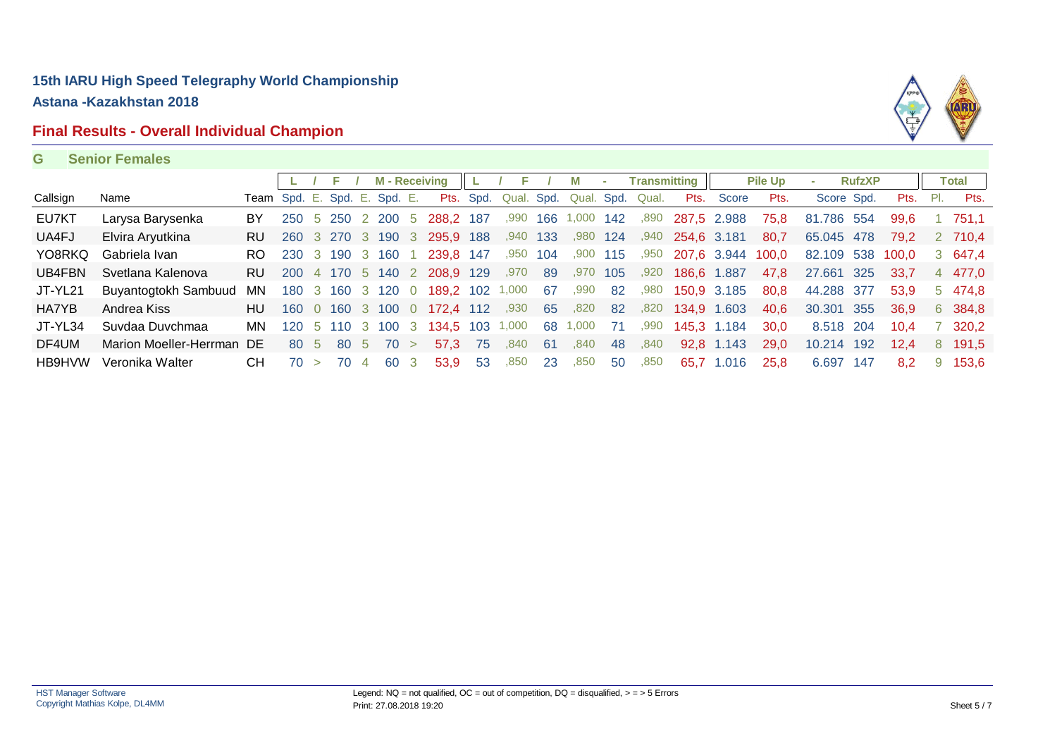# **Final Results - Overall Individual Champion**



#### **G Senior Females**

|          |                           |     |                              |                |                   |                | <b>M</b> - Receiving |                |                 |     |                 |     |       |     | Transmitting     |                  |             | <b>Pile Up</b> |            | <b>RufzXP</b> |       |     | Total   |
|----------|---------------------------|-----|------------------------------|----------------|-------------------|----------------|----------------------|----------------|-----------------|-----|-----------------|-----|-------|-----|------------------|------------------|-------------|----------------|------------|---------------|-------|-----|---------|
| Callsign | Name                      |     | Team Spd. E. Spd. E. Spd. E. |                |                   |                |                      |                | Pts.            |     | Spd. Qual. Spd. |     |       |     | Qual. Spd. Qual. | Pts.             | Score       | Pts.           | Score Spd. |               | Pts.  | PI. | Pts.    |
| EU7KT    | Larysa Barysenka          | BY  | 250                          | 5.             | 250               |                | 2 200                | -5             | 288.2           | 187 | ,990            | 166 | 1,000 | 142 | ,890             |                  | 287,5 2.988 | 75,8           | 81.786 554 |               | 99.6  |     | 751.1   |
| UA4FJ    | Elvira Aryutkina          | RU. |                              |                | 260 3 270 3 190 3 |                |                      |                | 295,9 188       |     | ,940            | 133 | ,980  | 124 |                  | ,940 254,6 3.181 |             | 80.7           | 65.045 478 |               | 79.2  |     | 2 710.4 |
| YO8RKQ   | Gabriela Ivan             | RO. | 230                          |                | 3 190             |                | 3 160                |                | 239.8 147       |     | .950            | 104 | .900  | 115 | .950             | 207,6 3.944      |             | 100.0          | 82.109 538 |               | 100.0 |     | 3 647,4 |
| UB4FBN   | Svetlana Kalenova         | RU. | -200                         | $\overline{4}$ | 170 5 140 2       |                |                      |                | 208,9 129       |     | ,970            | 89  | ,970  | 105 | ,920             | 186,6            | 1.887       | 47.8           | 27.661 325 |               | 33,7  |     | 4 477,0 |
| JT-YL21  | Buyantogtokh Sambuud      | MN  | 180.                         |                | 3 160             |                | 3 120 0              |                | 189,2 102 1,000 |     |                 | -67 | ,990  | 82  | ,980             | 150,9 3.185      |             | 80.8           | 44.288 377 |               | 53.9  |     | 5 474.8 |
| HA7YB    | Andrea Kiss               | HU  | 160                          |                | $0$ 160           |                | 3 100                | $\overline{0}$ | 172,4 112       |     | ,930            | 65  | ,820  | -82 | ,820             | 134,9 1.603      |             | 40,6           | 30.301 355 |               | 36.9  |     | 6 384.8 |
| JT-YL34  | Suvdaa Duvchmaa           | MN. | 120.                         |                | 5 110             |                | 3 100                | - 3            | 134.5           | 103 | 1,000           | 68  | 1,000 | 71  | .990             |                  | 145,3 1.184 | 30.0           | 8.518 204  |               | 10.4  |     | 320.2   |
| DF4UM    | Marion Moeller-Herrman DE |     | -80                          | - 5            | 80 5              |                | 70                   |                | 57.3            | 75  | .840            | 61  | .840  | 48  | .840             | 92.8             | 1.143       | 29.0           | 10.214 192 |               | 12.4  | 8   | 191.5   |
| HB9HVW   | Veronika Walter           | CН  | 70                           |                | 70                | $\overline{4}$ | 60                   | - 3            | 53.9            | -53 | ,850            | 23  | ,850  | 50  | ,850             | 65.7             | 1.016       | 25,8           | 6.697 147  |               | 8.2   | 9   | 153.6   |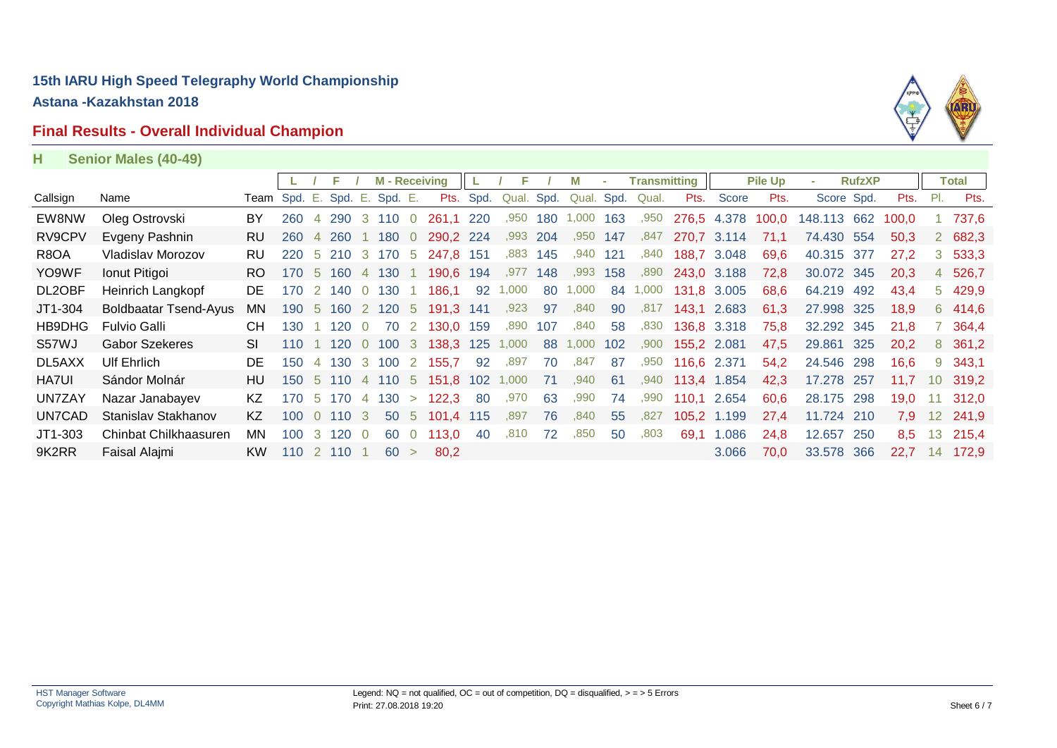# **Final Results - Overall Individual Champion**



| н | <b>Senior Males (40-49)</b> |  |  |
|---|-----------------------------|--|--|
|---|-----------------------------|--|--|

|               |                              |                      |            |                |             |                | <b>M</b> - Receiving |                |           |      | F.        |      | м          |     | <b>Transmitting</b> |             |             | <b>Pile Up</b> |             | <b>RufzXP</b> |       |     | <b>Total</b> |
|---------------|------------------------------|----------------------|------------|----------------|-------------|----------------|----------------------|----------------|-----------|------|-----------|------|------------|-----|---------------------|-------------|-------------|----------------|-------------|---------------|-------|-----|--------------|
| Callsign      | Name                         | Team Spd. E. Spd. E. |            |                |             |                | Spd. E.              |                | Pts.      | Spd. | Qual.     | Spd. | Qual. Spd. |     | Qual.               | Pts.        | Score       | Pts.           | Score Spd.  |               | Pts.  | PI. | Pts.         |
| EW8NW         | Oleg Ostrovski               | BY                   | 260        |                | 290         |                | 3 110                | $\overline{0}$ | 261,1 220 |      | ,950      | 180  | 1,000      | 163 | ,950                |             | 276,5 4.378 | 100.0          | 148.113 662 |               | 100.0 |     | 737,6        |
| RV9CPV        | Evgeny Pashnin               | <b>RU</b>            | <b>260</b> |                | 4 260       |                | 1 180                | $\overline{0}$ | 290,2 224 |      | ,993 204  |      | .950       | 147 | ,847                | 270,7 3.114 |             | 71.1           | 74.430 554  |               | 50.3  |     | 2 682,3      |
| R8OA          | Vladislav Morozov            | <b>RU</b>            | 220        |                | 5 210       |                | 3 170                | -5             | 247,8     | 151  | ,883      | 145  | .940       | 121 | .840                | 188,7 3.048 |             | 69,6           | 40.315      | -377          | 27.2  |     | 3, 533, 3    |
| YO9WF         | Ionut Pitigoi                | RO.                  | 170        | 5.             | 160         |                | 4 130                |                | 190,6     | 194  | ,977      | 148  | .993       | 158 | ,890                | 243,0 3.188 |             | 72,8           | 30.072 345  |               | 20,3  |     | 4 526,7      |
| DL2OBF        | Heinrich Langkopf            | DE.                  | 170        | $\overline{2}$ | 140         |                | 0 130                |                | 186,1     | 92   | 1,000     | 80   | 1,000      | 84  | 1,000               | 131,8 3.005 |             | 68,6           | 64.219 492  |               | 43,4  |     | 5 429,9      |
| JT1-304       | <b>Boldbaatar Tsend-Ayus</b> | MN.                  | 190        | -5             | 160 2 120 5 |                |                      |                | 191.3     | 141  | ,923      | 97   | ,840       | 90  | .817                | 143,1 2.683 |             | 61.3           | 27.998 325  |               | 18.9  |     | 6 414.6      |
| HB9DHG        | <b>Fulvio Galli</b>          | <b>CH</b>            | 130        |                | 120         |                | 70                   | 2              | 130.0     | 159  | .890      | 107  | ,840       | 58  | ,830                |             | 136,8 3.318 | 75,8           | 32.292 345  |               | 21,8  |     | 364,4        |
| S57WJ         | <b>Gabor Szekeres</b>        | SI                   | 110        |                | 1 120       |                | $0\ 100\ 3$          |                | 138.3     |      | 125 1,000 | 88   | 1,000      | 102 | ,900                | 155.2 2.081 |             | 47,5           | 29.861 325  |               | 20.2  |     | 8 361,2      |
| DL5AXX        | <b>Ulf Ehrlich</b>           | DE.                  | 150        | $\overline{4}$ | 130         |                | 3 100                |                | 2 155.7   | 92   | ,897      | 70   | ,847       | 87  | ,950                | 116,6 2.371 |             | 54,2           | 24.546 298  |               | 16.6  |     | 9 343,1      |
| HA7UI         | Sándor Molnár                | HU                   | 150        |                | 5 110       |                | 4 110 5              |                | 151.8     |      | 102 1,000 | 71   | .940       | -61 | .940                | 113.4 1.854 |             | 42,3           | 17.278      | 257           | 11.7  |     | 10 319.2     |
| <b>UN7ZAY</b> | Nazar Janabayev              | KZ                   | 170        | 5              | 170         | $\overline{4}$ | 130                  | $\geq$         | 122.3     | -80  | ,970      | 63   | .990       | 74  | .990                | 110.1       | 2.654       | 60.6           | 28.175      | 298           | 19.0  |     | 312,0        |
| UN7CAD        | Stanislav Stakhanov          | KZ.                  | 100        |                | 0.110       | $\cdot$ 3      | 50 5                 |                | 101,4 115 |      | .897      | 76   | .840       | 55  | ,827                |             | 105,2 1.199 | 27,4           | 11.724 210  |               | 7.9   |     | 12 241,9     |
| $JT1-303$     | Chinbat Chilkhaasuren        | MN.                  | 100        | 3              | 120         |                | 60                   |                | 113.0     | 40   | .810      | 72   | .850       | 50  | .803                | 69,1        | 1.086       | 24,8           | 12.657      | 250           | 8,5   | 13  | 215,4        |
| 9K2RR         | Faisal Alajmi                | KW.                  | 110        |                | 2 110       |                | 60 >                 |                | 80.2      |      |           |      |            |     |                     |             | 3.066       | 70.0           | 33.578 366  |               | 22.7  | 14  | 172.9        |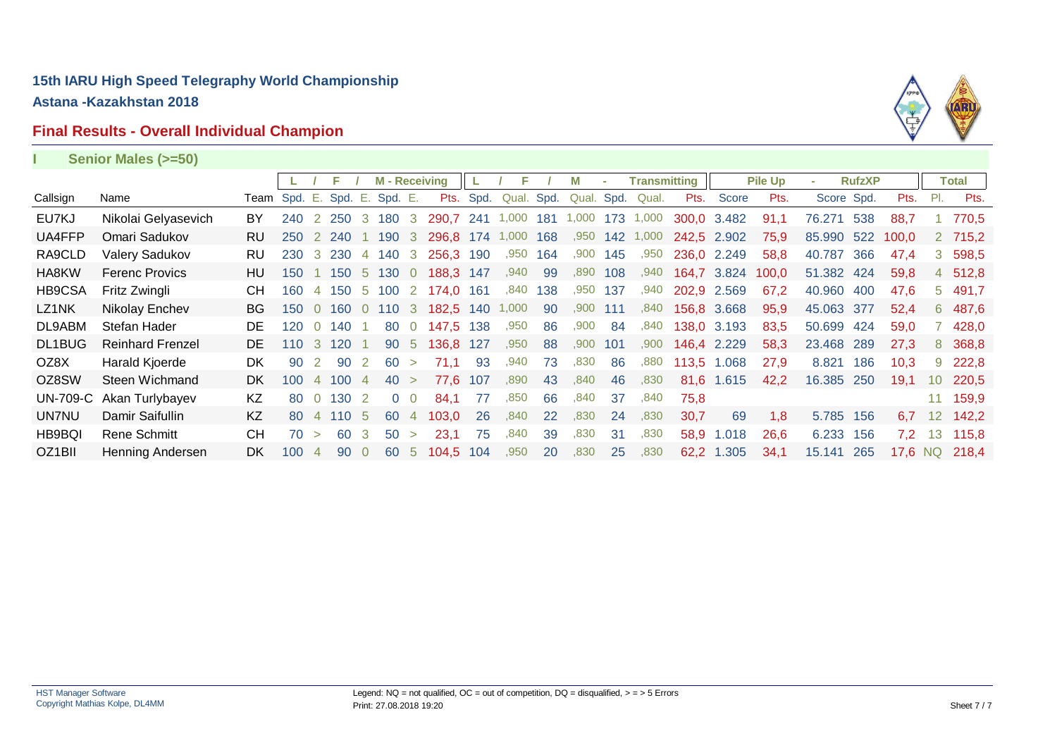# **Final Results - Overall Individual Champion**



| Senior Males (>=50)     |           |                  |                |                 |                                                 |     |                    |                                                                                                                |                      |                                                      |                              |            |     |       |            |                             |                                                                                                                                                           |                |     |                                                                                                                |                 |               |
|-------------------------|-----------|------------------|----------------|-----------------|-------------------------------------------------|-----|--------------------|----------------------------------------------------------------------------------------------------------------|----------------------|------------------------------------------------------|------------------------------|------------|-----|-------|------------|-----------------------------|-----------------------------------------------------------------------------------------------------------------------------------------------------------|----------------|-----|----------------------------------------------------------------------------------------------------------------|-----------------|---------------|
|                         |           |                  |                | F.              |                                                 |     |                    |                                                                                                                |                      | Е                                                    |                              |            |     |       |            |                             |                                                                                                                                                           | ×.             |     |                                                                                                                |                 | <b>Total</b>  |
| Name                    |           |                  |                |                 |                                                 |     |                    |                                                                                                                |                      |                                                      |                              |            |     | Qual. |            | Score                       | Pts.                                                                                                                                                      |                |     | Pts.                                                                                                           | PI.             | Pts.          |
| Nikolai Gelyasevich     | BY        | 240              |                |                 |                                                 |     |                    | 290,7                                                                                                          |                      |                                                      | 181                          | 1,000      | 173 | 1,000 |            |                             | 91.1                                                                                                                                                      | 76.271         | 538 | 88.7                                                                                                           |                 | 770.5         |
| Omari Sadukov           | <b>RU</b> | 250              | <sup>2</sup>   |                 |                                                 | 190 | 3                  |                                                                                                                | 174                  | 1,000                                                | 168                          | ,950       | 142 | 1,000 |            |                             | 75.9                                                                                                                                                      |                | 522 | 100.0                                                                                                          |                 | 2 715,2       |
| <b>Valery Sadukov</b>   | RU        | 230              | $\mathbf{3}$   |                 | $\overline{4}$                                  |     |                    |                                                                                                                |                      | ,950                                                 | 164                          | ,900       | 145 | ,950  |            |                             | 58,8                                                                                                                                                      | 40.787         | 366 | 47,4                                                                                                           | 3               | 598,5         |
| <b>Ferenc Provics</b>   | HU        | 150              |                | 150             |                                                 |     |                    |                                                                                                                | 147                  | ,940                                                 | 99                           | ,890       | 108 | ,940  |            |                             | 100,0                                                                                                                                                     |                |     | 59,8                                                                                                           |                 | 4 512,8       |
| Fritz Zwingli           | CН        | 160              | 4              | 150             |                                                 | 100 |                    | 174.0                                                                                                          | 161                  | ,840                                                 | 138                          | ,950       | 137 | ,940  |            |                             | 67,2                                                                                                                                                      |                | 400 | 47,6                                                                                                           | $5^{\circ}$     | 491,7         |
| Nikolay Enchev          | <b>BG</b> | 150              | $\Omega$       | 160             | $\Omega$                                        |     |                    |                                                                                                                |                      |                                                      | 90                           | ,900       | 111 | ,840  |            |                             | 95,9                                                                                                                                                      |                |     | 52,4                                                                                                           |                 | 6 487,6       |
| Stefan Hader            | DE        |                  | $\overline{0}$ | 140             |                                                 | 80  | $\overline{0}$     |                                                                                                                | 138                  | ,950                                                 | 86                           | ,900       | 84  | ,840  |            |                             | 83,5                                                                                                                                                      | 50.699         | 424 | 59.0                                                                                                           |                 | 428,0         |
| <b>Reinhard Frenzel</b> | DE.       | 110              | 3              | 120             |                                                 | 90  | 5                  | 136.8                                                                                                          | 127                  | ,950                                                 | 88                           | ,900       | 101 | ,900  |            |                             | 58.3                                                                                                                                                      | 23.468         | 289 | 27.3                                                                                                           | 8               | 368,8         |
| Harald Kjoerde          | <b>DK</b> | 90               |                | 90              | 2                                               | 60  | $\geq$             | 71.1                                                                                                           | 93                   | ,940                                                 | 73                           | ,830       | 86  | ,880  | 113,5      | 1.068                       | 27,9                                                                                                                                                      | 8.821          | 186 | 10.3                                                                                                           | 9               | 222,8         |
| Steen Wichmand          | DK.       | 100 <sup>°</sup> | $\overline{4}$ | 100             | $\overline{4}$                                  |     |                    | 77,6                                                                                                           | 107                  | ,890                                                 | 43                           | ,840       | 46  | ,830  |            |                             | 42,2                                                                                                                                                      |                |     | 19.1                                                                                                           | 10 <sup>°</sup> | 220,5         |
| Akan Turlybayev         | KZ        | 80               | $\overline{0}$ | 130             | $\overline{2}$                                  |     |                    | 84,1                                                                                                           | 77                   | ,850                                                 | 66                           | ,840       | -37 | ,840  | 75,8       |                             |                                                                                                                                                           |                |     |                                                                                                                |                 | 11 159,9      |
| Damir Saifullin         | KZ        |                  |                |                 | -5                                              | 60  | $\overline{4}$     | 103,0                                                                                                          | 26                   | ,840                                                 | 22                           | ,830       | 24  | ,830  | 30,7       | 69                          | 1,8                                                                                                                                                       |                |     | 6,7                                                                                                            |                 | 12 142,2      |
| <b>Rene Schmitt</b>     | <b>CH</b> |                  | $\geq$         | 60              | 3                                               | 50  | $\geq$             | 23,1                                                                                                           | 75                   | .840                                                 | 39                           | .830       | 31  | .830  | 58,9       |                             | 26,6                                                                                                                                                      |                | 156 | 7.2 <sub>1</sub>                                                                                               |                 | 13 115,8      |
| Henning Andersen        | DK.       | 100              | $\overline{4}$ | 90              |                                                 | 60  | -5                 | 104,5                                                                                                          | 104                  | ,950                                                 | 20                           | ,830       | 25  | ,830  |            |                             | 34,1                                                                                                                                                      | 15.141         |     |                                                                                                                |                 |               |
|                         |           |                  |                | 120<br>80<br>70 | 250<br>2<br>240<br>230<br>110<br>$\overline{4}$ |     | $\mathbf{3}$<br>-5 | Team Spd. E. Spd. E. Spd. E.<br>180 3<br>140 3<br>5 130 0<br>$\overline{2}$<br>110<br>-3<br>40 ><br>$0\quad 0$ | <b>M</b> - Receiving | Pts. Spd.<br>296.8<br>190<br>256.3<br>188.3<br>147,5 | 241 1,000<br>182,5 140 1,000 | Qual. Spd. |     |       | Qual. Spd. | <b>Transmitting</b><br>Pts. | 300,0 3.482<br>242,5 2.902<br>236,0 2.249<br>164,7 3.824<br>202,9 2.569<br>156,8 3.668<br>138,0 3.193<br>146.4 2.229<br>81,6 1.615<br>1.018<br>62,2 1.305 | <b>Pile Up</b> |     | Score Spd.<br>85,990<br>51.382<br>-424<br>40.960<br>45.063<br>- 377<br>16.385 250<br>5.785 156<br>6.233<br>265 | <b>RufzXP</b>   | 17,6 NQ 218,4 |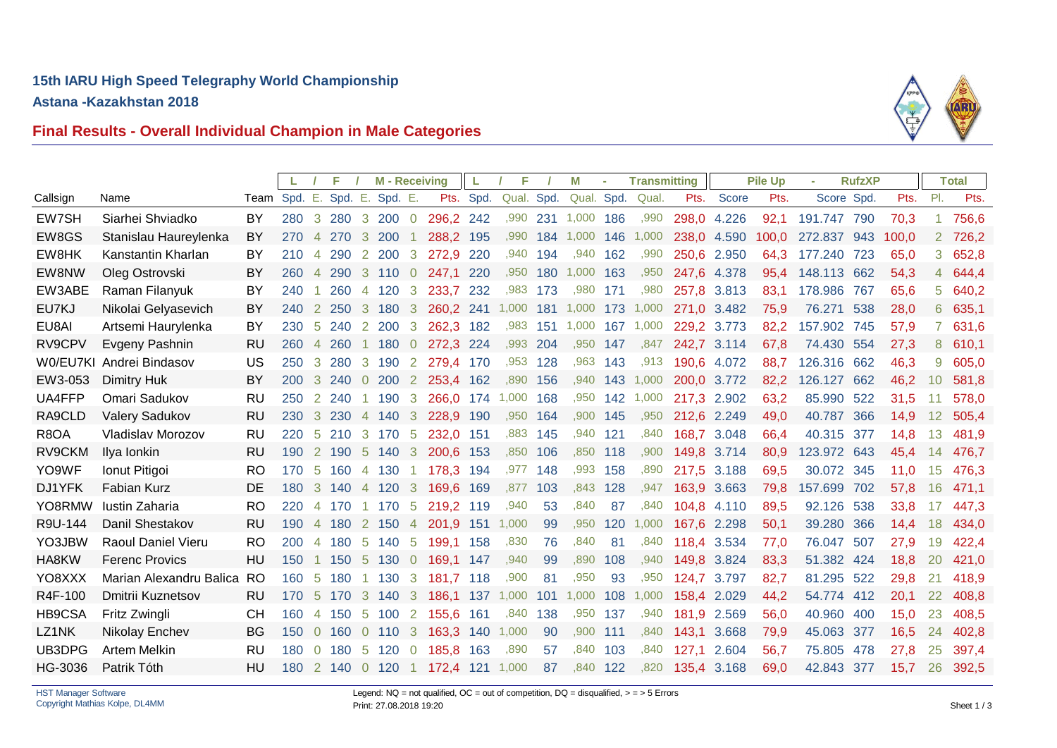

# **Final Results - Overall Individual Champion in Male Categories**

|          |                         |              |     |                       | F       |                | <b>M</b> - Receiving |                |           | L         | F          |     | М          |     | <b>Transmitting</b> |             |             | <b>Pile Up</b> |             | <b>RufzXP</b> |       |                | <b>Total</b> |
|----------|-------------------------|--------------|-----|-----------------------|---------|----------------|----------------------|----------------|-----------|-----------|------------|-----|------------|-----|---------------------|-------------|-------------|----------------|-------------|---------------|-------|----------------|--------------|
| Callsign | Name                    | Team Spd. E. |     |                       | Spd. E. |                | Spd. E.              |                |           | Pts. Spd. | Qual. Spd. |     | Qual. Spd. |     | Qual.               | Pts.        | Score       | Pts.           | Score Spd.  |               | Pts.  | PI.            | Pts.         |
| EW7SH    | Siarhei Shviadko        | BY           | 280 | $\mathbf{3}$          | 280     | 3              | 200                  | $\overline{0}$ | 296,2 242 |           | ,990       | 231 | 1,000      | 186 | ,990                | 298,0 4.226 |             | 92,1           | 191.747 790 |               | 70,3  | $\mathbf{1}$   | 756,6        |
| EW8GS    | Stanislau Haureylenka   | BY           | 270 | $\overline{4}$        | 270     | 3              | 200                  |                | 288,2 195 |           | ,990       | 184 | 1,000      | 146 | 1,000               | 238,0       | 4.590       | 100,0          | 272.837     | 943           | 100,0 | $\overline{2}$ | 726,2        |
| EW8HK    | Kanstantin Kharlan      | BY           | 210 | $\overline{4}$        | 290     | 2              | 200                  | 3              | 272,9     | 220       | ,940       | 194 | ,940       | 162 | ,990                | 250,6       | 2.950       | 64,3           | 177.240     | 723           | 65,0  | 3              | 652,8        |
| EW8NW    | Oleg Ostrovski          | BY           | 260 | $\overline{4}$        | 290     | 3              | 110                  | $\overline{0}$ | 247.1     | 220       | ,950       | 180 | 1,000      | 163 | ,950                | 247,6       | 4.378       | 95,4           | 148.113     | 662           | 54,3  |                | 4 644,4      |
| EW3ABE   | Raman Filanyuk          | BY           | 240 |                       | 260     | $\overline{4}$ | 120                  | 3              | 233.7     | 232       | .983       | 173 | .980       | 171 | ,980                | 257,8       | 3.813       | 83.1           | 178.986     | 767           | 65,6  | 5              | 640,2        |
| EU7KJ    | Nikolai Gelyasevich     | BY           | 240 | <sup>2</sup>          | 250     | 3              | 180                  | 3              | 260,2 241 |           | 1,000      | 181 | 1,000      | 173 | 1,000               |             | 271,0 3.482 | 75,9           | 76.271      | 538           | 28,0  | 6              | 635,1        |
| EU8AI    | Artsemi Haurylenka      | BY           | 230 | -5                    | 240     | 2              | 200                  | 3              | 262,3     | 182       | .983       | 151 | 1,000      | 167 | 1,000               | 229.2       | 3.773       | 82,2           | 157.902     | 745           | 57,9  |                | 631,6        |
| RV9CPV   | Evgeny Pashnin          | <b>RU</b>    | 260 | $\overline{4}$        | 260     |                | 180                  | $\overline{0}$ | 272,3 224 |           | ,993       | 204 | ,950       | 147 | ,847                | 242,7       | 3.114       | 67,8           | 74.430 554  |               | 27,3  | 8              | 610,1        |
| W0/EU7KI | Andrei Bindasov         | US           | 250 | 3                     | 280     | 3              | 190                  | $\overline{2}$ | 279,4 170 |           | ,953 128   |     | ,963       | 143 | .913                |             | 190,6 4.072 | 88,7           | 126.316 662 |               | 46,3  | 9              | 605,0        |
| EW3-053  | Dimitry Huk             | <b>BY</b>    | 200 | 3                     | 240     | $\overline{0}$ | <b>200</b>           | 2              | 253,4 162 |           | ,890       | 156 | ,940       | 143 | 1,000               | 200,0       | 3.772       | 82,2           | 126.127     | 662           | 46,2  | 10             | 581,8        |
| UA4FFP   | Omari Sadukov           | RU           | 250 | $\mathbf{2}^{\prime}$ | 240     |                | 190                  | 3              | 266,0 174 |           | 1,000 168  |     | ,950       | 142 | 1,000               | 217,3       | 2.902       | 63,2           | 85.990 522  |               | 31,5  |                | 578,0        |
| RA9CLD   | <b>Valery Sadukov</b>   | <b>RU</b>    | 230 | $\mathbf{3}$          | 230     | $\overline{4}$ | 140                  | 3              | 228,9 190 |           | .950       | 164 | .900       | 145 | .950                | 212,6 2.249 |             | 49,0           | 40.787 366  |               | 14,9  | 12             | 505,4        |
| R8OA     | Vladislav Morozov       | RU           | 220 | -5                    | 210     | 3              | 170                  | -5             | 232,0     | 151       | ,883       | 145 | .940       | 121 | .840                | 168,7       | 3.048       | 66,4           | 40.315      | 377           | 14,8  | 13             | 481,9        |
| RV9CKM   | Ilya Ionkin             | <b>RU</b>    | 190 |                       | 2 190   | $\sqrt{5}$     | 140                  | 3              | 200,6 153 |           | ,850       | 106 | ,850       | 118 | ,900                | 149,8       | 3.714       | 80,9           | 123.972 643 |               | 45,4  | 14             | 476,7        |
| YO9WF    | Ionut Pitigoi           | <b>RO</b>    | 170 | -5                    | 160     | 4              | 130                  |                | 178,3 194 |           | ,977       | 148 | ,993       | 158 | ,890                | 217,5       | 3.188       | 69,5           | 30.072 345  |               | 11,0  | 15             | 476,3        |
| DJ1YFK   | Fabian Kurz             | DE           | 180 | 3                     | 140     | $\overline{4}$ | 120                  | 3              | 169,6     | 169       | .877       | 103 | ,843       | 128 | ,947                | 163,9       | 3.663       | 79,8           | 157.699     | 702           | 57,8  | 16             | 471,1        |
| YO8RMW   | Iustin Zaharia          | <b>RO</b>    | 220 |                       | 4 170   |                | 170                  | -5             | 219,2 119 |           | ,940       | 53  | ,840       | 87  | .840                | 104,8       | 4.110       | 89,5           | 92.126 538  |               | 33,8  | 17             | 447.3        |
| R9U-144  | Danil Shestakov         | <b>RU</b>    | 190 | $\overline{4}$        | 180     | <sup>2</sup>   | 150                  | $\overline{4}$ | 201,9 151 |           | 1,000      | 99  | .950       | 120 | 1,000               | 167,6       | 2.298       | 50,1           | 39.280      | 366           | 14,4  | 18             | 434,0        |
| YO3JBW   | Raoul Daniel Vieru      | <b>RO</b>    | 200 | $\overline{4}$        | 180     | -5             | 140                  | -5             | 199,1 158 |           | .830       | 76  | .840       | 81  | ,840                | 118.4       | 3.534       | 77,0           | 76.047      | 507           | 27,9  | 19             | 422,4        |
| HA8KW    | <b>Ferenc Provics</b>   | HU           | 150 |                       | 150     | 5              | 130                  | $\overline{0}$ | 169,1 147 |           | ,940       | 99  | ,890       | 108 | ,940                | 149,8       | 3.824       | 83,3           | 51.382 424  |               | 18,8  | 20             | 421,0        |
| YO8XXX   | Marian Alexandru Balica | <b>RO</b>    | 160 | -5                    | 180     |                | 130                  | 3              | 181,7     | 118       | ,900       | 81  | ,950       | 93  | ,950                | 124,7       | 3.797       | 82,7           | 81.295      | 522           | 29,8  | 21             | 418,9        |
| R4F-100  | Dmitrii Kuznetsov       | <b>RU</b>    | 170 | -5                    | 170     | 3              | 140                  | 3              | 186,1 137 |           | 1,000      | 101 | 1,000      | 108 | 1,000               | 158,4       | 2.029       | 44,2           | 54.774 412  |               | 20,1  | 22             | 408,8        |
| HB9CSA   | Fritz Zwingli           | <b>CH</b>    | 160 | $\overline{4}$        | 150     | -5             | 100                  | $\overline{2}$ | 155,6     | 161       | ,840       | 138 | ,950       | 137 | ,940                | 181,9       | 2.569       | 56,0           | 40.960 400  |               | 15,0  | 23             | 408,5        |
| LZ1NK    | Nikolay Enchev          | <b>BG</b>    | 150 | $\overline{0}$        | 160     | $\overline{0}$ | 110                  | 3              | 163,3     | 140       | 1,000      | 90  | .900       | 111 | ,840                | 143,1       | 3.668       | 79,9           | 45.063      | 377           | 16,5  | 24             | 402,8        |
| UB3DPG   | <b>Artem Melkin</b>     | <b>RU</b>    | 180 | $\overline{0}$        | 180     | -5             | 120                  | $\overline{0}$ | 185,8     | 163       | .890       | 57  | ,840       | 103 | .840                | 127.1       | 2.604       | 56,7           | 75.805      | 478           | 27,8  | 25             | 397,4        |
| HG-3036  | Patrik Tóth             | HU           | 180 |                       | 2,140,0 |                | 120                  | -1             | 172,4 121 |           | 1,000      | 87  | .840       | 122 | ,820                | 135,4 3.168 |             | 69,0           | 42.843 377  |               | 15,7  | 26             | 392,5        |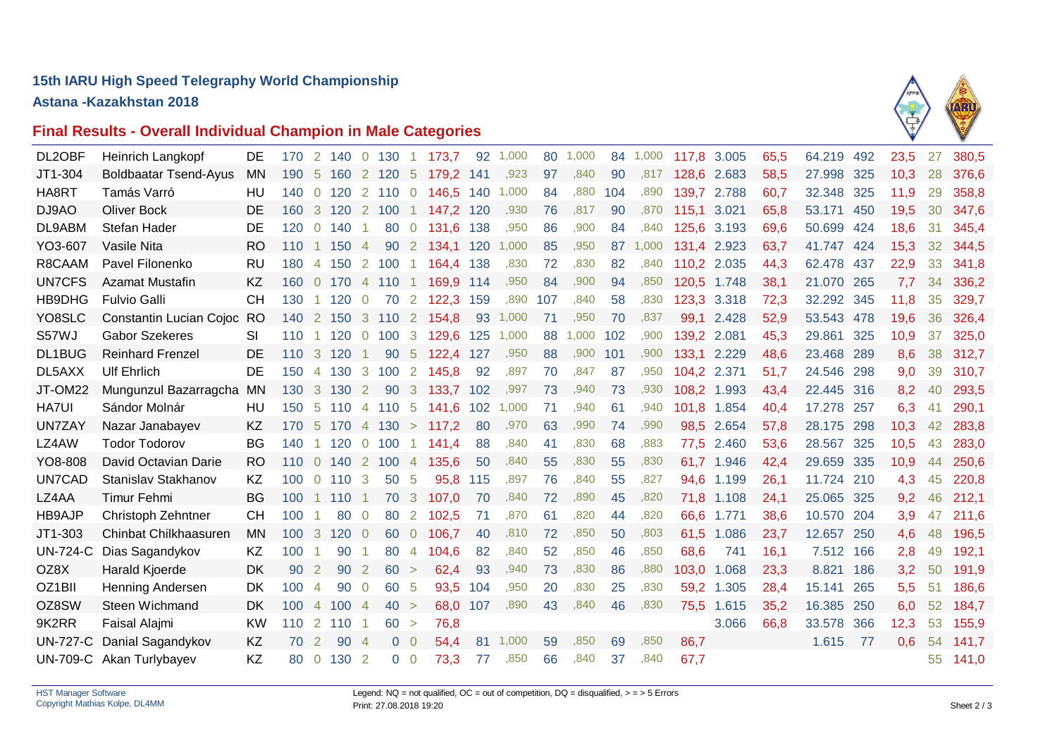# **15th IARU High Speed Telegraphy World Championship**

**Astana -Kazakhstan 2018**



# **Final Results - Overall Individual Champion in Male Categories**

| DL2OBF          | Heinrich Langkopf            | DE        | 170 | 2              | 140   | $\overline{0}$ | 130            |                      | 173,7 | 92  | 1,000 | 80  | 1.000 | 84  | 1,000 | 117,8 3.005 |       | 65,5 | 64.219     | 492 | 23,5 | 27 | 380,5 |
|-----------------|------------------------------|-----------|-----|----------------|-------|----------------|----------------|----------------------|-------|-----|-------|-----|-------|-----|-------|-------------|-------|------|------------|-----|------|----|-------|
| JT1-304         | <b>Boldbaatar Tsend-Ayus</b> | <b>MN</b> | 190 | -5             | 160   | $\mathbf{2}$   | 120            | -5                   | 179.2 | 141 | ,923  | 97  | .840  | 90  | .817  | 128,6       | 2.683 | 58,5 | 27.998     | 325 | 10,3 | 28 | 376,6 |
| HA8RT           | Tamás Varró                  | HU        | 140 | $\overline{0}$ | 120   |                | 2 110          | $\overline{0}$       | 146,5 | 140 | 1,000 | 84  | .880  | 104 | .890  | 139,7       | 2.788 | 60,7 | 32.348     | 325 | 11,9 | 29 | 358,8 |
| DJ9AO           | <b>Oliver Bock</b>           | DE        | 160 | $\mathbf{3}$   | 120   | $\overline{2}$ | 100            | $\blacktriangleleft$ | 147,2 | 120 | ,930  | 76  | .817  | 90  | .870  | 115.1       | 3.021 | 65,8 | 53.171     | 450 | 19,5 | 30 | 347,6 |
| DL9ABM          | Stefan Hader                 | DE        | 120 | $\Omega$       | 140   |                | 80             | $\overline{0}$       | 131,6 | 138 | ,950  | 86  | ,900  | 84  | ,840  | 125,6       | 3.193 | 69.6 | 50.699 424 |     | 18,6 | 31 | 345,4 |
| YO3-607         | Vasile Nita                  | <b>RO</b> | 110 |                | 150   | $\overline{4}$ | 90             | $\overline{2}$       | 134.1 | 120 | 1,000 | 85  | .950  | 87  | 1,000 | 131,4       | 2.923 | 63,7 | 41.747 424 |     | 15,3 | 32 | 344,5 |
| R8CAAM          | Pavel Filonenko              | <b>RU</b> | 180 | $\overline{4}$ | 150   | <sup>2</sup>   | 100            | 1                    | 164,4 | 138 | ,830  | 72  | .830  | 82  | ,840  | 110.2       | 2.035 | 44,3 | 62.478     | 437 | 22,9 | 33 | 341,8 |
| <b>UN7CFS</b>   | <b>Azamat Mustafin</b>       | <b>KZ</b> | 160 | $\overline{0}$ | 170   |                | 4 110          |                      | 169.9 | 114 | ,950  | 84  | ,900  | 94  | ,850  | 120,5       | 1.748 | 38,1 | 21.070 265 |     | 7,7  | 34 | 336,2 |
| HB9DHG          | <b>Fulvio Galli</b>          | <b>CH</b> | 130 |                | 120   | $\overline{0}$ | 70             | 2                    | 122,3 | 159 | ,890  | 107 | ,840  | 58  | ,830  | 123,3       | 3.318 | 72,3 | 32.292     | 345 | 11,8 | 35 | 329,7 |
| YO8SLC          | Constantin Lucian Cojoc      | <b>RO</b> | 140 | $\overline{2}$ | 150   | $\mathbf{3}$   | 110            | $\overline{2}$       | 154,8 | 93  | 1,000 | 71  | ,950  | 70  | ,837  | 99,1        | 2.428 | 52,9 | 53.543 478 |     | 19,6 | 36 | 326,4 |
| S57WJ           | <b>Gabor Szekeres</b>        | SI        | 110 |                | 120   | $\overline{0}$ | 100            | -3                   | 129,6 | 125 | 1,000 | 88  | 1,000 | 102 | .900  | 139,2       | 2.081 | 45,3 | 29.861     | 325 | 10,9 | 37 | 325,0 |
| DL1BUG          | <b>Reinhard Frenzel</b>      | DE        | 110 | 3              | 120   |                | 90             | $\sqrt{5}$           | 122,4 | 127 | ,950  | 88  | ,900  | 101 | ,900  | 133,1       | 2.229 | 48,6 | 23.468 289 |     | 8,6  | 38 | 312,7 |
| DL5AXX          | <b>Ulf Ehrlich</b>           | DE        | 150 | 4              | 130   | 3              | 100            | $\overline{2}$       | 145,8 | 92  | ,897  | 70  | ,847  | 87  | ,950  | 104,2       | 2.371 | 51,7 | 24.546     | 298 | 9,0  | 39 | 310,7 |
| JT-OM22         | Mungunzul Bazarragcha        | <b>MN</b> | 130 | 3              | 130   | $\mathbf{2}$   | 90             | -3                   | 133,7 | 102 | ,997  | 73  | ,940  | 73  | ,930  | 108,2       | 1.993 | 43,4 | 22.445     | 316 | 8,2  | 40 | 293,5 |
| <b>HA7UI</b>    | Sándor Molnár                | HU        | 150 | 5              | 110   | $\overline{4}$ | 110            | -5                   | 141.6 | 102 | 1,000 | 71  | .940  | 61  | .940  | 101,8       | 1.854 | 40,4 | 17.278 257 |     | 6,3  | 41 | 290,1 |
| <b>UN7ZAY</b>   | Nazar Janabayev              | KZ        | 170 | -5             | 170   | $\overline{4}$ | 130            | $\geq$               | 117,2 | 80  | ,970  | 63  | ,990  | 74  | ,990  | 98,5        | 2.654 | 57,8 | 28.175     | 298 | 10,3 | 42 | 283,8 |
| LZ4AW           | <b>Todor Todorov</b>         | BG        | 140 |                | 120   | $\overline{0}$ | 100            |                      | 141,4 | 88  | ,840  | 41  | .830  | 68  | ,883  | 77,5        | 2.460 | 53,6 | 28.567     | 325 | 10,5 | 43 | 283,0 |
| YO8-808         | David Octavian Darie         | RO        | 110 | $\overline{0}$ | 140   | $\overline{2}$ | 100            | $\overline{4}$       | 135.6 | 50  | ,840  | 55  | .830  | 55  | .830  | 61,7        | 1.946 | 42,4 | 29.659 335 |     | 10,9 | 44 | 250,6 |
| UN7CAD          | Stanislav Stakhanov          | KZ        | 100 | $\overline{0}$ | 110   | -3             | 50             | -5                   | 95.8  | 115 | ,897  | 76  | .840  | 55  | ,827  | 94,6        | 1.199 | 26,1 | 11.724 210 |     | 4,3  | 45 | 220,8 |
| LZ4AA           | Timur Fehmi                  | BG        | 100 |                | 110   |                | 70             | -3                   | 107,0 | 70  | ,840  | 72  | .890  | 45  | ,820  | 71,8        | 1.108 | 24,1 | 25.065 325 |     | 9,2  | 46 | 212,1 |
| <b>HB9AJP</b>   | Christoph Zehntner           | <b>CH</b> | 100 |                | 80    | $\overline{0}$ | 80             | 2                    | 102,5 | -71 | ,870  | 61  | .820  | 44  | ,820  | 66,6        | 1.771 | 38,6 | 10.570     | 204 | 3,9  | 47 | 211,6 |
| JT1-303         | Chinbat Chilkhaasuren        | <b>MN</b> | 100 | -3             | 120   | $\overline{0}$ | 60             | $\overline{0}$       | 106,7 | 40  | ,810  | 72  | .850  | 50  | .803  | 61,5        | 1.086 | 23,7 | 12.657     | 250 | 4,6  | 48 | 196,5 |
| <b>UN-724-C</b> | Dias Sagandykov              | KZ        | 100 |                | 90    |                | 80             | 4                    | 104,6 | 82  | .840  | 52  | .850  | 46  | .850  | 68,6        | 741   | 16,1 | 7.512      | 166 | 2,8  | 49 | 192,1 |
| OZ8X            | Harald Kjoerde               | DK        | 90  | 2              | 90    | 2              | 60 >           |                      | 62,4  | 93  | ,940  | 73  | .830  | 86  | ,880  | 103,0       | 1.068 | 23,3 | 8.821      | 186 | 3,2  | 50 | 191,9 |
| OZ1BII          | <b>Henning Andersen</b>      | DK        | 100 | $\overline{4}$ | 90    | $\overline{0}$ | 60             | -5                   | 93.5  | 104 | ,950  | 20  | ,830  | 25  | ,830  | 59.2        | 1.305 | 28,4 | 15.141     | 265 | 5,5  | 51 | 186,6 |
| OZ8SW           | Steen Wichmand               | <b>DK</b> | 100 | $\overline{4}$ | 100   | -4             | 40 >           |                      | 68,0  | 107 | ,890  | 43  | ,840  | 46  | ,830  | 75,5        | 1.615 | 35,2 | 16.385 250 |     | 6,0  | 52 | 184,7 |
| 9K2RR           | Faisal Alajmi                | <b>KW</b> | 110 | $\overline{2}$ | 110   |                | 60 >           |                      | 76,8  |     |       |     |       |     |       |             | 3.066 | 66,8 | 33.578     | 366 | 12,3 | 53 | 155,9 |
| <b>UN-727-C</b> | Danial Sagandykov            | KZ        | 70  | $\overline{2}$ | 90    | - 4            | $\overline{0}$ | $\overline{0}$       | 54,4  | 81  | 1,000 | 59  | ,850  | 69  | ,850  | 86,7        |       |      | 1.615      | 77  | 0,6  | 54 | 141,7 |
|                 | UN-709-C Akan Turlybayev     | KZ        | 80  | $\overline{0}$ | 130 2 |                | 0 <sub>0</sub> |                      | 73,3  | 77  | ,850  | 66  | ,840  | 37  | .840  | 67,7        |       |      |            |     |      | 55 | 141,0 |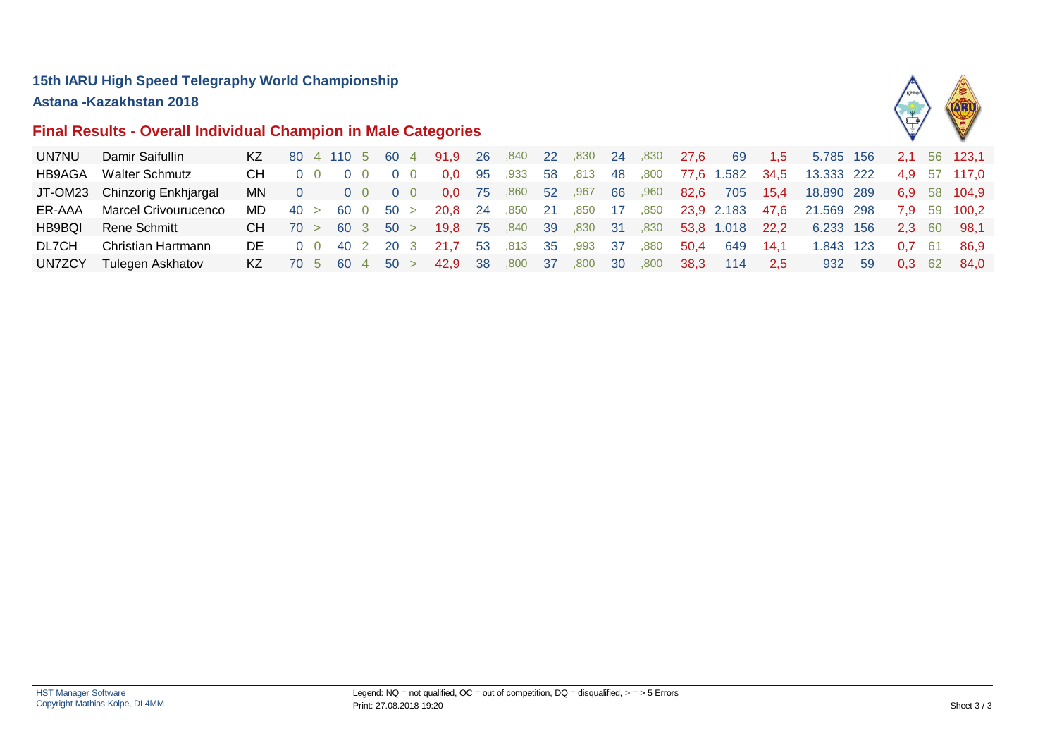# **Final Results - Overall Individual Champion in Male Categories**



| UN7NU         | Damir Saifullin             | ΚZ  | 80 4 110 5 60 4 |                |      |            |                   | 91,9 26          |     | ,840    | <b>22</b>       | ,830 | -24  | ,830 | 27.6 | 69         | 1,5  | 5.785 156  |       | <b>2.1</b>     |      | 56 123,1     |
|---------------|-----------------------------|-----|-----------------|----------------|------|------------|-------------------|------------------|-----|---------|-----------------|------|------|------|------|------------|------|------------|-------|----------------|------|--------------|
| HB9AGA        | <b>Walter Schmutz</b>       | CH. |                 |                |      |            |                   | 0.0              | -95 | ,933    | 58              | ,813 | -48  | ,800 |      | 77,6 1.582 | 34,5 | 13.333 222 |       |                |      | 4.9 57 117.0 |
| JT-OM23       | Chinzorig Enkhjargal        | MN. |                 |                |      | $0\quad 0$ | $0\quad 0$        | 0.0 <sub>1</sub> | 75  | ,860    | 52              | ,967 | 66   | ,960 | 82.6 | 705        | 15.4 | 18,890 289 |       |                |      | 6.9 58 104.9 |
| ER-AAA        | <b>Marcel Crivourucenco</b> | MD. | 40 >            |                | 60 O |            | 50 >              | 20.8 24          |     | .850    | -21             | .850 | - 17 | ,850 |      | 23.9 2.183 | 47.6 | 21.569 298 |       |                |      | 7.9 59 100.2 |
| <b>HB9BQI</b> | Rene Schmitt                | CH. | 70 >            |                |      |            | $60 \t3 \t50 >$   | 19.8 75          |     | ,840 39 |                 | ,830 | - 31 | ,830 |      | 53,8 1.018 | 22.2 | 6.233 156  |       |                |      | 2.3 60 98.1  |
| DL7CH         | Christian Hartmann          | DE. |                 | 0 <sub>0</sub> | 40 2 |            | 20 3              | 21.7             | -53 | .813    | - 35            | .993 | - 37 | .880 | 50.4 | 649        | 14.1 | .843       | - 123 | 0.7            | - 61 | - 86.9       |
| <b>UN7ZCY</b> | Tulegen Askhatov            | KZ. | $-70\quad5$     |                |      |            | $60 \t 4 \t 50 >$ | 42,9 38          |     | ,800    | 37 <sup>7</sup> | ,800 | -30  | ,800 | 38,3 | 114        | -2,5 | 932        | -59   | $0.3 \quad 62$ |      | 84.0         |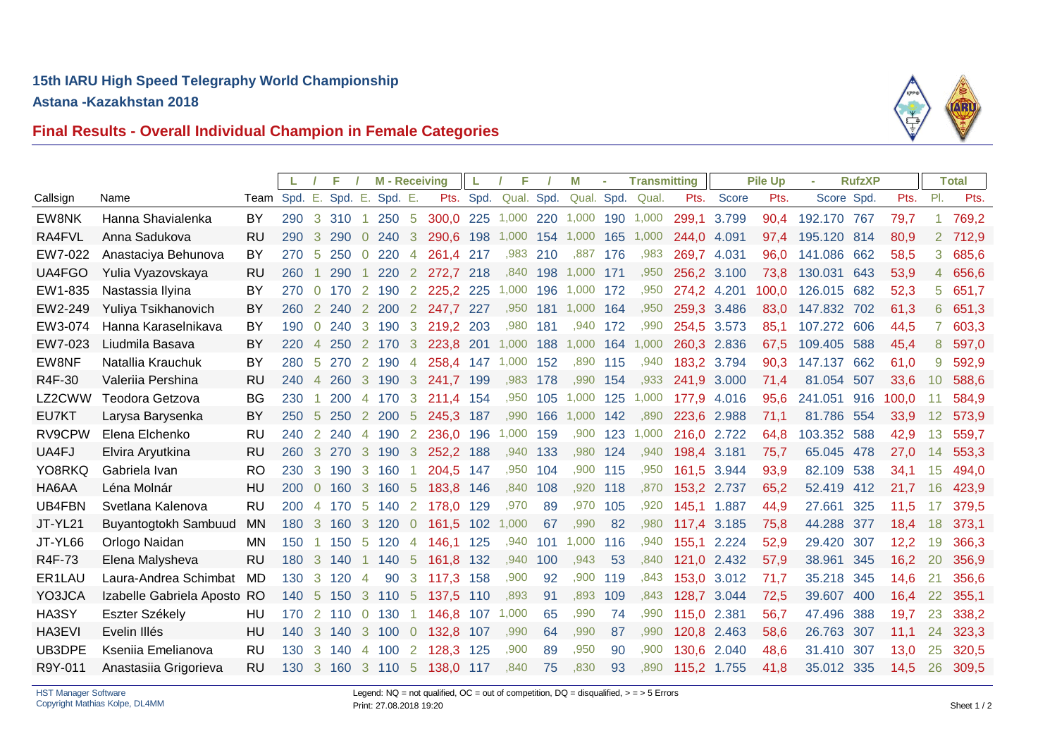

# **Final Results - Overall Individual Champion in Female Categories**

|                 |                                               |              |            |                | F.         |                     | <b>M</b> - Receiving |                | L              | F          |               | M        | <b>Transmitting</b> |          |              | <b>Pile Up</b> |                | <b>RufzXP</b> |                  |            |              | <b>Total</b> |                |
|-----------------|-----------------------------------------------|--------------|------------|----------------|------------|---------------------|----------------------|----------------|----------------|------------|---------------|----------|---------------------|----------|--------------|----------------|----------------|---------------|------------------|------------|--------------|--------------|----------------|
| Callsign        | Name                                          | Team Spd. E. |            |                | Spd. E.    |                     | Spd. E.              |                |                | Pts. Spd.  | Qual. Spd.    |          | Qual. Spd.          |          | Qual.        | Pts.           | <b>Score</b>   | Pts.          | Score Spd.       |            | Pts.         | PI.          | Pts.           |
| EW8NK           | Hanna Shavialenka                             | BY           | 290        |                | 3 310      |                     | 250 5                |                | 300,0 225      |            | 1,000 220     |          | 1,000               |          | 190 1,000    | 299,1          | 3.799          | 90,4          | 192.170          | 767        | 79,7         |              | 769,2          |
| RA4FVL          | Anna Sadukova                                 | <b>RU</b>    | 290        | 3              | 290        | $\Omega$            | 240                  | 3              | 290.6          | 198        | 1,000         | 154      | 1,000               | 165      | 1,000        | 244,0          | 4.091          | 97,4          | 195.120          | 814        | 80,9         |              | 2 712,9        |
| EW7-022         | Anastaciya Behunova                           | <b>BY</b>    | 270        | 5              | 250        | $\overline{0}$      | 220                  | $\overline{4}$ | 261,4 217      |            |               | ,983 210 | .887                | 176      | .983         | 269,7 4.031    |                | 96,0          | 141.086 662      |            | 58,5         | 3            | 685,6          |
| UA4FGO          | Yulia Vyazovskaya                             | <b>RU</b>    | 260        |                | 290        |                     | 220                  | 2              | 272,7          | 218        |               | ,840 198 | 1,000               | 171      | ,950         | 256,2 3.100    |                | 73,8          | 130.031          | 643        | 53,9         |              | 4 656,6        |
| EW1-835         | Nastassia Ilyina                              | BY           | 270        | $\overline{0}$ | 170        | 2                   | 190                  | 2              | 225,2 225      |            | 1,000         | 196      | 1,000               | 172      | ,950         | 274,2 4.201    |                | 100,0         | 126.015          | 682        | 52,3         | 5            | 651,7          |
| EW2-249         | Yuliya Tsikhanovich                           | BY           | 260        | $\mathbf{2}$   | 240        | 2                   | 200                  | $\overline{2}$ | 247,7 227      |            | ,950          | 181      | 1,000 164           |          | ,950         | 259,3 3.486    |                | 83,0          | 147.832 702      |            | 61,3         | 6            | 651,3          |
| EW3-074         | Hanna Karaselnikava                           | BY           | 190        | $\overline{0}$ | 240        | 3                   | 190                  | 3              | 219,2 203      |            | ,980          | 181      | ,940                | 172      | .990         | 254,5          | 3.573          | 85,1          | 107.272 606      |            | 44,5         | 7            | 603,3          |
| EW7-023         | Liudmila Basava                               | BY           | 220        | $\overline{4}$ | 250        | $\mathbf{2}$        | 170                  | 3              | 223,8 201      |            | 1,000 188     |          | 1,000 164           |          | 1,000        | 260,3 2.836    |                | 67.5          | 109.405          | 588        | 45.4         | 8            | 597,0          |
| EW8NF           | Natallia Krauchuk                             | BY           | 280        | -5             | 270        | 2                   | 190                  | $\overline{4}$ | 258,4 147      |            | 1,000 152     |          | ,890                | 115      | ,940         | 183,2 3.794    |                | 90,3          | 147.137          | 662        | 61,0         | 9            | 592,9          |
| R4F-30          | Valeriia Pershina                             | <b>RU</b>    | 240        | $\overline{4}$ | 260        | $\mathbf{3}$        | 190                  | 3              | 241.7          | 199        | ,983          | 178      | .990                | 154      | .933         | 241,9          | 3.000          | 71,4          | 81.054           | 507        | 33,6         | 10           | 588,6          |
| LZ2CWW          | Teodora Getzova                               | <b>BG</b>    | 230        |                | 200        | $\overline{4}$      | 170                  | 3              | 211,4 154      |            |               | ,950 105 | 1,000 125           |          | 1,000        | 177,9          | 4.016          | 95,6          | 241.051          | 916        | 100,0        |              | 584,9          |
| EU7KT           | Larysa Barysenka                              | BY           | 250        | -5             | 250        |                     | 2 200                | 5              | 245,3          | 187        | ,990          | 166      | 1,000               | 142      | ,890         | 223,6 2.988    |                | 71,1          | 81.786           | 554        | 33,9         | 12           | 573,9          |
| RV9CPW          | Elena Elchenko                                | RU           | 240        | 2              | 240        | 4                   | 190                  | 2              | 236.0          | 196        | 1,000         | 159      | .900                | 123      | 1,000        | 216.0          | 2.722          | 64,8          | 103.352 588      |            | 42,9         | 13           | 559,7          |
| UA4FJ           | Elvira Aryutkina                              | <b>RU</b>    | 260        | 3              | 270        | 3                   | 190                  | 3              | 252,2 188      |            | ,940          | 133      | ,980                | 124      | ,940         | 198,4 3.181    |                | 75,7          | 65.045 478       |            | 27,0         | 14           | 553,3          |
| YO8RKQ          | Gabriela Ivan                                 | RO           | 230        | 3              | 190        | 3                   | 160                  |                | 204,5          | 147        | ,950          | 104      | ,900                | 115      | ,950         | 161.5          | 3.944          | 93,9          | 82.109           | 538        | 34.1         | 15           | 494.0          |
| HA6AA           | Léna Molnár                                   | HU           | 200        | $\Omega$       | 160        | 3                   | 160                  | 5              | 183.8 146      |            | ,840          | 108      | ,920                | 118      | .870         | 153.2          | 2.737          | 65,2          | 52.419           | 412        | 21.7         | 16           | 423.9          |
| UB4FBN          | Svetlana Kalenova                             | RU           | 200        | $\overline{4}$ | 170        | -5                  | 140                  | $\overline{2}$ | 178,0 129      |            | ,970          | 89       | ,970                | 105      | ,920         | 145.1          | 1.887          | 44,9          | 27.661           | 325        | 11,5         | -17          | 379.5          |
| JT-YL21         | Buyantogtokh Sambuud                          | <b>MN</b>    | 180        | 3              | 160        | 3                   | 120                  | $\overline{0}$ | 161,5          | 102        | 1,000         | 67       | .990                | 82       | .980         | 117,4          | 3.185          | 75,8          | 44.288           | 377        | 18,4         | 18           | 373,1          |
| JT-YL66         | Orlogo Naidan                                 | <b>MN</b>    | 150        |                | 150        | $5^{\circ}$         | 120                  | 4              | 146,1 125      |            | ,940          | 101      | 1,000               | 116      | .940         | 155,1          | 2.224          | 52,9          | 29.420           | 307        | 12,2         | 19           | 366,3          |
| R4F-73          | Elena Malysheva                               | <b>RU</b>    | 180        | 3              | 140        |                     | 140                  | 5              | 161,8          | 132        | ,940          | 100      | .943                | 53       | .840         | 121,0          | 2.432          | 57,9          | 38.961 345       |            | 16,2         | 20           | 356,9          |
| ER1LAU          | Laura-Andrea Schimbat                         | MD           | 130        | 3              | 120        | $\overline{4}$      | 90                   | 3              | 117,3          | 158        | ,900          | 92       | ,900                | 119      | .843         | 153,0          | 3.012          | 71,7          | 35.218           | 345        | 14,6         | 21           | 356,6          |
| YO3JCA          | Izabelle Gabriela Aposto RO<br>Eszter Székely |              | 140        | -5             | 150        | 3                   | 110                  | $\sqrt{5}$     | 137,5          | 110        | ,893<br>1,000 | 91       | ,893<br>,990        | 109      | ,843<br>.990 | 128,7          | 3.044          | 72,5          | 39.607           | 400        | 16,4         | 22           | 355,1          |
| HA3SY<br>HA3EVI | Evelin Illés                                  | HU<br>HU     | 170<br>140 | 2<br>3         | 110<br>140 | $\overline{0}$<br>3 | 130<br>100           | $\overline{0}$ | 146,8<br>132.8 | 107        | ,990          | 65<br>64 | ,990                | 74<br>87 | ,990         | 115,0<br>120.8 | 2.381<br>2.463 | 56,7          | 47.496<br>26.763 | 388<br>307 | 19,7<br>11.1 | 23           | 338,2<br>323,3 |
| UB3DPE          | Kseniia Emelianova                            | <b>RU</b>    | 130        | 3              | 140        | $\overline{4}$      | 100                  | $\overline{2}$ | 128.3          | 107<br>125 | .900          | 89       | .950                | 90       | ,900         | 130,6          | 2.040          | 58,6<br>48,6  | 31.410 307       |            | 13,0         | 24<br>25     | 320,5          |
| R9Y-011         | Anastasiia Grigorieva                         | <b>RU</b>    | 130        | $\mathbf{3}$   | 160 3      |                     | 110 5                |                | 138,0 117      |            | .840          | 75       | .830                | 93       | .890         | 115,2 1.755    |                | 41,8          | 35.012 335       |            | 14,5         | 26           | 309,5          |
|                 |                                               |              |            |                |            |                     |                      |                |                |            |               |          |                     |          |              |                |                |               |                  |            |              |              |                |

Legend:  $NQ = not$  qualified,  $OC = out$  of competition,  $DQ =$  disqualified,  $> = > 5$  Errors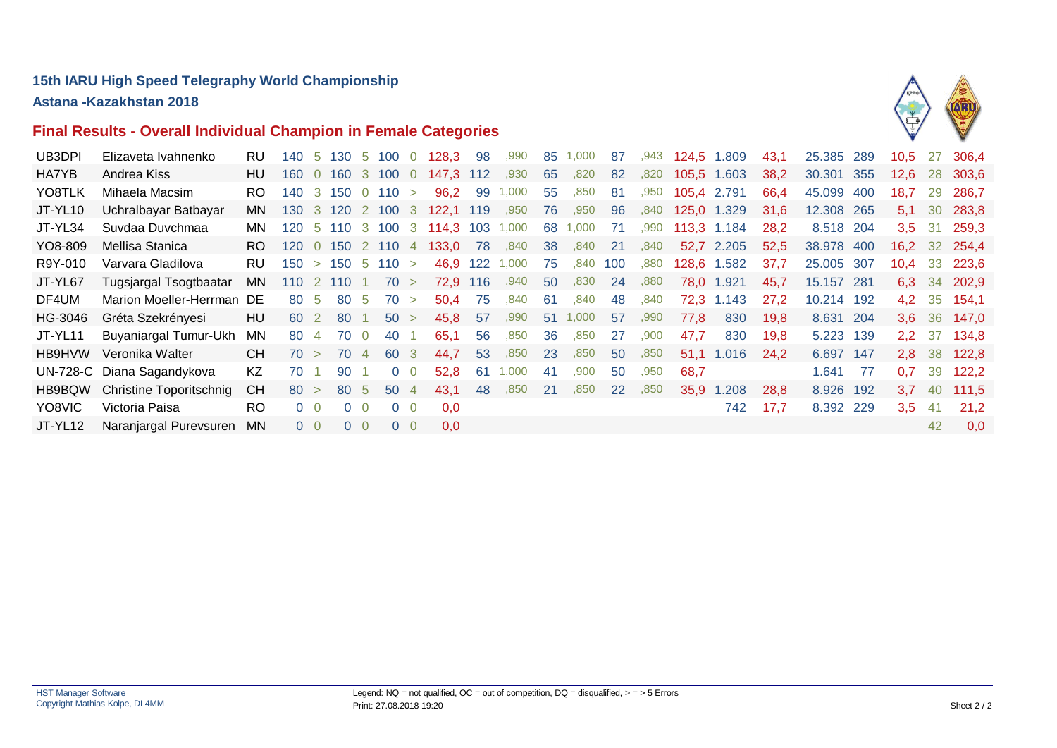# **15th IARU High Speed Telegraphy World Championship**

**Astana -Kazakhstan 2018**

# **Final Results - Overall Individual Champion in Female Categories**



| UB3DPI  | Elizaveta Ivahnenko            | <b>RU</b> | 140  |                |       |                | 5 130 5 100 0       |                | 128,3                       | -98  | ,990  | 85        | 1,000 | 87        | ,943 |             | 124,5 1.809 | 43.1 | 25.385 289 |     | 10.5             |     | 27 306.4      |
|---------|--------------------------------|-----------|------|----------------|-------|----------------|---------------------|----------------|-----------------------------|------|-------|-----------|-------|-----------|------|-------------|-------------|------|------------|-----|------------------|-----|---------------|
| HA7YB   | Andrea Kiss                    | HU        | 160  |                |       |                |                     |                | 0 160 3 100 0 147.3 112     |      | ,930  | 65        | ,820  | 82        | ,820 | 105,5 1.603 |             | 38,2 | 30.301 355 |     | 12.6             |     | 28 303.6      |
| YO8TLK  | Mihaela Macsim                 | RO.       | 140  |                |       |                | $3\,150\,0\,110\,>$ |                | 96,2                        | 99   | 1,000 | 55        | ,850  | 81        | ,950 | 105,4 2.791 |             | 66,4 | 45.099     | 400 | 18,7             | 29  | 286,7         |
| JT-YL10 | Uchralbayar Batbayar           | MN.       | 130  |                |       |                | 3 120 2 100 3       |                | 122,1 119                   |      | ,950  | 76        | ,950  | 96        | ,840 |             | 125,0 1.329 | 31,6 | 12.308 265 |     | 5.1              | 30  | 283,8         |
| JT-YL34 | Suvdaa Duvchmaa                | MN.       | 120  | -5             |       |                |                     |                | 110 3 100 3 114,3 103 1,000 |      |       | 68        | 1,000 | 71        | ,990 |             | 113,3 1.184 | 28,2 | 8.518 204  |     | 3.5              | -31 | 259,3         |
| YO8-809 | Mellisa Stanica                | RO.       | 120  |                |       |                |                     |                | 0 150 2 110 4 133,0         | - 78 | ,840  | 38        | ,840  | 21        | ,840 |             | 52,7 2.205  | 52,5 | 38,978 400 |     |                  |     | 16,2 32 254,4 |
| R9Y-010 | Varvara Gladilova              | RU        | 150  | $\geq$         |       |                | $150 \t 5 \t 110 >$ |                | 46.9                        | 122  | 1,000 | 75        | ,840  | 100       | ,880 | 128.6       | 1.582       | 37,7 | 25,005 307 |     | 10.4             |     | 33 223,6      |
| JT-YL67 | Tugsjargal Tsogtbaatar         | MN.       | 110  |                | 2 110 |                | 70 >                |                | 72,9 116                    |      | ,940  | 50        | ,830  | 24        | ,880 |             | 78,0 1.921  | 45.7 | 15.157 281 |     | 6.3              |     | 34 202,9      |
| DF4UM   | Marion Moeller-Herrman DE      |           | 80   | -5             | 80    | - 5            | 70 >                |                | 50,4                        | 75   | ,840  | 61        | ,840  | 48        | .840 | 72,3        | 1.143       | 27,2 | 10.214 192 |     | 4.2              |     | 35 154,1      |
| HG-3046 | Gréta Szekrényesi              | HU        | 60   | 2              | 80    |                | 50 >                |                | 45.8                        | 57   | ,990  | 51        | 1,000 | 57        | ,990 | 77.8        | 830         | 19.8 | 8.631 204  |     | 3.6 <sup>°</sup> |     | 36 147,0      |
| JT-YL11 | <b>Buyaniargal Tumur-Ukh</b>   | MN        | 80   | $\overline{4}$ | 70    | $\overline{0}$ | 40                  |                | 65,1                        | 56   | ,850  | 36        | ,850  | 27        | ,900 | 47,7        | 830         | 19,8 | 5.223 139  |     |                  |     | 2,2 37 134,8  |
| HB9HVW  | Veronika Walter                | <b>CH</b> | 70 > |                | 70    | $\overline{4}$ | 60 3                |                | 44,7                        | 53   | ,850  | 23        | .850  | 50        | ,850 | 51.1        | 1.016       | 24.2 | 6.697 147  |     |                  |     | 2,8 38 122,8  |
|         | UN-728-C Diana Sagandykova     | KZ.       | 70   |                | 90    |                |                     | 0 <sub>0</sub> | 52,8                        | 61   | 1,000 | 41        | .900  | 50        | .950 | 68.7        |             |      | 1.641      | 77  | 0.7              |     | 39 122,2      |
| HB9BQW  | <b>Christine Toporitschnig</b> | <b>CH</b> | 80 > |                | 80 5  |                | 50 4                |                | 43,1                        | 48   | ,850  | <b>21</b> | .850  | <b>22</b> | ,850 | 35,9        | 1.208       | 28,8 | 8.926 192  |     | $3,7$ 40         |     | 111,5         |
| YO8VIC  | Victoria Paisa                 | RO.       |      | $0\quad 0$     |       | $0\quad 0$     |                     | $0\quad 0$     | 0,0                         |      |       |           |       |           |      |             | 742         | 17,7 | 8.392 229  |     | 3,5              | -41 | 21,2          |
| JT-YL12 | Naranjargal Purevsuren         | <b>MN</b> |      | $0\quad 0$     |       | $0\quad 0$     |                     | 0 <sub>0</sub> | 0,0                         |      |       |           |       |           |      |             |             |      |            |     |                  | 42  | 0.0           |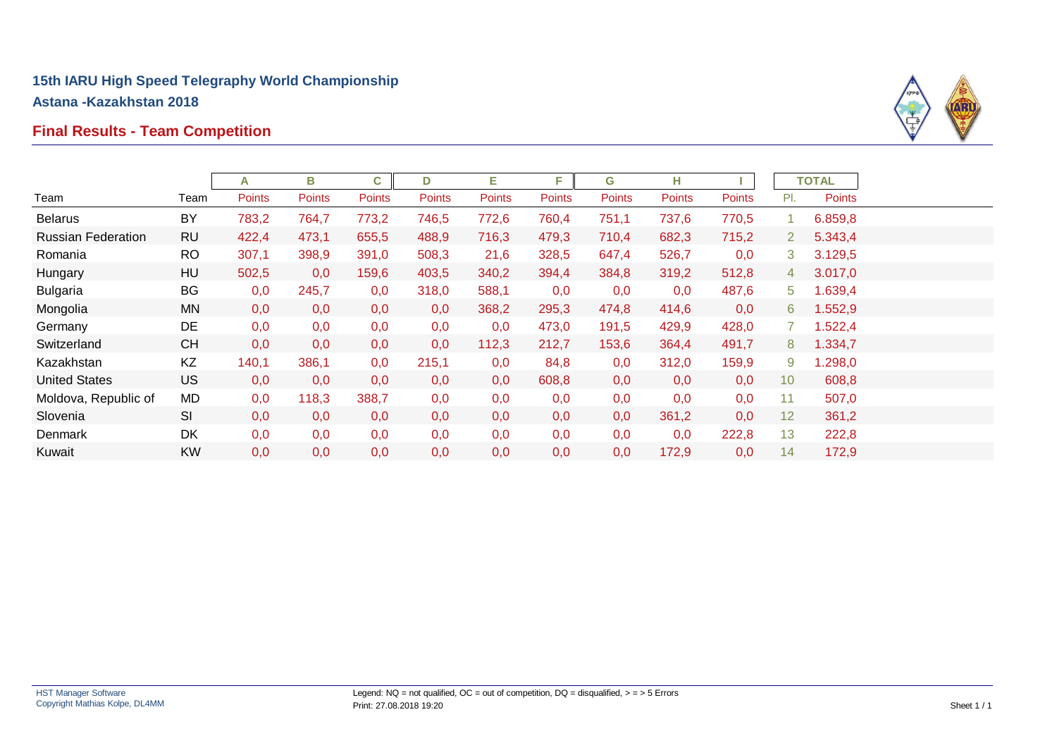# **Final Results - Team Competition**



|                           |           | A      | В             | C             | D             | Е             | F      | G             | н             |               |                 | <b>TOTAL</b> |
|---------------------------|-----------|--------|---------------|---------------|---------------|---------------|--------|---------------|---------------|---------------|-----------------|--------------|
| Team                      | Team      | Points | <b>Points</b> | <b>Points</b> | <b>Points</b> | <b>Points</b> | Points | <b>Points</b> | <b>Points</b> | <b>Points</b> | PI.             | Points       |
| <b>Belarus</b>            | BY        | 783,2  | 764,7         | 773,2         | 746,5         | 772,6         | 760,4  | 751,1         | 737,6         | 770,5         |                 | 6.859,8      |
| <b>Russian Federation</b> | <b>RU</b> | 422,4  | 473,1         | 655,5         | 488,9         | 716,3         | 479,3  | 710,4         | 682,3         | 715,2         | $\overline{2}$  | 5.343,4      |
| Romania                   | <b>RO</b> | 307,1  | 398,9         | 391,0         | 508,3         | 21,6          | 328,5  | 647,4         | 526,7         | 0,0           | 3               | 3.129,5      |
| Hungary                   | HU        | 502,5  | 0,0           | 159,6         | 403,5         | 340,2         | 394,4  | 384,8         | 319,2         | 512,8         | 4               | 3.017,0      |
| <b>Bulgaria</b>           | BG        | 0,0    | 245,7         | 0,0           | 318,0         | 588,1         | 0,0    | 0,0           | 0,0           | 487,6         | 5               | 1.639,4      |
| Mongolia                  | MN        | 0,0    | 0,0           | 0,0           | 0,0           | 368,2         | 295,3  | 474,8         | 414,6         | 0,0           | 6               | 1.552,9      |
| Germany                   | DE        | 0,0    | 0,0           | 0,0           | 0,0           | 0,0           | 473,0  | 191,5         | 429,9         | 428,0         |                 | 1.522,4      |
| Switzerland               | <b>CH</b> | 0,0    | 0,0           | 0,0           | 0,0           | 112,3         | 212,7  | 153,6         | 364,4         | 491,7         | 8               | 1.334,7      |
| Kazakhstan                | KZ        | 140,1  | 386,1         | 0,0           | 215,1         | 0,0           | 84,8   | 0,0           | 312,0         | 159,9         | 9               | 1.298,0      |
| <b>United States</b>      | <b>US</b> | 0,0    | 0,0           | 0,0           | 0,0           | 0,0           | 608,8  | 0,0           | 0,0           | 0,0           | 10 <sup>°</sup> | 608,8        |
| Moldova, Republic of      | MD        | 0,0    | 118,3         | 388,7         | 0,0           | 0,0           | 0,0    | 0,0           | 0,0           | 0,0           | 11              | 507,0        |
| Slovenia                  | SI        | 0,0    | 0,0           | 0,0           | 0,0           | 0,0           | 0,0    | 0,0           | 361,2         | 0,0           | 12 <sub>2</sub> | 361,2        |
| <b>Denmark</b>            | DK        | 0,0    | 0,0           | 0,0           | 0,0           | 0,0           | 0,0    | 0,0           | 0,0           | 222,8         | 13              | 222,8        |
| Kuwait                    | <b>KW</b> | 0,0    | 0,0           | 0,0           | 0,0           | 0,0           | 0,0    | 0,0           | 172,9         | 0,0           | 14              | 172,9        |